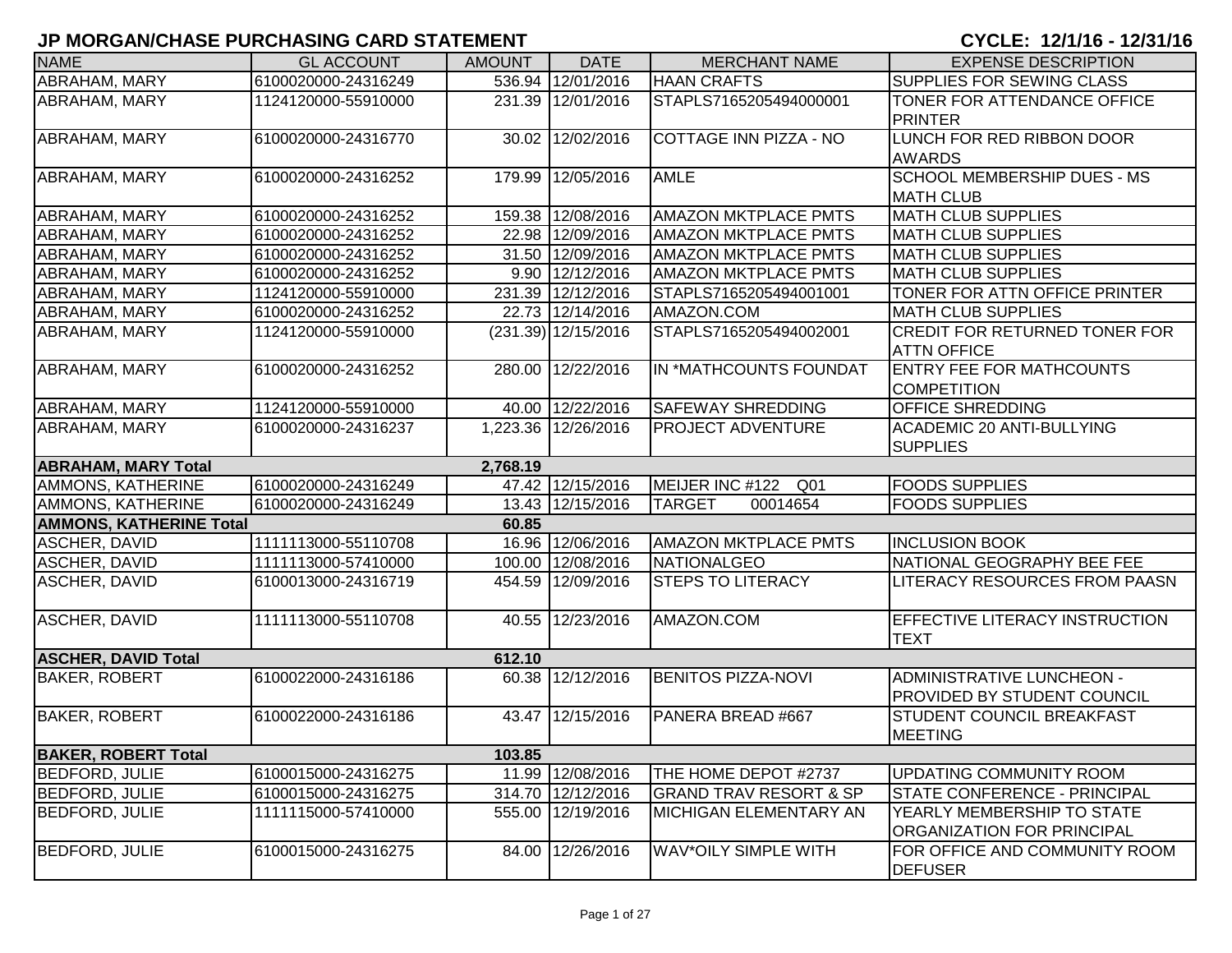| <b>NAME</b>                    | <b>GL ACCOUNT</b>   | <b>AMOUNT</b> | <b>DATE</b>           | <b>MERCHANT NAME</b>               | <b>EXPENSE DESCRIPTION</b>                               |
|--------------------------------|---------------------|---------------|-----------------------|------------------------------------|----------------------------------------------------------|
| ABRAHAM, MARY                  | 6100020000-24316249 |               | 536.94 12/01/2016     | <b>HAAN CRAFTS</b>                 | SUPPLIES FOR SEWING CLASS                                |
| <b>ABRAHAM, MARY</b>           | 1124120000-55910000 |               | 231.39 12/01/2016     | STAPLS7165205494000001             | TONER FOR ATTENDANCE OFFICE<br><b>PRINTER</b>            |
| ABRAHAM, MARY                  | 6100020000-24316770 |               | 30.02 12/02/2016      | COTTAGE INN PIZZA - NO             | LUNCH FOR RED RIBBON DOOR<br><b>AWARDS</b>               |
| ABRAHAM, MARY                  | 6100020000-24316252 |               | 179.99 12/05/2016     | <b>AMLE</b>                        | <b>SCHOOL MEMBERSHIP DUES - MS</b>                       |
|                                |                     |               |                       |                                    | <b>MATH CLUB</b>                                         |
| ABRAHAM, MARY                  | 6100020000-24316252 |               | 159.38 12/08/2016     | <b>AMAZON MKTPLACE PMTS</b>        | <b>MATH CLUB SUPPLIES</b>                                |
| ABRAHAM, MARY                  | 6100020000-24316252 |               | 22.98 12/09/2016      | <b>AMAZON MKTPLACE PMTS</b>        | <b>MATH CLUB SUPPLIES</b>                                |
| ABRAHAM, MARY                  | 6100020000-24316252 |               | 31.50 12/09/2016      | <b>AMAZON MKTPLACE PMTS</b>        | <b>MATH CLUB SUPPLIES</b>                                |
| ABRAHAM, MARY                  | 6100020000-24316252 |               | 9.90 12/12/2016       | <b>AMAZON MKTPLACE PMTS</b>        | <b>MATH CLUB SUPPLIES</b>                                |
| ABRAHAM, MARY                  | 1124120000-55910000 |               | 231.39 12/12/2016     | STAPLS7165205494001001             | TONER FOR ATTN OFFICE PRINTER                            |
| ABRAHAM, MARY                  | 6100020000-24316252 |               | 22.73 12/14/2016      | AMAZON.COM                         | <b>MATH CLUB SUPPLIES</b>                                |
| ABRAHAM, MARY                  | 1124120000-55910000 |               | $(231.39)$ 12/15/2016 | STAPLS7165205494002001             | CREDIT FOR RETURNED TONER FOR<br><b>ATTN OFFICE</b>      |
| ABRAHAM, MARY                  | 6100020000-24316252 |               | 280.00 12/22/2016     | IN *MATHCOUNTS FOUNDAT             | ENTRY FEE FOR MATHCOUNTS<br><b>COMPETITION</b>           |
| <b>ABRAHAM, MARY</b>           | 1124120000-55910000 |               | 40.00 12/22/2016      | <b>SAFEWAY SHREDDING</b>           | <b>OFFICE SHREDDING</b>                                  |
| <b>ABRAHAM, MARY</b>           | 6100020000-24316237 |               | 1,223.36 12/26/2016   | <b>PROJECT ADVENTURE</b>           | <b>ACADEMIC 20 ANTI-BULLYING</b><br><b>SUPPLIES</b>      |
| <b>ABRAHAM, MARY Total</b>     |                     | 2,768.19      |                       |                                    |                                                          |
| AMMONS, KATHERINE              | 6100020000-24316249 |               | 47.42 12/15/2016      | MEIJER INC #122<br>Q <sub>01</sub> | <b>FOODS SUPPLIES</b>                                    |
| AMMONS, KATHERINE              | 6100020000-24316249 |               | 13.43 12/15/2016      | 00014654<br><b>TARGET</b>          | <b>FOODS SUPPLIES</b>                                    |
| <b>AMMONS, KATHERINE Total</b> |                     | 60.85         |                       |                                    |                                                          |
| <b>ASCHER, DAVID</b>           | 1111113000-55110708 |               | 16.96 12/06/2016      | <b>AMAZON MKTPLACE PMTS</b>        | <b>INCLUSION BOOK</b>                                    |
| ASCHER, DAVID                  | 1111113000-57410000 |               | 100.00 12/08/2016     | NATIONALGEO                        | NATIONAL GEOGRAPHY BEE FEE                               |
| ASCHER, DAVID                  | 6100013000-24316719 |               | 454.59 12/09/2016     | <b>STEPS TO LITERACY</b>           | LITERACY RESOURCES FROM PAASN                            |
| ASCHER, DAVID                  | 1111113000-55110708 |               | 40.55 12/23/2016      | AMAZON.COM                         | <b>EFFECTIVE LITERACY INSTRUCTION</b><br><b>TEXT</b>     |
| <b>ASCHER, DAVID Total</b>     |                     | 612.10        |                       |                                    |                                                          |
| <b>BAKER, ROBERT</b>           | 6100022000-24316186 |               | 60.38 12/12/2016      | <b>BENITOS PIZZA-NOVI</b>          | ADMINISTRATIVE LUNCHEON -<br>PROVIDED BY STUDENT COUNCIL |
| <b>BAKER, ROBERT</b>           | 6100022000-24316186 |               | 43.47 12/15/2016      | PANERA BREAD #667                  | <b>STUDENT COUNCIL BREAKFAST</b><br><b>MEETING</b>       |
| <b>BAKER, ROBERT Total</b>     |                     | 103.85        |                       |                                    |                                                          |
| <b>BEDFORD, JULIE</b>          | 6100015000-24316275 |               | 11.99 12/08/2016      | THE HOME DEPOT #2737               | UPDATING COMMUNITY ROOM                                  |
| <b>BEDFORD, JULIE</b>          | 6100015000-24316275 |               | 314.70 12/12/2016     | <b>GRAND TRAV RESORT &amp; SP</b>  | STATE CONFERENCE - PRINCIPAL                             |
| <b>BEDFORD, JULIE</b>          | 1111115000-57410000 |               | 555.00 12/19/2016     | <b>MICHIGAN ELEMENTARY AN</b>      | YEARLY MEMBERSHIP TO STATE<br>ORGANIZATION FOR PRINCIPAL |
| <b>BEDFORD, JULIE</b>          | 6100015000-24316275 |               | 84.00 12/26/2016      | <b>WAV*OILY SIMPLE WITH</b>        | FOR OFFICE AND COMMUNITY ROOM<br><b>DEFUSER</b>          |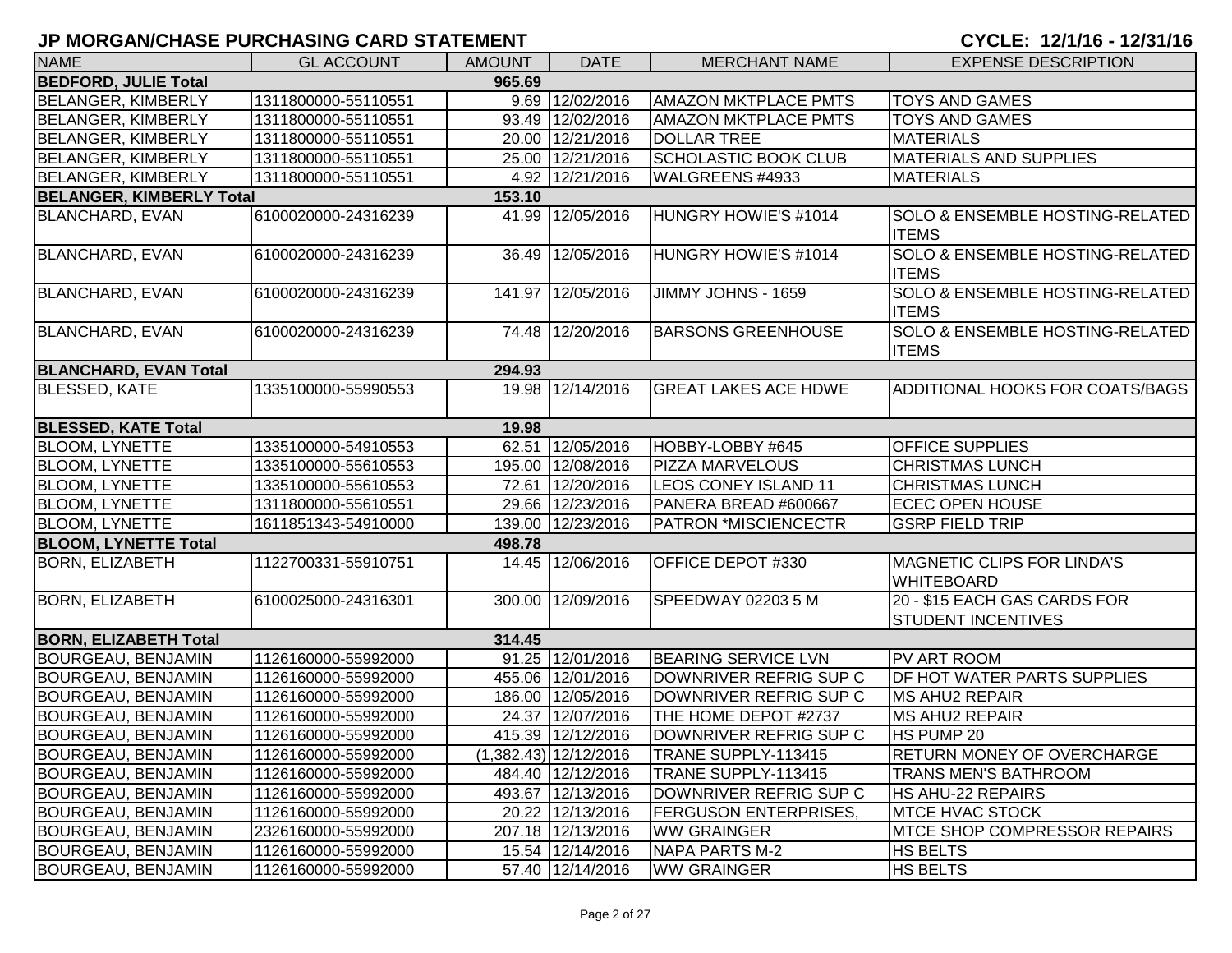| <b>NAME</b>                     | <b>GL ACCOUNT</b>   | <b>AMOUNT</b> | <b>DATE</b>           | <b>MERCHANT NAME</b>         | <b>EXPENSE DESCRIPTION</b>                                 |  |  |  |  |
|---------------------------------|---------------------|---------------|-----------------------|------------------------------|------------------------------------------------------------|--|--|--|--|
| <b>BEDFORD, JULIE Total</b>     | 965.69              |               |                       |                              |                                                            |  |  |  |  |
| <b>BELANGER, KIMBERLY</b>       | 1311800000-55110551 |               | 9.69 12/02/2016       | <b>AMAZON MKTPLACE PMTS</b>  | <b>TOYS AND GAMES</b>                                      |  |  |  |  |
| <b>BELANGER, KIMBERLY</b>       | 1311800000-55110551 | 93.49         | 12/02/2016            | <b>AMAZON MKTPLACE PMTS</b>  | <b>TOYS AND GAMES</b>                                      |  |  |  |  |
| <b>BELANGER, KIMBERLY</b>       | 1311800000-55110551 |               | 20.00 12/21/2016      | <b>DOLLAR TREE</b>           | <b>MATERIALS</b>                                           |  |  |  |  |
| <b>BELANGER, KIMBERLY</b>       | 1311800000-55110551 |               | 25.00 12/21/2016      | <b>SCHOLASTIC BOOK CLUB</b>  | <b>MATERIALS AND SUPPLIES</b>                              |  |  |  |  |
| <b>BELANGER, KIMBERLY</b>       | 1311800000-55110551 |               | 4.92 12/21/2016       | WALGREENS #4933              | <b>MATERIALS</b>                                           |  |  |  |  |
| <b>BELANGER, KIMBERLY Total</b> |                     | 153.10        |                       |                              |                                                            |  |  |  |  |
| <b>BLANCHARD, EVAN</b>          | 6100020000-24316239 | 41.99         | 12/05/2016            | HUNGRY HOWIE'S #1014         | <b>SOLO &amp; ENSEMBLE HOSTING-RELATED</b><br><b>ITEMS</b> |  |  |  |  |
| <b>BLANCHARD, EVAN</b>          | 6100020000-24316239 | 36.49         | 12/05/2016            | HUNGRY HOWIE'S #1014         | <b>SOLO &amp; ENSEMBLE HOSTING-RELATED</b><br><b>ITEMS</b> |  |  |  |  |
| <b>BLANCHARD, EVAN</b>          | 6100020000-24316239 |               | 141.97 12/05/2016     | JIMMY JOHNS - 1659           | <b>SOLO &amp; ENSEMBLE HOSTING-RELATED</b><br><b>ITEMS</b> |  |  |  |  |
| <b>BLANCHARD, EVAN</b>          | 6100020000-24316239 |               | 74.48 12/20/2016      | <b>BARSONS GREENHOUSE</b>    | SOLO & ENSEMBLE HOSTING-RELATED<br><b>ITEMS</b>            |  |  |  |  |
| <b>BLANCHARD, EVAN Total</b>    |                     | 294.93        |                       |                              |                                                            |  |  |  |  |
| <b>BLESSED, KATE</b>            | 1335100000-55990553 |               | 19.98 12/14/2016      | <b>GREAT LAKES ACE HDWE</b>  | ADDITIONAL HOOKS FOR COATS/BAGS                            |  |  |  |  |
| <b>BLESSED, KATE Total</b>      |                     | 19.98         |                       |                              |                                                            |  |  |  |  |
| <b>BLOOM, LYNETTE</b>           | 1335100000-54910553 |               | 62.51 12/05/2016      | HOBBY-LOBBY #645             | <b>OFFICE SUPPLIES</b>                                     |  |  |  |  |
| <b>BLOOM, LYNETTE</b>           | 1335100000-55610553 |               | 195.00 12/08/2016     | <b>PIZZA MARVELOUS</b>       | <b>CHRISTMAS LUNCH</b>                                     |  |  |  |  |
| <b>BLOOM, LYNETTE</b>           | 1335100000-55610553 |               | 72.61 12/20/2016      | <b>LEOS CONEY ISLAND 11</b>  | <b>CHRISTMAS LUNCH</b>                                     |  |  |  |  |
| <b>BLOOM, LYNETTE</b>           | 1311800000-55610551 |               | 29.66 12/23/2016      | PANERA BREAD #600667         | <b>ECEC OPEN HOUSE</b>                                     |  |  |  |  |
| <b>BLOOM, LYNETTE</b>           | 1611851343-54910000 |               | 139.00 12/23/2016     | <b>PATRON *MISCIENCECTR</b>  | <b>GSRP FIELD TRIP</b>                                     |  |  |  |  |
| <b>BLOOM, LYNETTE Total</b>     |                     | 498.78        |                       |                              |                                                            |  |  |  |  |
| <b>BORN, ELIZABETH</b>          | 1122700331-55910751 | 14.45         | 12/06/2016            | OFFICE DEPOT #330            | <b>MAGNETIC CLIPS FOR LINDA'S</b><br><b>WHITEBOARD</b>     |  |  |  |  |
| <b>BORN, ELIZABETH</b>          | 6100025000-24316301 |               | 300.00 12/09/2016     | SPEEDWAY 02203 5 M           | 20 - \$15 EACH GAS CARDS FOR<br><b>STUDENT INCENTIVES</b>  |  |  |  |  |
| <b>BORN, ELIZABETH Total</b>    |                     | 314.45        |                       |                              |                                                            |  |  |  |  |
| BOURGEAU, BENJAMIN              | 1126160000-55992000 |               | 91.25 12/01/2016      | <b>BEARING SERVICE LVN</b>   | PV ART ROOM                                                |  |  |  |  |
| <b>BOURGEAU, BENJAMIN</b>       | 1126160000-55992000 |               | 455.06 12/01/2016     | DOWNRIVER REFRIG SUP C       | DF HOT WATER PARTS SUPPLIES                                |  |  |  |  |
| BOURGEAU, BENJAMIN              | 1126160000-55992000 |               | 186.00 12/05/2016     | DOWNRIVER REFRIG SUP C       | <b>MS AHU2 REPAIR</b>                                      |  |  |  |  |
| BOURGEAU, BENJAMIN              | 1126160000-55992000 |               | 24.37 12/07/2016      | THE HOME DEPOT #2737         | MS AHU2 REPAIR                                             |  |  |  |  |
| BOURGEAU, BENJAMIN              | 1126160000-55992000 |               | 415.39 12/12/2016     | DOWNRIVER REFRIG SUP C       | HS PUMP 20                                                 |  |  |  |  |
| <b>BOURGEAU, BENJAMIN</b>       | 1126160000-55992000 |               | (1,382.43) 12/12/2016 | TRANE SUPPLY-113415          | RETURN MONEY OF OVERCHARGE                                 |  |  |  |  |
| <b>BOURGEAU, BENJAMIN</b>       | 1126160000-55992000 |               | 484.40 12/12/2016     | TRANE SUPPLY-113415          | <b>TRANS MEN'S BATHROOM</b>                                |  |  |  |  |
| <b>BOURGEAU, BENJAMIN</b>       | 1126160000-55992000 |               | 493.67 12/13/2016     | DOWNRIVER REFRIG SUP C       | HS AHU-22 REPAIRS                                          |  |  |  |  |
| <b>BOURGEAU, BENJAMIN</b>       | 1126160000-55992000 |               | 20.22 12/13/2016      | <b>FERGUSON ENTERPRISES,</b> | <b>MTCE HVAC STOCK</b>                                     |  |  |  |  |
| <b>BOURGEAU, BENJAMIN</b>       | 2326160000-55992000 |               | 207.18 12/13/2016     | <b>WW GRAINGER</b>           | <b>MTCE SHOP COMPRESSOR REPAIRS</b>                        |  |  |  |  |
| <b>BOURGEAU, BENJAMIN</b>       | 1126160000-55992000 |               | 15.54 12/14/2016      | <b>NAPA PARTS M-2</b>        | <b>HS BELTS</b>                                            |  |  |  |  |
| <b>BOURGEAU, BENJAMIN</b>       | 1126160000-55992000 |               | 57.40 12/14/2016      | <b>WW GRAINGER</b>           | HS BELTS                                                   |  |  |  |  |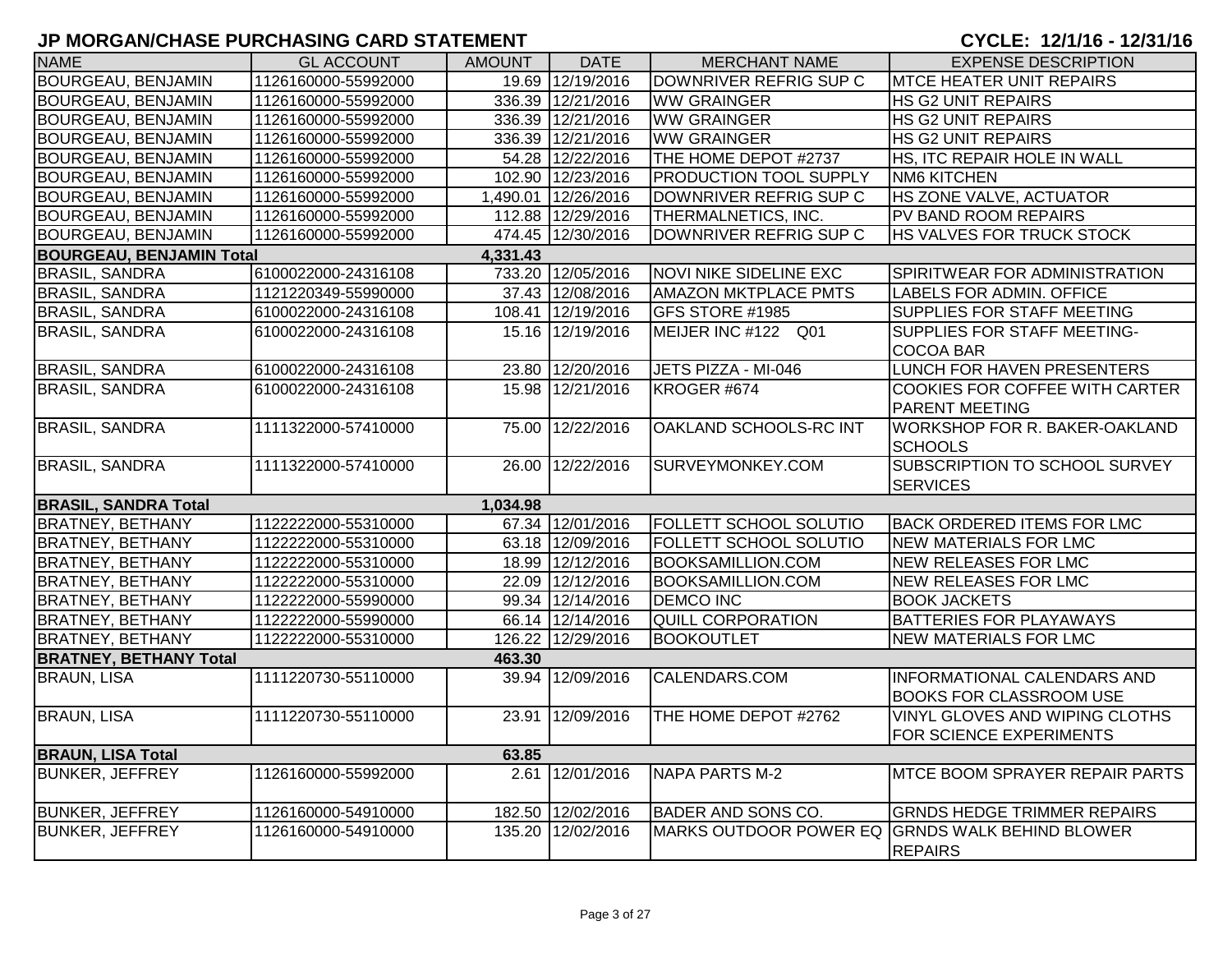| 19.69 12/19/2016<br>BOURGEAU, BENJAMIN<br>1126160000-55992000<br>DOWNRIVER REFRIG SUP C<br><b>MTCE HEATER UNIT REPAIRS</b><br>BOURGEAU, BENJAMIN<br>1126160000-55992000<br>336.39 12/21/2016<br><b>WW GRAINGER</b><br><b>HS G2 UNIT REPAIRS</b><br>336.39 12/21/2016<br>BOURGEAU, BENJAMIN<br>1126160000-55992000<br><b>WW GRAINGER</b><br><b>HS G2 UNIT REPAIRS</b><br>336.39 12/21/2016<br><b>WW GRAINGER</b><br><b>BOURGEAU, BENJAMIN</b><br>1126160000-55992000<br><b>HS G2 UNIT REPAIRS</b><br>THE HOME DEPOT #2737<br>54.28 12/22/2016<br>HS, ITC REPAIR HOLE IN WALL<br><b>BOURGEAU, BENJAMIN</b><br>1126160000-55992000<br>102.90 12/23/2016<br><b>BOURGEAU, BENJAMIN</b><br>1126160000-55992000<br><b>PRODUCTION TOOL SUPPLY</b><br><b>NM6 KITCHEN</b><br>HS ZONE VALVE, ACTUATOR<br>1,490.01 12/26/2016<br>BOURGEAU, BENJAMIN<br>DOWNRIVER REFRIG SUP C<br>1126160000-55992000<br>112.88 12/29/2016<br>BOURGEAU, BENJAMIN<br>THERMALNETICS, INC.<br>PV BAND ROOM REPAIRS<br>1126160000-55992000<br>474.45 12/30/2016<br>DOWNRIVER REFRIG SUP C<br>BOURGEAU, BENJAMIN<br>HS VALVES FOR TRUCK STOCK<br>1126160000-55992000<br><b>BOURGEAU, BENJAMIN Total</b><br>4,331.43<br>733.20 12/05/2016<br>6100022000-24316108<br><b>NOVI NIKE SIDELINE EXC</b><br><b>BRASIL, SANDRA</b><br>SPIRITWEAR FOR ADMINISTRATION<br>37.43 12/08/2016<br><b>BRASIL, SANDRA</b><br>1121220349-55990000<br><b>AMAZON MKTPLACE PMTS</b><br>LABELS FOR ADMIN. OFFICE<br>108.41 12/19/2016<br>SUPPLIES FOR STAFF MEETING<br><b>BRASIL, SANDRA</b><br>6100022000-24316108<br><b>GFS STORE #1985</b><br><b>BRASIL, SANDRA</b><br>15.16 12/19/2016<br>MEIJER INC #122 Q01<br>SUPPLIES FOR STAFF MEETING-<br>6100022000-24316108<br><b>COCOA BAR</b><br><b>BRASIL, SANDRA</b><br>23.80 12/20/2016<br>JETS PIZZA - MI-046<br>LUNCH FOR HAVEN PRESENTERS<br>6100022000-24316108<br><b>BRASIL, SANDRA</b><br>15.98 12/21/2016<br>COOKIES FOR COFFEE WITH CARTER<br>6100022000-24316108<br>KROGER #674<br><b>PARENT MEETING</b><br><b>BRASIL, SANDRA</b><br>75.00 12/22/2016<br>1111322000-57410000<br>OAKLAND SCHOOLS-RC INT<br>WORKSHOP FOR R. BAKER-OAKLAND<br><b>SCHOOLS</b><br><b>BRASIL, SANDRA</b><br>26.00 12/22/2016<br>SURVEYMONKEY.COM<br>SUBSCRIPTION TO SCHOOL SURVEY<br>1111322000-57410000<br><b>SERVICES</b><br><b>BRASIL, SANDRA Total</b><br>1,034.98<br>67.34 12/01/2016<br>FOLLETT SCHOOL SOLUTIO<br><b>BACK ORDERED ITEMS FOR LMC</b><br><b>BRATNEY, BETHANY</b><br>1122222000-55310000<br>BRATNEY, BETHANY<br>63.18 12/09/2016<br><b>FOLLETT SCHOOL SOLUTIO</b><br>1122222000-55310000<br>NEW MATERIALS FOR LMC<br>18.99 12/12/2016<br><b>BRATNEY, BETHANY</b><br>1122222000-55310000<br><b>BOOKSAMILLION.COM</b><br><b>NEW RELEASES FOR LMC</b><br>22.09 12/12/2016<br><b>BRATNEY, BETHANY</b><br>1122222000-55310000<br><b>BOOKSAMILLION.COM</b><br><b>NEW RELEASES FOR LMC</b><br>99.34 12/14/2016<br><b>DEMCO INC</b><br><b>BRATNEY, BETHANY</b><br>1122222000-55990000<br><b>BOOK JACKETS</b><br><b>BRATNEY, BETHANY</b><br>66.14 12/14/2016<br><b>QUILL CORPORATION</b><br>BATTERIES FOR PLAYAWAYS<br>1122222000-55990000<br>126.22 12/29/2016<br><b>NEW MATERIALS FOR LMC</b><br><b>BRATNEY, BETHANY</b><br>1122222000-55310000<br><b>BOOKOUTLET</b><br><b>BRATNEY, BETHANY Total</b><br>463.30<br>39.94 12/09/2016<br>1111220730-55110000<br>CALENDARS.COM<br>INFORMATIONAL CALENDARS AND<br><b>BRAUN, LISA</b><br><b>BOOKS FOR CLASSROOM USE</b><br>23.91 12/09/2016<br><b>BRAUN, LISA</b><br>1111220730-55110000<br>THE HOME DEPOT #2762<br>VINYL GLOVES AND WIPING CLOTHS<br>FOR SCIENCE EXPERIMENTS<br><b>BRAUN, LISA Total</b><br>63.85<br><b>BUNKER, JEFFREY</b><br>2.61 12/01/2016<br><b>NAPA PARTS M-2</b><br><b>MTCE BOOM SPRAYER REPAIR PARTS</b><br>1126160000-55992000<br><b>BUNKER, JEFFREY</b><br>182.50 12/02/2016<br><b>GRNDS HEDGE TRIMMER REPAIRS</b><br>1126160000-54910000<br>BADER AND SONS CO.<br><b>BUNKER, JEFFREY</b><br>135.20 12/02/2016<br>MARKS OUTDOOR POWER EQ GRNDS WALK BEHIND BLOWER<br>1126160000-54910000<br><b>REPAIRS</b> | <b>NAME</b> | <b>GL ACCOUNT</b> | <b>AMOUNT</b> | <b>DATE</b> | <b>MERCHANT NAME</b> | <b>EXPENSE DESCRIPTION</b> |
|-------------------------------------------------------------------------------------------------------------------------------------------------------------------------------------------------------------------------------------------------------------------------------------------------------------------------------------------------------------------------------------------------------------------------------------------------------------------------------------------------------------------------------------------------------------------------------------------------------------------------------------------------------------------------------------------------------------------------------------------------------------------------------------------------------------------------------------------------------------------------------------------------------------------------------------------------------------------------------------------------------------------------------------------------------------------------------------------------------------------------------------------------------------------------------------------------------------------------------------------------------------------------------------------------------------------------------------------------------------------------------------------------------------------------------------------------------------------------------------------------------------------------------------------------------------------------------------------------------------------------------------------------------------------------------------------------------------------------------------------------------------------------------------------------------------------------------------------------------------------------------------------------------------------------------------------------------------------------------------------------------------------------------------------------------------------------------------------------------------------------------------------------------------------------------------------------------------------------------------------------------------------------------------------------------------------------------------------------------------------------------------------------------------------------------------------------------------------------------------------------------------------------------------------------------------------------------------------------------------------------------------------------------------------------------------------------------------------------------------------------------------------------------------------------------------------------------------------------------------------------------------------------------------------------------------------------------------------------------------------------------------------------------------------------------------------------------------------------------------------------------------------------------------------------------------------------------------------------------------------------------------------------------------------------------------------------------------------------------------------------------------------------------------------------------------------------------------------------------------------------------------------------------------------------------------------------------------------------------------------------------------------------------------------------------------------------------------------------------------------------------------------------------------------------------------------------------------------------------------------------------------------------------------------------------------------------------------------------------------------------------------------------------------------------------------------------|-------------|-------------------|---------------|-------------|----------------------|----------------------------|
|                                                                                                                                                                                                                                                                                                                                                                                                                                                                                                                                                                                                                                                                                                                                                                                                                                                                                                                                                                                                                                                                                                                                                                                                                                                                                                                                                                                                                                                                                                                                                                                                                                                                                                                                                                                                                                                                                                                                                                                                                                                                                                                                                                                                                                                                                                                                                                                                                                                                                                                                                                                                                                                                                                                                                                                                                                                                                                                                                                                                                                                                                                                                                                                                                                                                                                                                                                                                                                                                                                                                                                                                                                                                                                                                                                                                                                                                                                                                                                                                                                                                         |             |                   |               |             |                      |                            |
|                                                                                                                                                                                                                                                                                                                                                                                                                                                                                                                                                                                                                                                                                                                                                                                                                                                                                                                                                                                                                                                                                                                                                                                                                                                                                                                                                                                                                                                                                                                                                                                                                                                                                                                                                                                                                                                                                                                                                                                                                                                                                                                                                                                                                                                                                                                                                                                                                                                                                                                                                                                                                                                                                                                                                                                                                                                                                                                                                                                                                                                                                                                                                                                                                                                                                                                                                                                                                                                                                                                                                                                                                                                                                                                                                                                                                                                                                                                                                                                                                                                                         |             |                   |               |             |                      |                            |
|                                                                                                                                                                                                                                                                                                                                                                                                                                                                                                                                                                                                                                                                                                                                                                                                                                                                                                                                                                                                                                                                                                                                                                                                                                                                                                                                                                                                                                                                                                                                                                                                                                                                                                                                                                                                                                                                                                                                                                                                                                                                                                                                                                                                                                                                                                                                                                                                                                                                                                                                                                                                                                                                                                                                                                                                                                                                                                                                                                                                                                                                                                                                                                                                                                                                                                                                                                                                                                                                                                                                                                                                                                                                                                                                                                                                                                                                                                                                                                                                                                                                         |             |                   |               |             |                      |                            |
|                                                                                                                                                                                                                                                                                                                                                                                                                                                                                                                                                                                                                                                                                                                                                                                                                                                                                                                                                                                                                                                                                                                                                                                                                                                                                                                                                                                                                                                                                                                                                                                                                                                                                                                                                                                                                                                                                                                                                                                                                                                                                                                                                                                                                                                                                                                                                                                                                                                                                                                                                                                                                                                                                                                                                                                                                                                                                                                                                                                                                                                                                                                                                                                                                                                                                                                                                                                                                                                                                                                                                                                                                                                                                                                                                                                                                                                                                                                                                                                                                                                                         |             |                   |               |             |                      |                            |
|                                                                                                                                                                                                                                                                                                                                                                                                                                                                                                                                                                                                                                                                                                                                                                                                                                                                                                                                                                                                                                                                                                                                                                                                                                                                                                                                                                                                                                                                                                                                                                                                                                                                                                                                                                                                                                                                                                                                                                                                                                                                                                                                                                                                                                                                                                                                                                                                                                                                                                                                                                                                                                                                                                                                                                                                                                                                                                                                                                                                                                                                                                                                                                                                                                                                                                                                                                                                                                                                                                                                                                                                                                                                                                                                                                                                                                                                                                                                                                                                                                                                         |             |                   |               |             |                      |                            |
|                                                                                                                                                                                                                                                                                                                                                                                                                                                                                                                                                                                                                                                                                                                                                                                                                                                                                                                                                                                                                                                                                                                                                                                                                                                                                                                                                                                                                                                                                                                                                                                                                                                                                                                                                                                                                                                                                                                                                                                                                                                                                                                                                                                                                                                                                                                                                                                                                                                                                                                                                                                                                                                                                                                                                                                                                                                                                                                                                                                                                                                                                                                                                                                                                                                                                                                                                                                                                                                                                                                                                                                                                                                                                                                                                                                                                                                                                                                                                                                                                                                                         |             |                   |               |             |                      |                            |
|                                                                                                                                                                                                                                                                                                                                                                                                                                                                                                                                                                                                                                                                                                                                                                                                                                                                                                                                                                                                                                                                                                                                                                                                                                                                                                                                                                                                                                                                                                                                                                                                                                                                                                                                                                                                                                                                                                                                                                                                                                                                                                                                                                                                                                                                                                                                                                                                                                                                                                                                                                                                                                                                                                                                                                                                                                                                                                                                                                                                                                                                                                                                                                                                                                                                                                                                                                                                                                                                                                                                                                                                                                                                                                                                                                                                                                                                                                                                                                                                                                                                         |             |                   |               |             |                      |                            |
|                                                                                                                                                                                                                                                                                                                                                                                                                                                                                                                                                                                                                                                                                                                                                                                                                                                                                                                                                                                                                                                                                                                                                                                                                                                                                                                                                                                                                                                                                                                                                                                                                                                                                                                                                                                                                                                                                                                                                                                                                                                                                                                                                                                                                                                                                                                                                                                                                                                                                                                                                                                                                                                                                                                                                                                                                                                                                                                                                                                                                                                                                                                                                                                                                                                                                                                                                                                                                                                                                                                                                                                                                                                                                                                                                                                                                                                                                                                                                                                                                                                                         |             |                   |               |             |                      |                            |
|                                                                                                                                                                                                                                                                                                                                                                                                                                                                                                                                                                                                                                                                                                                                                                                                                                                                                                                                                                                                                                                                                                                                                                                                                                                                                                                                                                                                                                                                                                                                                                                                                                                                                                                                                                                                                                                                                                                                                                                                                                                                                                                                                                                                                                                                                                                                                                                                                                                                                                                                                                                                                                                                                                                                                                                                                                                                                                                                                                                                                                                                                                                                                                                                                                                                                                                                                                                                                                                                                                                                                                                                                                                                                                                                                                                                                                                                                                                                                                                                                                                                         |             |                   |               |             |                      |                            |
|                                                                                                                                                                                                                                                                                                                                                                                                                                                                                                                                                                                                                                                                                                                                                                                                                                                                                                                                                                                                                                                                                                                                                                                                                                                                                                                                                                                                                                                                                                                                                                                                                                                                                                                                                                                                                                                                                                                                                                                                                                                                                                                                                                                                                                                                                                                                                                                                                                                                                                                                                                                                                                                                                                                                                                                                                                                                                                                                                                                                                                                                                                                                                                                                                                                                                                                                                                                                                                                                                                                                                                                                                                                                                                                                                                                                                                                                                                                                                                                                                                                                         |             |                   |               |             |                      |                            |
|                                                                                                                                                                                                                                                                                                                                                                                                                                                                                                                                                                                                                                                                                                                                                                                                                                                                                                                                                                                                                                                                                                                                                                                                                                                                                                                                                                                                                                                                                                                                                                                                                                                                                                                                                                                                                                                                                                                                                                                                                                                                                                                                                                                                                                                                                                                                                                                                                                                                                                                                                                                                                                                                                                                                                                                                                                                                                                                                                                                                                                                                                                                                                                                                                                                                                                                                                                                                                                                                                                                                                                                                                                                                                                                                                                                                                                                                                                                                                                                                                                                                         |             |                   |               |             |                      |                            |
|                                                                                                                                                                                                                                                                                                                                                                                                                                                                                                                                                                                                                                                                                                                                                                                                                                                                                                                                                                                                                                                                                                                                                                                                                                                                                                                                                                                                                                                                                                                                                                                                                                                                                                                                                                                                                                                                                                                                                                                                                                                                                                                                                                                                                                                                                                                                                                                                                                                                                                                                                                                                                                                                                                                                                                                                                                                                                                                                                                                                                                                                                                                                                                                                                                                                                                                                                                                                                                                                                                                                                                                                                                                                                                                                                                                                                                                                                                                                                                                                                                                                         |             |                   |               |             |                      |                            |
|                                                                                                                                                                                                                                                                                                                                                                                                                                                                                                                                                                                                                                                                                                                                                                                                                                                                                                                                                                                                                                                                                                                                                                                                                                                                                                                                                                                                                                                                                                                                                                                                                                                                                                                                                                                                                                                                                                                                                                                                                                                                                                                                                                                                                                                                                                                                                                                                                                                                                                                                                                                                                                                                                                                                                                                                                                                                                                                                                                                                                                                                                                                                                                                                                                                                                                                                                                                                                                                                                                                                                                                                                                                                                                                                                                                                                                                                                                                                                                                                                                                                         |             |                   |               |             |                      |                            |
|                                                                                                                                                                                                                                                                                                                                                                                                                                                                                                                                                                                                                                                                                                                                                                                                                                                                                                                                                                                                                                                                                                                                                                                                                                                                                                                                                                                                                                                                                                                                                                                                                                                                                                                                                                                                                                                                                                                                                                                                                                                                                                                                                                                                                                                                                                                                                                                                                                                                                                                                                                                                                                                                                                                                                                                                                                                                                                                                                                                                                                                                                                                                                                                                                                                                                                                                                                                                                                                                                                                                                                                                                                                                                                                                                                                                                                                                                                                                                                                                                                                                         |             |                   |               |             |                      |                            |
|                                                                                                                                                                                                                                                                                                                                                                                                                                                                                                                                                                                                                                                                                                                                                                                                                                                                                                                                                                                                                                                                                                                                                                                                                                                                                                                                                                                                                                                                                                                                                                                                                                                                                                                                                                                                                                                                                                                                                                                                                                                                                                                                                                                                                                                                                                                                                                                                                                                                                                                                                                                                                                                                                                                                                                                                                                                                                                                                                                                                                                                                                                                                                                                                                                                                                                                                                                                                                                                                                                                                                                                                                                                                                                                                                                                                                                                                                                                                                                                                                                                                         |             |                   |               |             |                      |                            |
|                                                                                                                                                                                                                                                                                                                                                                                                                                                                                                                                                                                                                                                                                                                                                                                                                                                                                                                                                                                                                                                                                                                                                                                                                                                                                                                                                                                                                                                                                                                                                                                                                                                                                                                                                                                                                                                                                                                                                                                                                                                                                                                                                                                                                                                                                                                                                                                                                                                                                                                                                                                                                                                                                                                                                                                                                                                                                                                                                                                                                                                                                                                                                                                                                                                                                                                                                                                                                                                                                                                                                                                                                                                                                                                                                                                                                                                                                                                                                                                                                                                                         |             |                   |               |             |                      |                            |
|                                                                                                                                                                                                                                                                                                                                                                                                                                                                                                                                                                                                                                                                                                                                                                                                                                                                                                                                                                                                                                                                                                                                                                                                                                                                                                                                                                                                                                                                                                                                                                                                                                                                                                                                                                                                                                                                                                                                                                                                                                                                                                                                                                                                                                                                                                                                                                                                                                                                                                                                                                                                                                                                                                                                                                                                                                                                                                                                                                                                                                                                                                                                                                                                                                                                                                                                                                                                                                                                                                                                                                                                                                                                                                                                                                                                                                                                                                                                                                                                                                                                         |             |                   |               |             |                      |                            |
|                                                                                                                                                                                                                                                                                                                                                                                                                                                                                                                                                                                                                                                                                                                                                                                                                                                                                                                                                                                                                                                                                                                                                                                                                                                                                                                                                                                                                                                                                                                                                                                                                                                                                                                                                                                                                                                                                                                                                                                                                                                                                                                                                                                                                                                                                                                                                                                                                                                                                                                                                                                                                                                                                                                                                                                                                                                                                                                                                                                                                                                                                                                                                                                                                                                                                                                                                                                                                                                                                                                                                                                                                                                                                                                                                                                                                                                                                                                                                                                                                                                                         |             |                   |               |             |                      |                            |
|                                                                                                                                                                                                                                                                                                                                                                                                                                                                                                                                                                                                                                                                                                                                                                                                                                                                                                                                                                                                                                                                                                                                                                                                                                                                                                                                                                                                                                                                                                                                                                                                                                                                                                                                                                                                                                                                                                                                                                                                                                                                                                                                                                                                                                                                                                                                                                                                                                                                                                                                                                                                                                                                                                                                                                                                                                                                                                                                                                                                                                                                                                                                                                                                                                                                                                                                                                                                                                                                                                                                                                                                                                                                                                                                                                                                                                                                                                                                                                                                                                                                         |             |                   |               |             |                      |                            |
|                                                                                                                                                                                                                                                                                                                                                                                                                                                                                                                                                                                                                                                                                                                                                                                                                                                                                                                                                                                                                                                                                                                                                                                                                                                                                                                                                                                                                                                                                                                                                                                                                                                                                                                                                                                                                                                                                                                                                                                                                                                                                                                                                                                                                                                                                                                                                                                                                                                                                                                                                                                                                                                                                                                                                                                                                                                                                                                                                                                                                                                                                                                                                                                                                                                                                                                                                                                                                                                                                                                                                                                                                                                                                                                                                                                                                                                                                                                                                                                                                                                                         |             |                   |               |             |                      |                            |
|                                                                                                                                                                                                                                                                                                                                                                                                                                                                                                                                                                                                                                                                                                                                                                                                                                                                                                                                                                                                                                                                                                                                                                                                                                                                                                                                                                                                                                                                                                                                                                                                                                                                                                                                                                                                                                                                                                                                                                                                                                                                                                                                                                                                                                                                                                                                                                                                                                                                                                                                                                                                                                                                                                                                                                                                                                                                                                                                                                                                                                                                                                                                                                                                                                                                                                                                                                                                                                                                                                                                                                                                                                                                                                                                                                                                                                                                                                                                                                                                                                                                         |             |                   |               |             |                      |                            |
|                                                                                                                                                                                                                                                                                                                                                                                                                                                                                                                                                                                                                                                                                                                                                                                                                                                                                                                                                                                                                                                                                                                                                                                                                                                                                                                                                                                                                                                                                                                                                                                                                                                                                                                                                                                                                                                                                                                                                                                                                                                                                                                                                                                                                                                                                                                                                                                                                                                                                                                                                                                                                                                                                                                                                                                                                                                                                                                                                                                                                                                                                                                                                                                                                                                                                                                                                                                                                                                                                                                                                                                                                                                                                                                                                                                                                                                                                                                                                                                                                                                                         |             |                   |               |             |                      |                            |
|                                                                                                                                                                                                                                                                                                                                                                                                                                                                                                                                                                                                                                                                                                                                                                                                                                                                                                                                                                                                                                                                                                                                                                                                                                                                                                                                                                                                                                                                                                                                                                                                                                                                                                                                                                                                                                                                                                                                                                                                                                                                                                                                                                                                                                                                                                                                                                                                                                                                                                                                                                                                                                                                                                                                                                                                                                                                                                                                                                                                                                                                                                                                                                                                                                                                                                                                                                                                                                                                                                                                                                                                                                                                                                                                                                                                                                                                                                                                                                                                                                                                         |             |                   |               |             |                      |                            |
|                                                                                                                                                                                                                                                                                                                                                                                                                                                                                                                                                                                                                                                                                                                                                                                                                                                                                                                                                                                                                                                                                                                                                                                                                                                                                                                                                                                                                                                                                                                                                                                                                                                                                                                                                                                                                                                                                                                                                                                                                                                                                                                                                                                                                                                                                                                                                                                                                                                                                                                                                                                                                                                                                                                                                                                                                                                                                                                                                                                                                                                                                                                                                                                                                                                                                                                                                                                                                                                                                                                                                                                                                                                                                                                                                                                                                                                                                                                                                                                                                                                                         |             |                   |               |             |                      |                            |
|                                                                                                                                                                                                                                                                                                                                                                                                                                                                                                                                                                                                                                                                                                                                                                                                                                                                                                                                                                                                                                                                                                                                                                                                                                                                                                                                                                                                                                                                                                                                                                                                                                                                                                                                                                                                                                                                                                                                                                                                                                                                                                                                                                                                                                                                                                                                                                                                                                                                                                                                                                                                                                                                                                                                                                                                                                                                                                                                                                                                                                                                                                                                                                                                                                                                                                                                                                                                                                                                                                                                                                                                                                                                                                                                                                                                                                                                                                                                                                                                                                                                         |             |                   |               |             |                      |                            |
|                                                                                                                                                                                                                                                                                                                                                                                                                                                                                                                                                                                                                                                                                                                                                                                                                                                                                                                                                                                                                                                                                                                                                                                                                                                                                                                                                                                                                                                                                                                                                                                                                                                                                                                                                                                                                                                                                                                                                                                                                                                                                                                                                                                                                                                                                                                                                                                                                                                                                                                                                                                                                                                                                                                                                                                                                                                                                                                                                                                                                                                                                                                                                                                                                                                                                                                                                                                                                                                                                                                                                                                                                                                                                                                                                                                                                                                                                                                                                                                                                                                                         |             |                   |               |             |                      |                            |
|                                                                                                                                                                                                                                                                                                                                                                                                                                                                                                                                                                                                                                                                                                                                                                                                                                                                                                                                                                                                                                                                                                                                                                                                                                                                                                                                                                                                                                                                                                                                                                                                                                                                                                                                                                                                                                                                                                                                                                                                                                                                                                                                                                                                                                                                                                                                                                                                                                                                                                                                                                                                                                                                                                                                                                                                                                                                                                                                                                                                                                                                                                                                                                                                                                                                                                                                                                                                                                                                                                                                                                                                                                                                                                                                                                                                                                                                                                                                                                                                                                                                         |             |                   |               |             |                      |                            |
|                                                                                                                                                                                                                                                                                                                                                                                                                                                                                                                                                                                                                                                                                                                                                                                                                                                                                                                                                                                                                                                                                                                                                                                                                                                                                                                                                                                                                                                                                                                                                                                                                                                                                                                                                                                                                                                                                                                                                                                                                                                                                                                                                                                                                                                                                                                                                                                                                                                                                                                                                                                                                                                                                                                                                                                                                                                                                                                                                                                                                                                                                                                                                                                                                                                                                                                                                                                                                                                                                                                                                                                                                                                                                                                                                                                                                                                                                                                                                                                                                                                                         |             |                   |               |             |                      |                            |
|                                                                                                                                                                                                                                                                                                                                                                                                                                                                                                                                                                                                                                                                                                                                                                                                                                                                                                                                                                                                                                                                                                                                                                                                                                                                                                                                                                                                                                                                                                                                                                                                                                                                                                                                                                                                                                                                                                                                                                                                                                                                                                                                                                                                                                                                                                                                                                                                                                                                                                                                                                                                                                                                                                                                                                                                                                                                                                                                                                                                                                                                                                                                                                                                                                                                                                                                                                                                                                                                                                                                                                                                                                                                                                                                                                                                                                                                                                                                                                                                                                                                         |             |                   |               |             |                      |                            |
|                                                                                                                                                                                                                                                                                                                                                                                                                                                                                                                                                                                                                                                                                                                                                                                                                                                                                                                                                                                                                                                                                                                                                                                                                                                                                                                                                                                                                                                                                                                                                                                                                                                                                                                                                                                                                                                                                                                                                                                                                                                                                                                                                                                                                                                                                                                                                                                                                                                                                                                                                                                                                                                                                                                                                                                                                                                                                                                                                                                                                                                                                                                                                                                                                                                                                                                                                                                                                                                                                                                                                                                                                                                                                                                                                                                                                                                                                                                                                                                                                                                                         |             |                   |               |             |                      |                            |
|                                                                                                                                                                                                                                                                                                                                                                                                                                                                                                                                                                                                                                                                                                                                                                                                                                                                                                                                                                                                                                                                                                                                                                                                                                                                                                                                                                                                                                                                                                                                                                                                                                                                                                                                                                                                                                                                                                                                                                                                                                                                                                                                                                                                                                                                                                                                                                                                                                                                                                                                                                                                                                                                                                                                                                                                                                                                                                                                                                                                                                                                                                                                                                                                                                                                                                                                                                                                                                                                                                                                                                                                                                                                                                                                                                                                                                                                                                                                                                                                                                                                         |             |                   |               |             |                      |                            |
|                                                                                                                                                                                                                                                                                                                                                                                                                                                                                                                                                                                                                                                                                                                                                                                                                                                                                                                                                                                                                                                                                                                                                                                                                                                                                                                                                                                                                                                                                                                                                                                                                                                                                                                                                                                                                                                                                                                                                                                                                                                                                                                                                                                                                                                                                                                                                                                                                                                                                                                                                                                                                                                                                                                                                                                                                                                                                                                                                                                                                                                                                                                                                                                                                                                                                                                                                                                                                                                                                                                                                                                                                                                                                                                                                                                                                                                                                                                                                                                                                                                                         |             |                   |               |             |                      |                            |
|                                                                                                                                                                                                                                                                                                                                                                                                                                                                                                                                                                                                                                                                                                                                                                                                                                                                                                                                                                                                                                                                                                                                                                                                                                                                                                                                                                                                                                                                                                                                                                                                                                                                                                                                                                                                                                                                                                                                                                                                                                                                                                                                                                                                                                                                                                                                                                                                                                                                                                                                                                                                                                                                                                                                                                                                                                                                                                                                                                                                                                                                                                                                                                                                                                                                                                                                                                                                                                                                                                                                                                                                                                                                                                                                                                                                                                                                                                                                                                                                                                                                         |             |                   |               |             |                      |                            |
|                                                                                                                                                                                                                                                                                                                                                                                                                                                                                                                                                                                                                                                                                                                                                                                                                                                                                                                                                                                                                                                                                                                                                                                                                                                                                                                                                                                                                                                                                                                                                                                                                                                                                                                                                                                                                                                                                                                                                                                                                                                                                                                                                                                                                                                                                                                                                                                                                                                                                                                                                                                                                                                                                                                                                                                                                                                                                                                                                                                                                                                                                                                                                                                                                                                                                                                                                                                                                                                                                                                                                                                                                                                                                                                                                                                                                                                                                                                                                                                                                                                                         |             |                   |               |             |                      |                            |
|                                                                                                                                                                                                                                                                                                                                                                                                                                                                                                                                                                                                                                                                                                                                                                                                                                                                                                                                                                                                                                                                                                                                                                                                                                                                                                                                                                                                                                                                                                                                                                                                                                                                                                                                                                                                                                                                                                                                                                                                                                                                                                                                                                                                                                                                                                                                                                                                                                                                                                                                                                                                                                                                                                                                                                                                                                                                                                                                                                                                                                                                                                                                                                                                                                                                                                                                                                                                                                                                                                                                                                                                                                                                                                                                                                                                                                                                                                                                                                                                                                                                         |             |                   |               |             |                      |                            |
|                                                                                                                                                                                                                                                                                                                                                                                                                                                                                                                                                                                                                                                                                                                                                                                                                                                                                                                                                                                                                                                                                                                                                                                                                                                                                                                                                                                                                                                                                                                                                                                                                                                                                                                                                                                                                                                                                                                                                                                                                                                                                                                                                                                                                                                                                                                                                                                                                                                                                                                                                                                                                                                                                                                                                                                                                                                                                                                                                                                                                                                                                                                                                                                                                                                                                                                                                                                                                                                                                                                                                                                                                                                                                                                                                                                                                                                                                                                                                                                                                                                                         |             |                   |               |             |                      |                            |
|                                                                                                                                                                                                                                                                                                                                                                                                                                                                                                                                                                                                                                                                                                                                                                                                                                                                                                                                                                                                                                                                                                                                                                                                                                                                                                                                                                                                                                                                                                                                                                                                                                                                                                                                                                                                                                                                                                                                                                                                                                                                                                                                                                                                                                                                                                                                                                                                                                                                                                                                                                                                                                                                                                                                                                                                                                                                                                                                                                                                                                                                                                                                                                                                                                                                                                                                                                                                                                                                                                                                                                                                                                                                                                                                                                                                                                                                                                                                                                                                                                                                         |             |                   |               |             |                      |                            |
|                                                                                                                                                                                                                                                                                                                                                                                                                                                                                                                                                                                                                                                                                                                                                                                                                                                                                                                                                                                                                                                                                                                                                                                                                                                                                                                                                                                                                                                                                                                                                                                                                                                                                                                                                                                                                                                                                                                                                                                                                                                                                                                                                                                                                                                                                                                                                                                                                                                                                                                                                                                                                                                                                                                                                                                                                                                                                                                                                                                                                                                                                                                                                                                                                                                                                                                                                                                                                                                                                                                                                                                                                                                                                                                                                                                                                                                                                                                                                                                                                                                                         |             |                   |               |             |                      |                            |
|                                                                                                                                                                                                                                                                                                                                                                                                                                                                                                                                                                                                                                                                                                                                                                                                                                                                                                                                                                                                                                                                                                                                                                                                                                                                                                                                                                                                                                                                                                                                                                                                                                                                                                                                                                                                                                                                                                                                                                                                                                                                                                                                                                                                                                                                                                                                                                                                                                                                                                                                                                                                                                                                                                                                                                                                                                                                                                                                                                                                                                                                                                                                                                                                                                                                                                                                                                                                                                                                                                                                                                                                                                                                                                                                                                                                                                                                                                                                                                                                                                                                         |             |                   |               |             |                      |                            |
|                                                                                                                                                                                                                                                                                                                                                                                                                                                                                                                                                                                                                                                                                                                                                                                                                                                                                                                                                                                                                                                                                                                                                                                                                                                                                                                                                                                                                                                                                                                                                                                                                                                                                                                                                                                                                                                                                                                                                                                                                                                                                                                                                                                                                                                                                                                                                                                                                                                                                                                                                                                                                                                                                                                                                                                                                                                                                                                                                                                                                                                                                                                                                                                                                                                                                                                                                                                                                                                                                                                                                                                                                                                                                                                                                                                                                                                                                                                                                                                                                                                                         |             |                   |               |             |                      |                            |
|                                                                                                                                                                                                                                                                                                                                                                                                                                                                                                                                                                                                                                                                                                                                                                                                                                                                                                                                                                                                                                                                                                                                                                                                                                                                                                                                                                                                                                                                                                                                                                                                                                                                                                                                                                                                                                                                                                                                                                                                                                                                                                                                                                                                                                                                                                                                                                                                                                                                                                                                                                                                                                                                                                                                                                                                                                                                                                                                                                                                                                                                                                                                                                                                                                                                                                                                                                                                                                                                                                                                                                                                                                                                                                                                                                                                                                                                                                                                                                                                                                                                         |             |                   |               |             |                      |                            |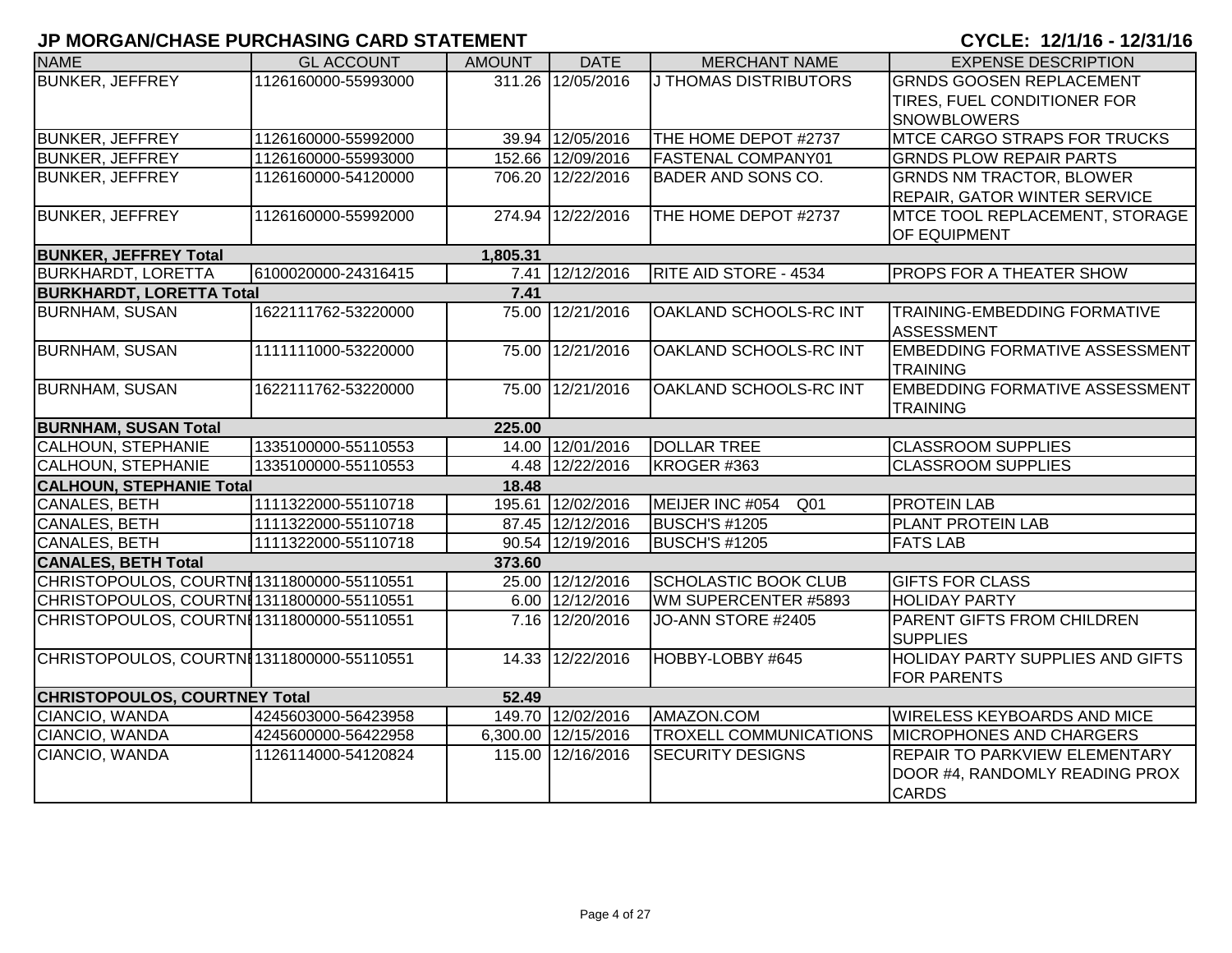| <b>NAME</b>                                | <b>GL ACCOUNT</b>   | <b>AMOUNT</b> | <b>DATE</b>         | <b>MERCHANT NAME</b>               | <b>EXPENSE DESCRIPTION</b>                               |
|--------------------------------------------|---------------------|---------------|---------------------|------------------------------------|----------------------------------------------------------|
| <b>BUNKER, JEFFREY</b>                     | 1126160000-55993000 |               | 311.26 12/05/2016   | <b>J THOMAS DISTRIBUTORS</b>       | <b>GRNDS GOOSEN REPLACEMENT</b>                          |
|                                            |                     |               |                     |                                    | TIRES, FUEL CONDITIONER FOR                              |
|                                            |                     |               |                     |                                    | <b>SNOWBLOWERS</b>                                       |
| <b>BUNKER, JEFFREY</b>                     | 1126160000-55992000 |               | 39.94 12/05/2016    | THE HOME DEPOT #2737               | <b>MTCE CARGO STRAPS FOR TRUCKS</b>                      |
| <b>BUNKER, JEFFREY</b>                     | 1126160000-55993000 |               | 152.66 12/09/2016   | <b>FASTENAL COMPANY01</b>          | <b>GRNDS PLOW REPAIR PARTS</b>                           |
| <b>BUNKER, JEFFREY</b>                     | 1126160000-54120000 |               | 706.20 12/22/2016   | <b>BADER AND SONS CO.</b>          | <b>GRNDS NM TRACTOR, BLOWER</b>                          |
|                                            |                     |               |                     |                                    | <b>REPAIR, GATOR WINTER SERVICE</b>                      |
| <b>BUNKER, JEFFREY</b>                     | 1126160000-55992000 |               | 274.94 12/22/2016   | THE HOME DEPOT #2737               | MTCE TOOL REPLACEMENT, STORAGE                           |
|                                            |                     |               |                     |                                    | <b>OF EQUIPMENT</b>                                      |
| <b>BUNKER, JEFFREY Total</b>               |                     | 1,805.31      |                     |                                    |                                                          |
| <b>BURKHARDT, LORETTA</b>                  | 6100020000-24316415 |               | 7.41 12/12/2016     | <b>RITE AID STORE - 4534</b>       | <b>PROPS FOR A THEATER SHOW</b>                          |
| <b>BURKHARDT, LORETTA Total</b>            |                     | 7.41          |                     |                                    |                                                          |
| <b>BURNHAM, SUSAN</b>                      | 1622111762-53220000 | 75.00         | 12/21/2016          | OAKLAND SCHOOLS-RC INT             | <b>TRAINING-EMBEDDING FORMATIVE</b><br><b>ASSESSMENT</b> |
| <b>BURNHAM, SUSAN</b>                      | 1111111000-53220000 |               | 75.00 12/21/2016    | OAKLAND SCHOOLS-RC INT             | <b>EMBEDDING FORMATIVE ASSESSMENT</b>                    |
|                                            |                     |               |                     |                                    | <b>TRAINING</b>                                          |
| <b>BURNHAM, SUSAN</b>                      | 1622111762-53220000 |               | 75.00 12/21/2016    | OAKLAND SCHOOLS-RC INT             | <b>EMBEDDING FORMATIVE ASSESSMENT</b>                    |
|                                            |                     |               |                     |                                    | <b>TRAINING</b>                                          |
| <b>BURNHAM, SUSAN Total</b>                |                     | 225.00        |                     |                                    |                                                          |
| <b>CALHOUN, STEPHANIE</b>                  | 1335100000-55110553 |               | 14.00 12/01/2016    | <b>DOLLAR TREE</b>                 | <b>CLASSROOM SUPPLIES</b>                                |
| <b>CALHOUN, STEPHANIE</b>                  | 1335100000-55110553 |               | 4.48 12/22/2016     | KROGER #363                        | <b>CLASSROOM SUPPLIES</b>                                |
| <b>CALHOUN, STEPHANIE Total</b>            |                     | 18.48         |                     |                                    |                                                          |
| CANALES, BETH                              | 1111322000-55110718 |               | 195.61 12/02/2016   | MEIJER INC #054<br>Q <sub>01</sub> | <b>PROTEIN LAB</b>                                       |
| <b>CANALES, BETH</b>                       | 1111322000-55110718 |               | 87.45 12/12/2016    | BUSCH'S #1205                      | <b>PLANT PROTEIN LAB</b>                                 |
| <b>CANALES, BETH</b>                       | 1111322000-55110718 |               | 90.54 12/19/2016    | <b>BUSCH'S #1205</b>               | <b>FATS LAB</b>                                          |
| <b>CANALES, BETH Total</b>                 |                     | 373.60        |                     |                                    |                                                          |
| CHRISTOPOULOS, COURTNI1311800000-55110551  |                     |               | 25.00 12/12/2016    | <b>SCHOLASTIC BOOK CLUB</b>        | <b>GIFTS FOR CLASS</b>                                   |
| CHRISTOPOULOS, COURTNI1311800000-55110551  |                     |               | 6.00 12/12/2016     | WM SUPERCENTER #5893               | <b>HOLIDAY PARTY</b>                                     |
| CHRISTOPOULOS, COURTNI1311800000-55110551  |                     |               | 7.16 12/20/2016     | JO-ANN STORE #2405                 | <b>PARENT GIFTS FROM CHILDREN</b>                        |
|                                            |                     |               |                     |                                    | <b>SUPPLIES</b>                                          |
| CHRISTOPOULOS, COURTNI 1311800000-55110551 |                     | 14.33         | 12/22/2016          | HOBBY-LOBBY #645                   | <b>HOLIDAY PARTY SUPPLIES AND GIFTS</b>                  |
|                                            |                     |               |                     |                                    | <b>FOR PARENTS</b>                                       |
| <b>CHRISTOPOULOS, COURTNEY Total</b>       |                     | 52.49         |                     |                                    |                                                          |
| CIANCIO, WANDA                             | 4245603000-56423958 |               | 149.70 12/02/2016   | AMAZON.COM                         | <b>WIRELESS KEYBOARDS AND MICE</b>                       |
| CIANCIO, WANDA                             | 4245600000-56422958 |               | 6,300.00 12/15/2016 | <b>TROXELL COMMUNICATIONS</b>      | <b>MICROPHONES AND CHARGERS</b>                          |
| CIANCIO, WANDA                             | 1126114000-54120824 |               | 115.00 12/16/2016   | <b>SECURITY DESIGNS</b>            | <b>REPAIR TO PARKVIEW ELEMENTARY</b>                     |
|                                            |                     |               |                     |                                    | DOOR #4, RANDOMLY READING PROX                           |
|                                            |                     |               |                     |                                    | <b>CARDS</b>                                             |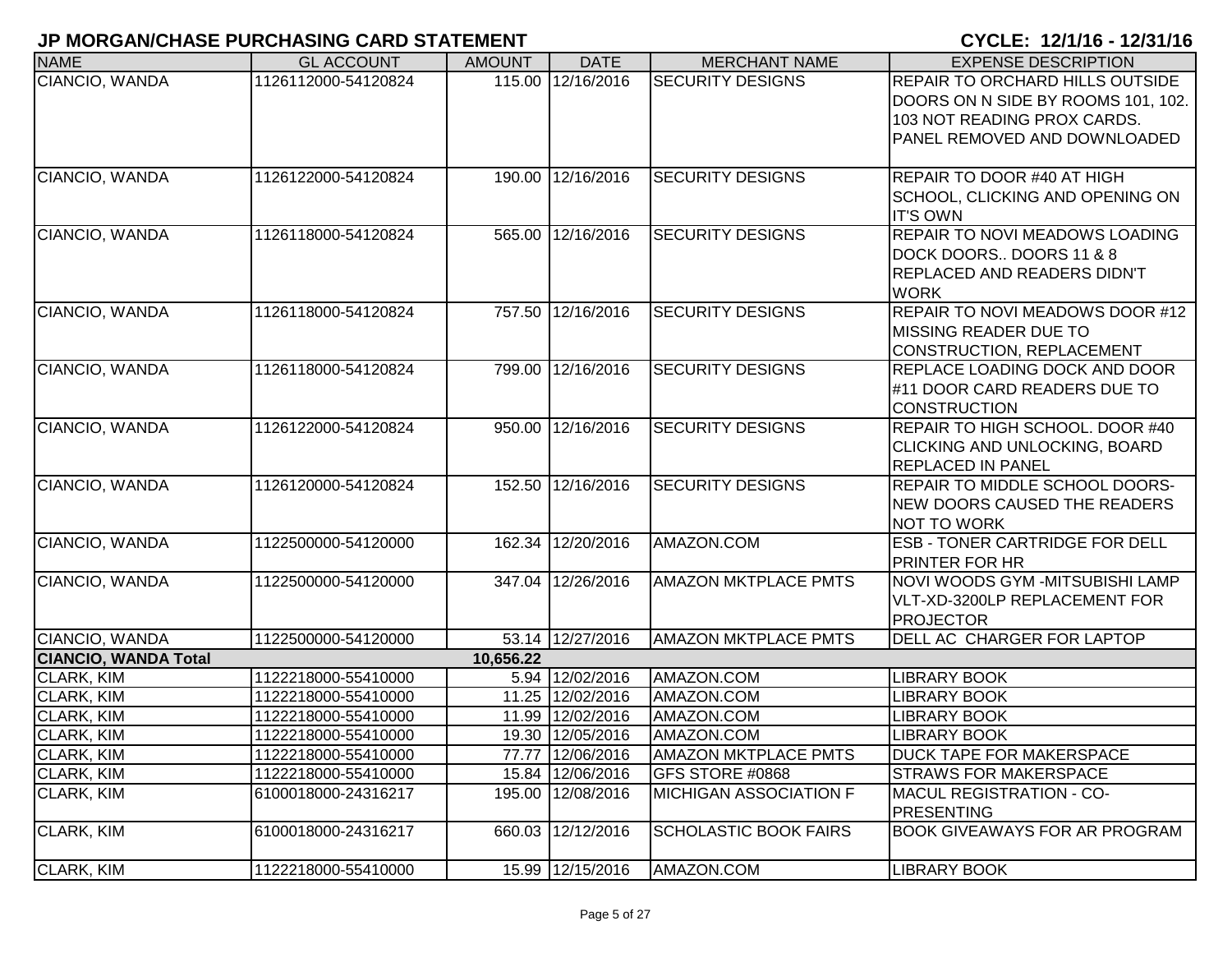| <b>NAME</b>                 | <b>GL ACCOUNT</b>   | <b>AMOUNT</b> | <b>DATE</b>       | <b>MERCHANT NAME</b>          | <b>EXPENSE DESCRIPTION</b>             |
|-----------------------------|---------------------|---------------|-------------------|-------------------------------|----------------------------------------|
| CIANCIO, WANDA              | 1126112000-54120824 |               | 115.00 12/16/2016 | <b>SECURITY DESIGNS</b>       | <b>REPAIR TO ORCHARD HILLS OUTSIDE</b> |
|                             |                     |               |                   |                               | DOORS ON N SIDE BY ROOMS 101, 102.     |
|                             |                     |               |                   |                               | 103 NOT READING PROX CARDS.            |
|                             |                     |               |                   |                               | PANEL REMOVED AND DOWNLOADED           |
|                             |                     |               |                   |                               |                                        |
| CIANCIO, WANDA              | 1126122000-54120824 |               | 190.00 12/16/2016 | <b>SECURITY DESIGNS</b>       | REPAIR TO DOOR #40 AT HIGH             |
|                             |                     |               |                   |                               | SCHOOL, CLICKING AND OPENING ON        |
|                             |                     |               |                   |                               | <b>IT'S OWN</b>                        |
| CIANCIO, WANDA              | 1126118000-54120824 |               | 565.00 12/16/2016 | <b>SECURITY DESIGNS</b>       | REPAIR TO NOVI MEADOWS LOADING         |
|                             |                     |               |                   |                               | DOCK DOORS DOORS 11 & 8                |
|                             |                     |               |                   |                               | <b>REPLACED AND READERS DIDN'T</b>     |
|                             |                     |               |                   |                               | <b>WORK</b>                            |
| CIANCIO, WANDA              | 1126118000-54120824 |               | 757.50 12/16/2016 | <b>SECURITY DESIGNS</b>       | REPAIR TO NOVI MEADOWS DOOR #12        |
|                             |                     |               |                   |                               | <b>MISSING READER DUE TO</b>           |
|                             |                     |               |                   |                               | CONSTRUCTION, REPLACEMENT              |
| CIANCIO, WANDA              | 1126118000-54120824 |               | 799.00 12/16/2016 | <b>SECURITY DESIGNS</b>       | REPLACE LOADING DOCK AND DOOR          |
|                             |                     |               |                   |                               | #11 DOOR CARD READERS DUE TO           |
|                             |                     |               |                   |                               | <b>CONSTRUCTION</b>                    |
| CIANCIO, WANDA              | 1126122000-54120824 |               | 950.00 12/16/2016 | <b>SECURITY DESIGNS</b>       | REPAIR TO HIGH SCHOOL. DOOR #40        |
|                             |                     |               |                   |                               | CLICKING AND UNLOCKING, BOARD          |
|                             |                     |               |                   |                               | <b>REPLACED IN PANEL</b>               |
| CIANCIO, WANDA              | 1126120000-54120824 |               | 152.50 12/16/2016 | <b>SECURITY DESIGNS</b>       | <b>REPAIR TO MIDDLE SCHOOL DOORS-</b>  |
|                             |                     |               |                   |                               | NEW DOORS CAUSED THE READERS           |
|                             |                     |               |                   |                               | <b>NOT TO WORK</b>                     |
| CIANCIO, WANDA              | 1122500000-54120000 |               | 162.34 12/20/2016 | AMAZON.COM                    | <b>ESB - TONER CARTRIDGE FOR DELL</b>  |
|                             |                     |               |                   |                               | PRINTER FOR HR                         |
| CIANCIO, WANDA              | 1122500000-54120000 |               | 347.04 12/26/2016 | <b>AMAZON MKTPLACE PMTS</b>   | NOVI WOODS GYM - MITSUBISHI LAMP       |
|                             |                     |               |                   |                               | VLT-XD-3200LP REPLACEMENT FOR          |
|                             |                     |               |                   |                               | <b>PROJECTOR</b>                       |
| CIANCIO, WANDA              | 1122500000-54120000 |               | 53.14 12/27/2016  | <b>AMAZON MKTPLACE PMTS</b>   | DELL AC CHARGER FOR LAPTOP             |
| <b>CIANCIO, WANDA Total</b> |                     | 10,656.22     |                   |                               |                                        |
| CLARK, KIM                  | 1122218000-55410000 |               | 5.94 12/02/2016   | AMAZON.COM                    | <b>LIBRARY BOOK</b>                    |
| CLARK, KIM                  | 1122218000-55410000 |               | 11.25 12/02/2016  | AMAZON.COM                    | <b>LIBRARY BOOK</b>                    |
| <b>CLARK, KIM</b>           | 1122218000-55410000 |               | 11.99 12/02/2016  | AMAZON.COM                    | <b>LIBRARY BOOK</b>                    |
| <b>CLARK, KIM</b>           | 1122218000-55410000 |               | 19.30 12/05/2016  | AMAZON.COM                    | <b>LIBRARY BOOK</b>                    |
| CLARK, KIM                  | 1122218000-55410000 |               | 77.77 12/06/2016  | AMAZON MKTPLACE PMTS          | <b>DUCK TAPE FOR MAKERSPACE</b>        |
| <b>CLARK, KIM</b>           | 1122218000-55410000 |               | 15.84 12/06/2016  | GFS STORE #0868               | <b>STRAWS FOR MAKERSPACE</b>           |
| <b>CLARK, KIM</b>           | 6100018000-24316217 |               | 195.00 12/08/2016 | <b>MICHIGAN ASSOCIATION F</b> | <b>MACUL REGISTRATION - CO-</b>        |
|                             |                     |               |                   |                               | <b>PRESENTING</b>                      |
| <b>CLARK, KIM</b>           | 6100018000-24316217 |               | 660.03 12/12/2016 | <b>SCHOLASTIC BOOK FAIRS</b>  | BOOK GIVEAWAYS FOR AR PROGRAM          |
| CLARK, KIM                  | 1122218000-55410000 |               | 15.99 12/15/2016  | AMAZON.COM                    | <b>LIBRARY BOOK</b>                    |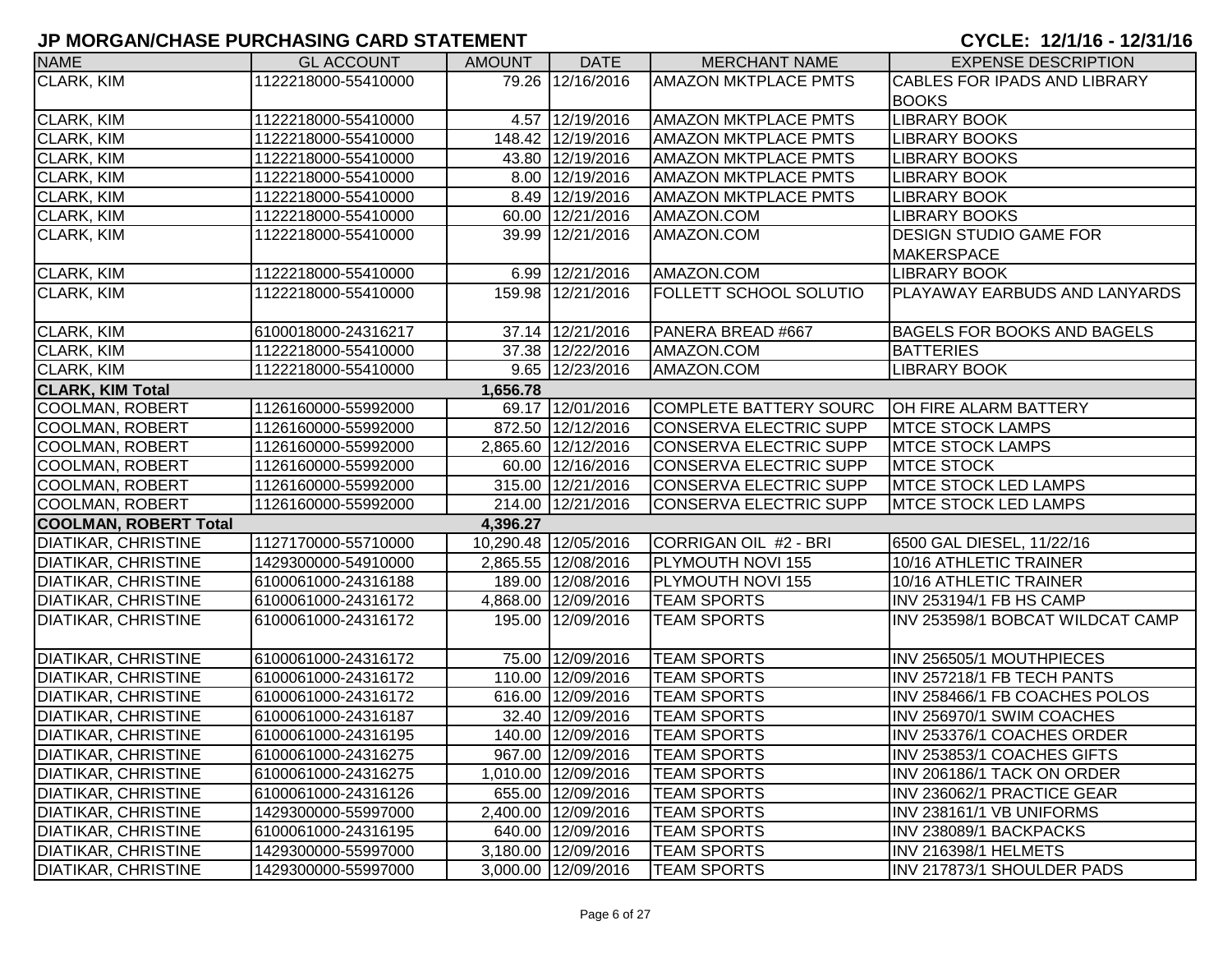| <b>NAME</b>                  | <b>GL ACCOUNT</b>   | <b>AMOUNT</b> | <b>DATE</b>          | <b>MERCHANT NAME</b>          | <b>EXPENSE DESCRIPTION</b>          |
|------------------------------|---------------------|---------------|----------------------|-------------------------------|-------------------------------------|
| <b>CLARK, KIM</b>            | 1122218000-55410000 |               | 79.26 12/16/2016     | <b>AMAZON MKTPLACE PMTS</b>   | <b>CABLES FOR IPADS AND LIBRARY</b> |
|                              |                     |               |                      |                               | <b>BOOKS</b>                        |
| <b>CLARK, KIM</b>            | 1122218000-55410000 |               | 4.57 12/19/2016      | <b>AMAZON MKTPLACE PMTS</b>   | <b>LIBRARY BOOK</b>                 |
| <b>CLARK, KIM</b>            | 1122218000-55410000 |               | 148.42 12/19/2016    | <b>AMAZON MKTPLACE PMTS</b>   | <b>LIBRARY BOOKS</b>                |
| <b>CLARK, KIM</b>            | 1122218000-55410000 |               | 43.80 12/19/2016     | <b>AMAZON MKTPLACE PMTS</b>   | <b>LIBRARY BOOKS</b>                |
| CLARK, KIM                   | 1122218000-55410000 |               | 8.00 12/19/2016      | <b>AMAZON MKTPLACE PMTS</b>   | <b>LIBRARY BOOK</b>                 |
| <b>CLARK, KIM</b>            | 1122218000-55410000 |               | 8.49 12/19/2016      | <b>AMAZON MKTPLACE PMTS</b>   | <b>LIBRARY BOOK</b>                 |
| CLARK, KIM                   | 1122218000-55410000 |               | 60.00 12/21/2016     | AMAZON.COM                    | <b>LIBRARY BOOKS</b>                |
| <b>CLARK, KIM</b>            | 1122218000-55410000 |               | 39.99 12/21/2016     | AMAZON.COM                    | <b>DESIGN STUDIO GAME FOR</b>       |
|                              |                     |               |                      |                               | <b>MAKERSPACE</b>                   |
| <b>CLARK, KIM</b>            | 1122218000-55410000 |               | 6.99 12/21/2016      | AMAZON.COM                    | <b>LIBRARY BOOK</b>                 |
| <b>CLARK, KIM</b>            | 1122218000-55410000 |               | 159.98 12/21/2016    | <b>FOLLETT SCHOOL SOLUTIO</b> | PLAYAWAY EARBUDS AND LANYARDS       |
|                              |                     |               |                      |                               |                                     |
| <b>CLARK, KIM</b>            | 6100018000-24316217 |               | 37.14 12/21/2016     | PANERA BREAD #667             | <b>BAGELS FOR BOOKS AND BAGELS</b>  |
| <b>CLARK, KIM</b>            | 1122218000-55410000 |               | 37.38 12/22/2016     | AMAZON.COM                    | <b>BATTERIES</b>                    |
| <b>CLARK, KIM</b>            | 1122218000-55410000 |               | 9.65 12/23/2016      | AMAZON.COM                    | <b>LIBRARY BOOK</b>                 |
| <b>CLARK, KIM Total</b>      |                     | 1,656.78      |                      |                               |                                     |
| COOLMAN, ROBERT              | 1126160000-55992000 |               | 69.17 12/01/2016     | COMPLETE BATTERY SOURC        | OH FIRE ALARM BATTERY               |
| COOLMAN, ROBERT              | 1126160000-55992000 |               | 872.50 12/12/2016    | <b>CONSERVA ELECTRIC SUPP</b> | <b>MTCE STOCK LAMPS</b>             |
| COOLMAN, ROBERT              | 1126160000-55992000 |               | 2,865.60 12/12/2016  | <b>CONSERVA ELECTRIC SUPP</b> | <b>MTCE STOCK LAMPS</b>             |
| COOLMAN, ROBERT              | 1126160000-55992000 |               | 60.00 12/16/2016     | <b>CONSERVA ELECTRIC SUPP</b> | <b>MTCE STOCK</b>                   |
| COOLMAN, ROBERT              | 1126160000-55992000 |               | 315.00 12/21/2016    | CONSERVA ELECTRIC SUPP        | <b>MTCE STOCK LED LAMPS</b>         |
| COOLMAN, ROBERT              | 1126160000-55992000 |               | 214.00 12/21/2016    | CONSERVA ELECTRIC SUPP        | <b>MTCE STOCK LED LAMPS</b>         |
| <b>COOLMAN, ROBERT Total</b> |                     | 4,396.27      |                      |                               |                                     |
| <b>DIATIKAR, CHRISTINE</b>   | 1127170000-55710000 |               | 10,290.48 12/05/2016 | CORRIGAN OIL #2 - BRI         | 6500 GAL DIESEL, 11/22/16           |
| <b>DIATIKAR, CHRISTINE</b>   | 1429300000-54910000 |               | 2,865.55 12/08/2016  | PLYMOUTH NOVI 155             | 10/16 ATHLETIC TRAINER              |
| <b>DIATIKAR, CHRISTINE</b>   | 6100061000-24316188 |               | 189.00 12/08/2016    | PLYMOUTH NOVI 155             | 10/16 ATHLETIC TRAINER              |
| <b>DIATIKAR, CHRISTINE</b>   | 6100061000-24316172 |               | 4,868.00 12/09/2016  | <b>TEAM SPORTS</b>            | INV 253194/1 FB HS CAMP             |
| <b>DIATIKAR, CHRISTINE</b>   | 6100061000-24316172 |               | 195.00 12/09/2016    | <b>TEAM SPORTS</b>            | INV 253598/1 BOBCAT WILDCAT CAMP    |
|                              |                     |               |                      |                               |                                     |
| <b>DIATIKAR, CHRISTINE</b>   | 6100061000-24316172 |               | 75.00 12/09/2016     | <b>TEAM SPORTS</b>            | INV 256505/1 MOUTHPIECES            |
| <b>DIATIKAR, CHRISTINE</b>   | 6100061000-24316172 |               | 110.00 12/09/2016    | <b>TEAM SPORTS</b>            | INV 257218/1 FB TECH PANTS          |
| <b>DIATIKAR, CHRISTINE</b>   | 6100061000-24316172 |               | 616.00 12/09/2016    | <b>TEAM SPORTS</b>            | INV 258466/1 FB COACHES POLOS       |
| <b>DIATIKAR, CHRISTINE</b>   | 6100061000-24316187 |               | 32.40 12/09/2016     | <b>TEAM SPORTS</b>            | INV 256970/1 SWIM COACHES           |
| <b>DIATIKAR, CHRISTINE</b>   | 6100061000-24316195 |               | 140.00 12/09/2016    | <b>TEAM SPORTS</b>            | INV 253376/1 COACHES ORDER          |
| DIATIKAR, CHRISTINE          | 6100061000-24316275 |               | 967.00 12/09/2016    | <b>TEAM SPORTS</b>            | INV 253853/1 COACHES GIFTS          |
| <b>DIATIKAR, CHRISTINE</b>   | 6100061000-24316275 |               | 1,010.00 12/09/2016  | <b>TEAM SPORTS</b>            | INV 206186/1 TACK ON ORDER          |
| <b>DIATIKAR, CHRISTINE</b>   | 6100061000-24316126 |               | 655.00 12/09/2016    | <b>TEAM SPORTS</b>            | INV 236062/1 PRACTICE GEAR          |
| <b>DIATIKAR, CHRISTINE</b>   | 1429300000-55997000 |               | 2,400.00 12/09/2016  | <b>TEAM SPORTS</b>            | INV 238161/1 VB UNIFORMS            |
| <b>DIATIKAR, CHRISTINE</b>   | 6100061000-24316195 |               | 640.00 12/09/2016    | <b>TEAM SPORTS</b>            | INV 238089/1 BACKPACKS              |
| <b>DIATIKAR, CHRISTINE</b>   | 1429300000-55997000 |               | 3,180.00 12/09/2016  | <b>TEAM SPORTS</b>            | INV 216398/1 HELMETS                |
| DIATIKAR, CHRISTINE          | 1429300000-55997000 |               | 3,000.00 12/09/2016  | <b>TEAM SPORTS</b>            | INV 217873/1 SHOULDER PADS          |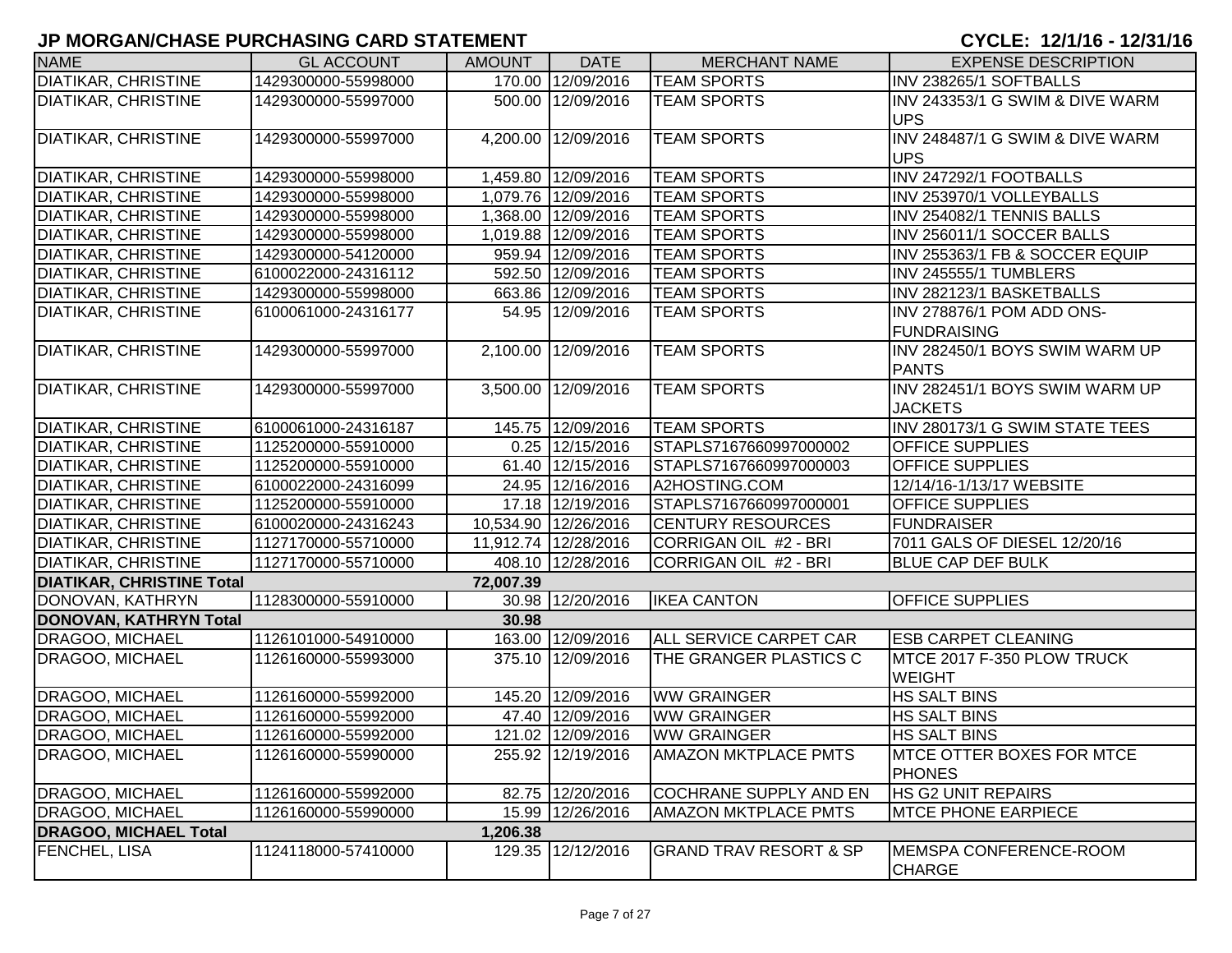| <b>NAME</b>                      | <b>GL ACCOUNT</b>   | <b>AMOUNT</b> | <b>DATE</b>          | <b>MERCHANT NAME</b>              | <b>EXPENSE DESCRIPTION</b>                        |
|----------------------------------|---------------------|---------------|----------------------|-----------------------------------|---------------------------------------------------|
| DIATIKAR, CHRISTINE              | 1429300000-55998000 |               | 170.00 12/09/2016    | <b>TEAM SPORTS</b>                | INV 238265/1 SOFTBALLS                            |
| DIATIKAR, CHRISTINE              | 1429300000-55997000 |               | 500.00 12/09/2016    | <b>TEAM SPORTS</b>                | INV 243353/1 G SWIM & DIVE WARM                   |
|                                  |                     |               |                      |                                   | <b>UPS</b>                                        |
| <b>DIATIKAR, CHRISTINE</b>       | 1429300000-55997000 |               | 4,200.00 12/09/2016  | <b>TEAM SPORTS</b>                | INV 248487/1 G SWIM & DIVE WARM                   |
|                                  |                     |               |                      |                                   | <b>UPS</b>                                        |
| DIATIKAR, CHRISTINE              | 1429300000-55998000 |               | 1,459.80 12/09/2016  | <b>TEAM SPORTS</b>                | INV 247292/1 FOOTBALLS                            |
| DIATIKAR, CHRISTINE              | 1429300000-55998000 |               | 1,079.76 12/09/2016  | <b>TEAM SPORTS</b>                | INV 253970/1 VOLLEYBALLS                          |
| DIATIKAR, CHRISTINE              | 1429300000-55998000 |               | 1,368.00 12/09/2016  | <b>TEAM SPORTS</b>                | INV 254082/1 TENNIS BALLS                         |
| <b>DIATIKAR, CHRISTINE</b>       | 1429300000-55998000 |               | 1,019.88 12/09/2016  | <b>TEAM SPORTS</b>                | INV 256011/1 SOCCER BALLS                         |
| <b>DIATIKAR, CHRISTINE</b>       | 1429300000-54120000 |               | 959.94 12/09/2016    | <b>TEAM SPORTS</b>                | INV 255363/1 FB & SOCCER EQUIP                    |
| <b>DIATIKAR, CHRISTINE</b>       | 6100022000-24316112 |               | 592.50 12/09/2016    | <b>TEAM SPORTS</b>                | INV 245555/1 TUMBLERS                             |
| <b>DIATIKAR, CHRISTINE</b>       | 1429300000-55998000 |               | 663.86 12/09/2016    | <b>TEAM SPORTS</b>                | INV 282123/1 BASKETBALLS                          |
| DIATIKAR, CHRISTINE              | 6100061000-24316177 |               | 54.95 12/09/2016     | <b>TEAM SPORTS</b>                | INV 278876/1 POM ADD ONS-                         |
|                                  |                     |               |                      |                                   | <b>FUNDRAISING</b>                                |
| DIATIKAR, CHRISTINE              | 1429300000-55997000 |               | 2,100.00 12/09/2016  | <b>TEAM SPORTS</b>                | INV 282450/1 BOYS SWIM WARM UP                    |
|                                  |                     |               |                      |                                   | <b>PANTS</b>                                      |
| DIATIKAR, CHRISTINE              | 1429300000-55997000 |               | 3,500.00 12/09/2016  | <b>TEAM SPORTS</b>                | INV 282451/1 BOYS SWIM WARM UP                    |
|                                  |                     |               |                      |                                   | <b>JACKETS</b>                                    |
| <b>DIATIKAR, CHRISTINE</b>       | 6100061000-24316187 |               | 145.75 12/09/2016    | <b>TEAM SPORTS</b>                | INV 280173/1 G SWIM STATE TEES                    |
| <b>DIATIKAR, CHRISTINE</b>       | 1125200000-55910000 |               | 0.25 12/15/2016      | STAPLS7167660997000002            | <b>OFFICE SUPPLIES</b>                            |
| <b>DIATIKAR, CHRISTINE</b>       | 1125200000-55910000 |               | 61.40 12/15/2016     | STAPLS7167660997000003            | <b>OFFICE SUPPLIES</b>                            |
| <b>DIATIKAR, CHRISTINE</b>       | 6100022000-24316099 |               | 24.95 12/16/2016     | A2HOSTING.COM                     | 12/14/16-1/13/17 WEBSITE                          |
| <b>DIATIKAR, CHRISTINE</b>       | 1125200000-55910000 |               | 17.18 12/19/2016     | STAPLS7167660997000001            | <b>OFFICE SUPPLIES</b>                            |
| <b>DIATIKAR, CHRISTINE</b>       | 6100020000-24316243 |               | 10,534.90 12/26/2016 | <b>CENTURY RESOURCES</b>          | <b>FUNDRAISER</b>                                 |
| <b>DIATIKAR, CHRISTINE</b>       | 1127170000-55710000 |               | 11,912.74 12/28/2016 | CORRIGAN OIL #2 - BRI             | 7011 GALS OF DIESEL 12/20/16                      |
| <b>DIATIKAR, CHRISTINE</b>       | 1127170000-55710000 |               | 408.10 12/28/2016    | CORRIGAN OIL #2 - BRI             | <b>BLUE CAP DEF BULK</b>                          |
| <b>DIATIKAR, CHRISTINE Total</b> |                     | 72,007.39     |                      |                                   |                                                   |
| DONOVAN, KATHRYN                 | 1128300000-55910000 |               | 30.98 12/20/2016     | <b>IKEA CANTON</b>                | <b>OFFICE SUPPLIES</b>                            |
| <b>DONOVAN, KATHRYN Total</b>    |                     | 30.98         |                      |                                   |                                                   |
| DRAGOO, MICHAEL                  | 1126101000-54910000 |               | 163.00 12/09/2016    | <b>ALL SERVICE CARPET CAR</b>     | <b>ESB CARPET CLEANING</b>                        |
| DRAGOO, MICHAEL                  | 1126160000-55993000 |               | 375.10 12/09/2016    | THE GRANGER PLASTICS C            | MTCE 2017 F-350 PLOW TRUCK<br><b>WEIGHT</b>       |
| DRAGOO, MICHAEL                  | 1126160000-55992000 |               | 145.20 12/09/2016    | <b>WW GRAINGER</b>                | <b>HS SALT BINS</b>                               |
| DRAGOO, MICHAEL                  | 1126160000-55992000 |               | 47.40 12/09/2016     | <b>WW GRAINGER</b>                | <b>HS SALT BINS</b>                               |
| DRAGOO, MICHAEL                  | 1126160000-55992000 |               | 121.02 12/09/2016    | <b>WW GRAINGER</b>                | <b>HS SALT BINS</b>                               |
| <b>DRAGOO, MICHAEL</b>           | 1126160000-55990000 |               | 255.92 12/19/2016    | <b>AMAZON MKTPLACE PMTS</b>       | <b>MTCE OTTER BOXES FOR MTCE</b><br><b>PHONES</b> |
| DRAGOO, MICHAEL                  | 1126160000-55992000 |               | 82.75 12/20/2016     | <b>COCHRANE SUPPLY AND EN</b>     | <b>HS G2 UNIT REPAIRS</b>                         |
| DRAGOO, MICHAEL                  | 1126160000-55990000 |               | 15.99 12/26/2016     | <b>AMAZON MKTPLACE PMTS</b>       | <b>MTCE PHONE EARPIECE</b>                        |
| <b>DRAGOO, MICHAEL Total</b>     |                     | 1,206.38      |                      |                                   |                                                   |
| FENCHEL, LISA                    | 1124118000-57410000 |               | 129.35 12/12/2016    | <b>GRAND TRAV RESORT &amp; SP</b> | MEMSPA CONFERENCE-ROOM<br><b>CHARGE</b>           |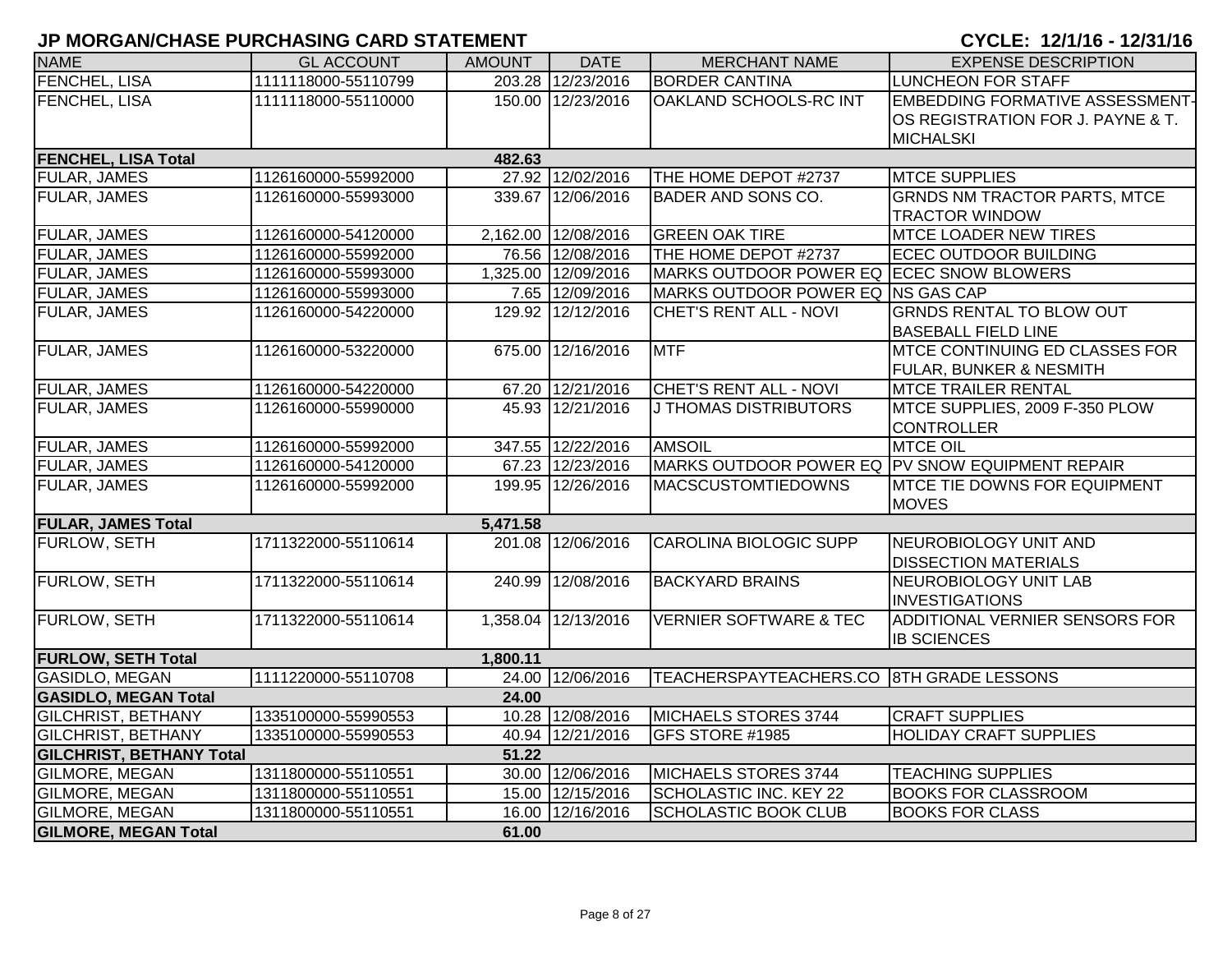| <b>NAME</b>                     | <b>GL ACCOUNT</b>   | <b>AMOUNT</b> | <b>DATE</b>         | <b>MERCHANT NAME</b>                     | <b>EXPENSE DESCRIPTION</b>                                                               |
|---------------------------------|---------------------|---------------|---------------------|------------------------------------------|------------------------------------------------------------------------------------------|
| FENCHEL, LISA                   | 1111118000-55110799 |               | 203.28 12/23/2016   | <b>BORDER CANTINA</b>                    | LUNCHEON FOR STAFF                                                                       |
| FENCHEL, LISA                   | 1111118000-55110000 |               | 150.00 12/23/2016   | OAKLAND SCHOOLS-RC INT                   | <b>EMBEDDING FORMATIVE ASSESSMENT-</b><br>OS REGISTRATION FOR J. PAYNE & T.<br>MICHALSKI |
| <b>FENCHEL, LISA Total</b>      |                     | 482.63        |                     |                                          |                                                                                          |
| <b>FULAR, JAMES</b>             | 1126160000-55992000 |               | 27.92 12/02/2016    | THE HOME DEPOT #2737                     | <b>MTCE SUPPLIES</b>                                                                     |
| FULAR, JAMES                    | 1126160000-55993000 |               | 339.67 12/06/2016   | BADER AND SONS CO.                       | <b>GRNDS NM TRACTOR PARTS, MTCE</b><br><b>TRACTOR WINDOW</b>                             |
| <b>FULAR, JAMES</b>             | 1126160000-54120000 |               | 2,162.00 12/08/2016 | <b>GREEN OAK TIRE</b>                    | <b>MTCE LOADER NEW TIRES</b>                                                             |
| <b>FULAR, JAMES</b>             | 1126160000-55992000 |               | 76.56 12/08/2016    | THE HOME DEPOT #2737                     | <b>ECEC OUTDOOR BUILDING</b>                                                             |
| <b>FULAR, JAMES</b>             | 1126160000-55993000 |               | 1,325.00 12/09/2016 | MARKS OUTDOOR POWER EQ ECEC SNOW BLOWERS |                                                                                          |
| <b>FULAR, JAMES</b>             | 1126160000-55993000 |               | 7.65 12/09/2016     | MARKS OUTDOOR POWER EQ INS GAS CAP       |                                                                                          |
| FULAR, JAMES                    | 1126160000-54220000 |               | 129.92 12/12/2016   | CHET'S RENT ALL - NOVI                   | <b>GRNDS RENTAL TO BLOW OUT</b><br><b>BASEBALL FIELD LINE</b>                            |
| <b>FULAR, JAMES</b>             | 1126160000-53220000 |               | 675.00 12/16/2016   | <b>MTF</b>                               | <b>MTCE CONTINUING ED CLASSES FOR</b><br><b>FULAR, BUNKER &amp; NESMITH</b>              |
| <b>FULAR, JAMES</b>             | 1126160000-54220000 |               | 67.20 12/21/2016    | <b>CHET'S RENT ALL - NOVI</b>            | <b>MTCE TRAILER RENTAL</b>                                                               |
| <b>FULAR, JAMES</b>             | 1126160000-55990000 |               | 45.93 12/21/2016    | <b>J THOMAS DISTRIBUTORS</b>             | MTCE SUPPLIES, 2009 F-350 PLOW<br><b>CONTROLLER</b>                                      |
| <b>FULAR, JAMES</b>             | 1126160000-55992000 |               | 347.55 12/22/2016   | <b>AMSOIL</b>                            | <b>MTCE OIL</b>                                                                          |
| <b>FULAR, JAMES</b>             | 1126160000-54120000 |               | 67.23 12/23/2016    |                                          | MARKS OUTDOOR POWER EQ PV SNOW EQUIPMENT REPAIR                                          |
| <b>FULAR, JAMES</b>             | 1126160000-55992000 |               | 199.95 12/26/2016   | <b>MACSCUSTOMTIEDOWNS</b>                | <b>MTCE TIE DOWNS FOR EQUIPMENT</b><br><b>MOVES</b>                                      |
| <b>FULAR, JAMES Total</b>       |                     | 5,471.58      |                     |                                          |                                                                                          |
| FURLOW, SETH                    | 1711322000-55110614 |               | 201.08 12/06/2016   | <b>CAROLINA BIOLOGIC SUPP</b>            | NEUROBIOLOGY UNIT AND<br><b>DISSECTION MATERIALS</b>                                     |
| FURLOW, SETH                    | 1711322000-55110614 |               | 240.99 12/08/2016   | <b>BACKYARD BRAINS</b>                   | NEUROBIOLOGY UNIT LAB<br><b>INVESTIGATIONS</b>                                           |
| FURLOW, SETH                    | 1711322000-55110614 |               | 1,358.04 12/13/2016 | <b>VERNIER SOFTWARE &amp; TEC</b>        | ADDITIONAL VERNIER SENSORS FOR<br><b>IB SCIENCES</b>                                     |
| <b>FURLOW, SETH Total</b>       |                     | 1,800.11      |                     |                                          |                                                                                          |
| <b>GASIDLO, MEGAN</b>           | 1111220000-55110708 |               | 24.00 12/06/2016    | TEACHERSPAYTEACHERS.CO 8TH GRADE LESSONS |                                                                                          |
| <b>GASIDLO, MEGAN Total</b>     |                     | 24.00         |                     |                                          |                                                                                          |
| <b>GILCHRIST, BETHANY</b>       | 1335100000-55990553 |               | 10.28 12/08/2016    | MICHAELS STORES 3744                     | <b>CRAFT SUPPLIES</b>                                                                    |
| <b>GILCHRIST, BETHANY</b>       | 1335100000-55990553 |               | 40.94 12/21/2016    | GFS STORE #1985                          | <b>HOLIDAY CRAFT SUPPLIES</b>                                                            |
| <b>GILCHRIST, BETHANY Total</b> |                     | 51.22         |                     |                                          |                                                                                          |
| <b>GILMORE, MEGAN</b>           | 1311800000-55110551 |               | 30.00 12/06/2016    | MICHAELS STORES 3744                     | <b>TEACHING SUPPLIES</b>                                                                 |
| <b>GILMORE, MEGAN</b>           | 1311800000-55110551 |               | 15.00 12/15/2016    | SCHOLASTIC INC. KEY 22                   | <b>BOOKS FOR CLASSROOM</b>                                                               |
| GILMORE, MEGAN                  | 1311800000-55110551 |               | 16.00 12/16/2016    | <b>SCHOLASTIC BOOK CLUB</b>              | <b>BOOKS FOR CLASS</b>                                                                   |
| <b>GILMORE, MEGAN Total</b>     |                     | 61.00         |                     |                                          |                                                                                          |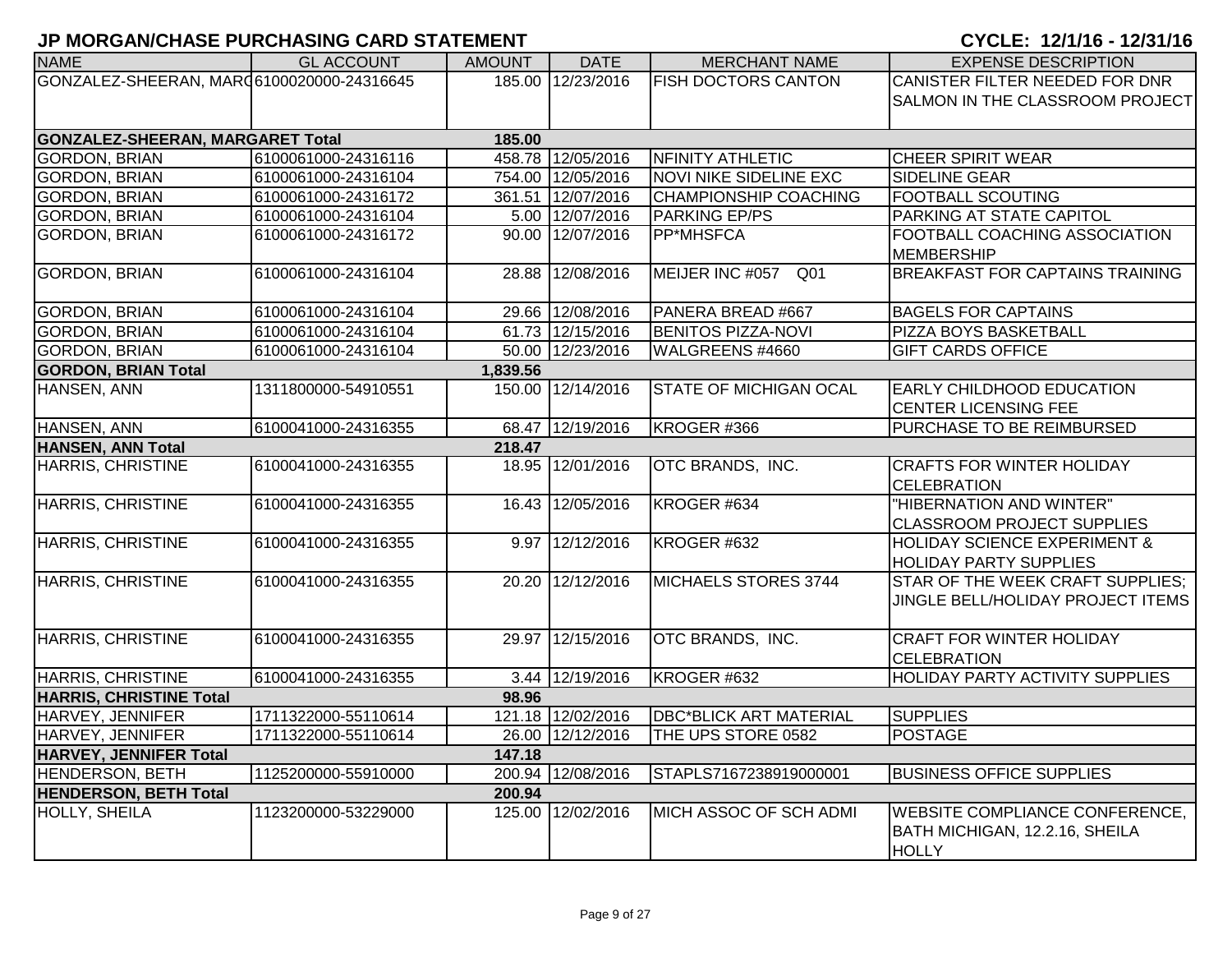| <b>NAME</b>                               | <b>GL ACCOUNT</b>   | <b>AMOUNT</b> | <b>DATE</b>       | <b>MERCHANT NAME</b>          | <b>EXPENSE DESCRIPTION</b>                                |
|-------------------------------------------|---------------------|---------------|-------------------|-------------------------------|-----------------------------------------------------------|
| GONZALEZ-SHEERAN, MAR06100020000-24316645 |                     |               | 185.00 12/23/2016 | <b>FISH DOCTORS CANTON</b>    | CANISTER FILTER NEEDED FOR DNR                            |
|                                           |                     |               |                   |                               | SALMON IN THE CLASSROOM PROJECT                           |
| <b>GONZALEZ-SHEERAN, MARGARET Total</b>   |                     | 185.00        |                   |                               |                                                           |
| <b>GORDON, BRIAN</b>                      | 6100061000-24316116 |               | 458.78 12/05/2016 | NFINITY ATHLETIC              | <b>CHEER SPIRIT WEAR</b>                                  |
| <b>GORDON, BRIAN</b>                      | 6100061000-24316104 |               | 754.00 12/05/2016 | <b>NOVI NIKE SIDELINE EXC</b> | SIDELINE GEAR                                             |
|                                           |                     |               |                   |                               |                                                           |
| <b>GORDON, BRIAN</b>                      | 6100061000-24316172 |               | 361.51 12/07/2016 | <b>CHAMPIONSHIP COACHING</b>  | <b>FOOTBALL SCOUTING</b>                                  |
| <b>GORDON, BRIAN</b>                      | 6100061000-24316104 |               | 5.00 12/07/2016   | <b>PARKING EP/PS</b>          | <b>PARKING AT STATE CAPITOL</b>                           |
| <b>GORDON, BRIAN</b>                      | 6100061000-24316172 |               | 90.00 12/07/2016  | PP*MHSFCA                     | <b>FOOTBALL COACHING ASSOCIATION</b><br><b>MEMBERSHIP</b> |
| <b>GORDON, BRIAN</b>                      | 6100061000-24316104 |               | 28.88 12/08/2016  | MEIJER INC #057 Q01           | <b>BREAKFAST FOR CAPTAINS TRAINING</b>                    |
| <b>GORDON, BRIAN</b>                      | 6100061000-24316104 |               | 29.66 12/08/2016  | PANERA BREAD #667             | <b>BAGELS FOR CAPTAINS</b>                                |
| <b>GORDON, BRIAN</b>                      | 6100061000-24316104 |               | 61.73 12/15/2016  | <b>BENITOS PIZZA-NOVI</b>     | PIZZA BOYS BASKETBALL                                     |
| <b>GORDON, BRIAN</b>                      | 6100061000-24316104 |               | 50.00 12/23/2016  | WALGREENS #4660               | <b>GIFT CARDS OFFICE</b>                                  |
| <b>GORDON, BRIAN Total</b>                |                     | 1,839.56      |                   |                               |                                                           |
| HANSEN, ANN                               | 1311800000-54910551 |               | 150.00 12/14/2016 | <b>STATE OF MICHIGAN OCAL</b> | <b>EARLY CHILDHOOD EDUCATION</b>                          |
|                                           |                     |               |                   |                               | <b>CENTER LICENSING FEE</b>                               |
| HANSEN, ANN                               | 6100041000-24316355 |               | 68.47 12/19/2016  | KROGER #366                   | PURCHASE TO BE REIMBURSED                                 |
| <b>HANSEN, ANN Total</b>                  |                     | 218.47        |                   |                               |                                                           |
| <b>HARRIS, CHRISTINE</b>                  | 6100041000-24316355 |               | 18.95 12/01/2016  | OTC BRANDS, INC.              | <b>CRAFTS FOR WINTER HOLIDAY</b>                          |
|                                           |                     |               |                   |                               | <b>CELEBRATION</b>                                        |
| <b>HARRIS, CHRISTINE</b>                  | 6100041000-24316355 |               | 16.43 12/05/2016  | KROGER #634                   | "HIBERNATION AND WINTER"                                  |
|                                           |                     |               |                   |                               | <b>CLASSROOM PROJECT SUPPLIES</b>                         |
| <b>HARRIS, CHRISTINE</b>                  | 6100041000-24316355 |               | 9.97 12/12/2016   | KROGER #632                   | <b>HOLIDAY SCIENCE EXPERIMENT &amp;</b>                   |
|                                           |                     |               |                   |                               | <b>HOLIDAY PARTY SUPPLIES</b>                             |
| <b>HARRIS, CHRISTINE</b>                  | 6100041000-24316355 |               | 20.20 12/12/2016  | MICHAELS STORES 3744          | STAR OF THE WEEK CRAFT SUPPLIES;                          |
|                                           |                     |               |                   |                               | JINGLE BELL/HOLIDAY PROJECT ITEMS                         |
|                                           |                     |               |                   |                               |                                                           |
| HARRIS, CHRISTINE                         | 6100041000-24316355 |               | 29.97 12/15/2016  | OTC BRANDS, INC.              | <b>CRAFT FOR WINTER HOLIDAY</b>                           |
|                                           |                     |               |                   |                               |                                                           |
|                                           |                     |               |                   |                               | <b>CELEBRATION</b>                                        |
| HARRIS, CHRISTINE                         | 6100041000-24316355 |               | 3.44 12/19/2016   | KROGER #632                   | <b>HOLIDAY PARTY ACTIVITY SUPPLIES</b>                    |
| <b>HARRIS, CHRISTINE Total</b>            |                     | 98.96         |                   |                               |                                                           |
| HARVEY, JENNIFER                          | 1711322000-55110614 |               | 121.18 12/02/2016 | <b>DBC*BLICK ART MATERIAL</b> | <b>SUPPLIES</b>                                           |
| HARVEY, JENNIFER                          | 1711322000-55110614 |               | 26.00 12/12/2016  | THE UPS STORE 0582            | <b>POSTAGE</b>                                            |
| HARVEY, JENNIFER Total                    |                     | 147.18        |                   |                               |                                                           |
| <b>HENDERSON, BETH</b>                    | 1125200000-55910000 |               | 200.94 12/08/2016 | STAPLS7167238919000001        | <b>BUSINESS OFFICE SUPPLIES</b>                           |
| <b>HENDERSON, BETH Total</b>              |                     | 200.94        |                   |                               |                                                           |
| HOLLY, SHEILA                             | 1123200000-53229000 |               | 125.00 12/02/2016 | MICH ASSOC OF SCH ADMI        | <b>WEBSITE COMPLIANCE CONFERENCE,</b>                     |
|                                           |                     |               |                   |                               | BATH MICHIGAN, 12.2.16, SHEILA                            |
|                                           |                     |               |                   |                               | <b>HOLLY</b>                                              |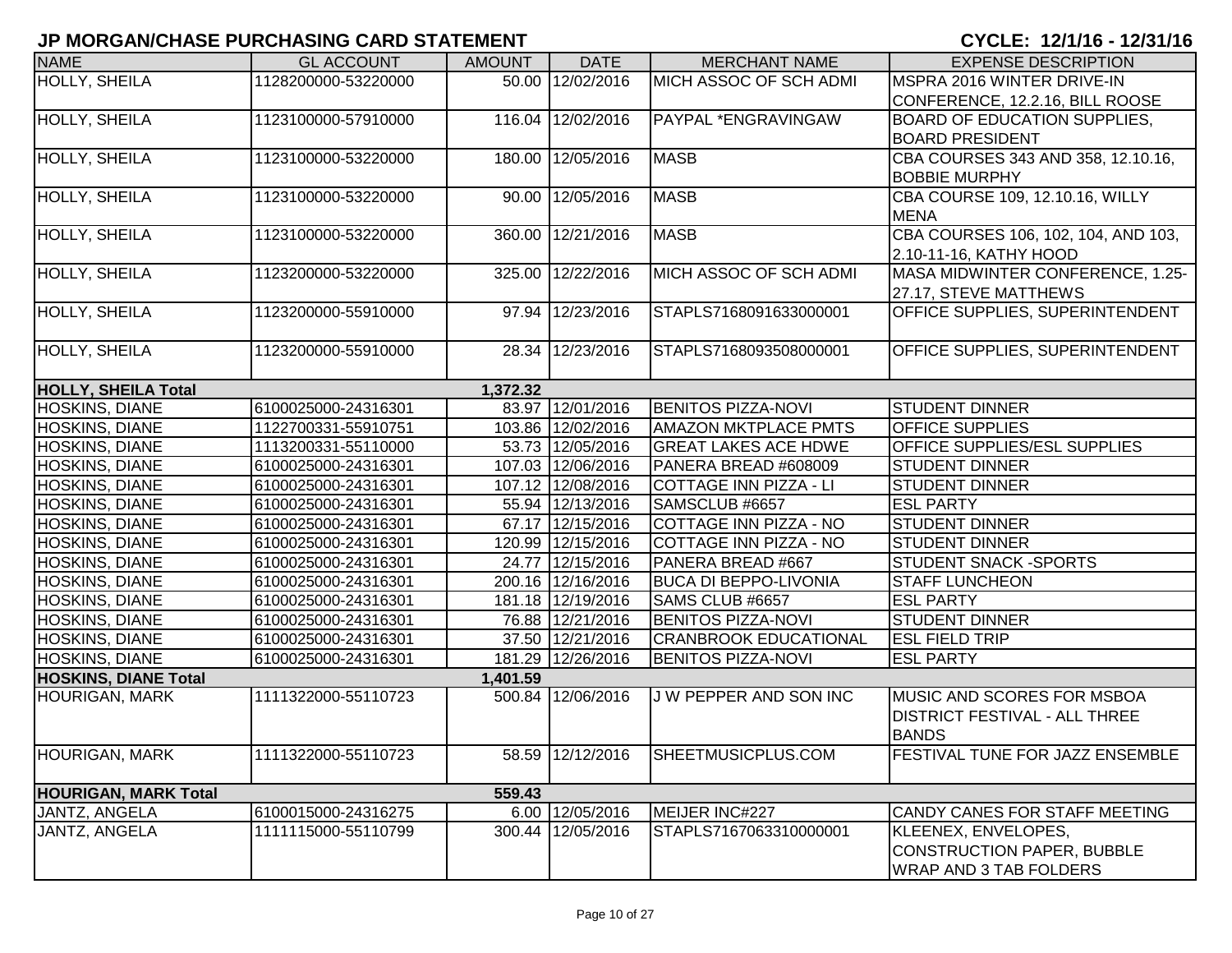| <b>NAME</b>                 | <b>GL ACCOUNT</b>   | <b>AMOUNT</b> | <b>DATE</b>       | <b>MERCHANT NAME</b>          | <b>EXPENSE DESCRIPTION</b>                         |
|-----------------------------|---------------------|---------------|-------------------|-------------------------------|----------------------------------------------------|
| <b>HOLLY, SHEILA</b>        | 1128200000-53220000 |               | 50.00 12/02/2016  | MICH ASSOC OF SCH ADMI        | MSPRA 2016 WINTER DRIVE-IN                         |
|                             |                     |               |                   |                               | CONFERENCE, 12.2.16, BILL ROOSE                    |
| HOLLY, SHEILA               | 1123100000-57910000 |               | 116.04 12/02/2016 | PAYPAL *ENGRAVINGAW           | <b>BOARD OF EDUCATION SUPPLIES,</b>                |
|                             |                     |               |                   |                               | <b>BOARD PRESIDENT</b>                             |
| HOLLY, SHEILA               | 1123100000-53220000 |               | 180.00 12/05/2016 | <b>MASB</b>                   | CBA COURSES 343 AND 358, 12.10.16,                 |
|                             |                     |               |                   |                               | <b>BOBBIE MURPHY</b>                               |
| HOLLY, SHEILA               | 1123100000-53220000 |               | 90.00 12/05/2016  | <b>MASB</b>                   | CBA COURSE 109, 12.10.16, WILLY                    |
|                             |                     |               | 360.00 12/21/2016 | <b>MASB</b>                   | <b>MENA</b><br>CBA COURSES 106, 102, 104, AND 103, |
| HOLLY, SHEILA               | 1123100000-53220000 |               |                   |                               | 2.10-11-16, KATHY HOOD                             |
| <b>HOLLY, SHEILA</b>        | 1123200000-53220000 |               | 325.00 12/22/2016 | MICH ASSOC OF SCH ADMI        | MASA MIDWINTER CONFERENCE, 1.25-                   |
|                             |                     |               |                   |                               | 27.17, STEVE MATTHEWS                              |
| HOLLY, SHEILA               | 1123200000-55910000 |               | 97.94 12/23/2016  | STAPLS7168091633000001        | OFFICE SUPPLIES, SUPERINTENDENT                    |
|                             |                     |               |                   |                               |                                                    |
| HOLLY, SHEILA               | 1123200000-55910000 |               | 28.34 12/23/2016  | STAPLS7168093508000001        | OFFICE SUPPLIES, SUPERINTENDENT                    |
| <b>HOLLY, SHEILA Total</b>  |                     | 1,372.32      |                   |                               |                                                    |
| <b>HOSKINS, DIANE</b>       | 6100025000-24316301 |               | 83.97 12/01/2016  | <b>BENITOS PIZZA-NOVI</b>     | <b>STUDENT DINNER</b>                              |
| HOSKINS, DIANE              | 1122700331-55910751 |               | 103.86 12/02/2016 | <b>AMAZON MKTPLACE PMTS</b>   | <b>OFFICE SUPPLIES</b>                             |
| HOSKINS, DIANE              | 1113200331-55110000 |               | 53.73 12/05/2016  | <b>GREAT LAKES ACE HDWE</b>   | <b>OFFICE SUPPLIES/ESL SUPPLIES</b>                |
| <b>HOSKINS, DIANE</b>       | 6100025000-24316301 |               | 107.03 12/06/2016 | PANERA BREAD #608009          | <b>STUDENT DINNER</b>                              |
| HOSKINS, DIANE              | 6100025000-24316301 |               | 107.12 12/08/2016 | <b>COTTAGE INN PIZZA - LI</b> | <b>STUDENT DINNER</b>                              |
| HOSKINS, DIANE              | 6100025000-24316301 |               | 55.94 12/13/2016  | SAMSCLUB #6657                | <b>ESL PARTY</b>                                   |
| HOSKINS, DIANE              | 6100025000-24316301 |               | 67.17 12/15/2016  | <b>COTTAGE INN PIZZA - NO</b> | <b>STUDENT DINNER</b>                              |
| HOSKINS, DIANE              | 6100025000-24316301 |               | 120.99 12/15/2016 | COTTAGE INN PIZZA - NO        | <b>STUDENT DINNER</b>                              |
| HOSKINS, DIANE              | 6100025000-24316301 |               | 24.77 12/15/2016  | PANERA BREAD #667             | <b>STUDENT SNACK -SPORTS</b>                       |
| HOSKINS, DIANE              | 6100025000-24316301 |               | 200.16 12/16/2016 | <b>BUCA DI BEPPO-LIVONIA</b>  | <b>STAFF LUNCHEON</b>                              |
| HOSKINS, DIANE              | 6100025000-24316301 |               | 181.18 12/19/2016 | SAMS CLUB #6657               | <b>ESL PARTY</b>                                   |
| HOSKINS, DIANE              | 6100025000-24316301 |               | 76.88 12/21/2016  | <b>BENITOS PIZZA-NOVI</b>     | <b>STUDENT DINNER</b>                              |
| HOSKINS, DIANE              | 6100025000-24316301 |               | 37.50 12/21/2016  | <b>CRANBROOK EDUCATIONAL</b>  | <b>ESL FIELD TRIP</b>                              |
| HOSKINS, DIANE              | 6100025000-24316301 |               | 181.29 12/26/2016 | <b>BENITOS PIZZA-NOVI</b>     | <b>ESL PARTY</b>                                   |
| <b>HOSKINS, DIANE Total</b> |                     | 1,401.59      |                   |                               |                                                    |
| <b>HOURIGAN, MARK</b>       | 1111322000-55110723 |               | 500.84 12/06/2016 | J W PEPPER AND SON INC        | <b>MUSIC AND SCORES FOR MSBOA</b>                  |
|                             |                     |               |                   |                               | <b>DISTRICT FESTIVAL - ALL THREE</b>               |
|                             |                     |               |                   |                               | <b>BANDS</b>                                       |
| <b>HOURIGAN, MARK</b>       | 1111322000-55110723 |               | 58.59 12/12/2016  | SHEETMUSICPLUS.COM            | <b>FESTIVAL TUNE FOR JAZZ ENSEMBLE</b>             |
| <b>HOURIGAN, MARK Total</b> |                     | 559.43        |                   |                               |                                                    |
| JANTZ, ANGELA               | 6100015000-24316275 |               | 6.00 12/05/2016   | MEIJER INC#227                | CANDY CANES FOR STAFF MEETING                      |
| JANTZ, ANGELA               | 1111115000-55110799 |               | 300.44 12/05/2016 | STAPLS7167063310000001        | KLEENEX, ENVELOPES,                                |
|                             |                     |               |                   |                               | <b>CONSTRUCTION PAPER, BUBBLE</b>                  |
|                             |                     |               |                   |                               | <b>WRAP AND 3 TAB FOLDERS</b>                      |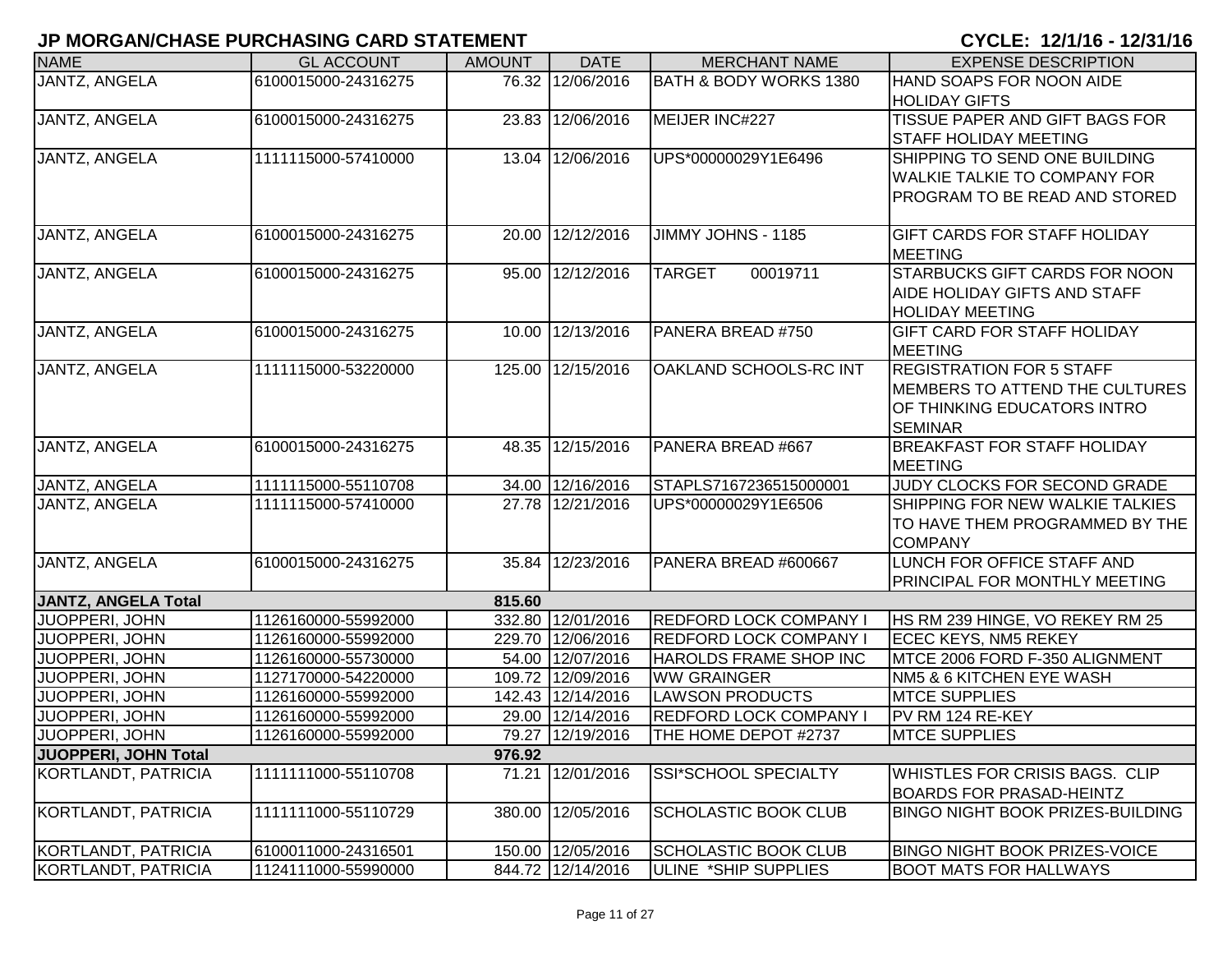| <b>NAME</b>                | <b>GL ACCOUNT</b>   | <b>AMOUNT</b> | <b>DATE</b>       | <b>MERCHANT NAME</b>          | <b>EXPENSE DESCRIPTION</b>                                  |
|----------------------------|---------------------|---------------|-------------------|-------------------------------|-------------------------------------------------------------|
| JANTZ, ANGELA              | 6100015000-24316275 |               | 76.32 12/06/2016  | BATH & BODY WORKS 1380        | HAND SOAPS FOR NOON AIDE                                    |
|                            |                     |               |                   |                               | <b>HOLIDAY GIFTS</b>                                        |
| JANTZ, ANGELA              | 6100015000-24316275 |               | 23.83 12/06/2016  | MEIJER INC#227                | TISSUE PAPER AND GIFT BAGS FOR                              |
|                            |                     |               |                   |                               | <b>STAFF HOLIDAY MEETING</b>                                |
| JANTZ, ANGELA              | 1111115000-57410000 |               | 13.04 12/06/2016  | UPS*00000029Y1E6496           | SHIPPING TO SEND ONE BUILDING                               |
|                            |                     |               |                   |                               | <b>WALKIE TALKIE TO COMPANY FOR</b>                         |
|                            |                     |               |                   |                               | PROGRAM TO BE READ AND STORED                               |
|                            |                     |               |                   |                               |                                                             |
| JANTZ, ANGELA              | 6100015000-24316275 |               | 20.00 12/12/2016  | JIMMY JOHNS - 1185            | <b>GIFT CARDS FOR STAFF HOLIDAY</b>                         |
|                            |                     |               |                   |                               | <b>MEETING</b>                                              |
| JANTZ, ANGELA              | 6100015000-24316275 |               | 95.00 12/12/2016  | 00019711<br><b>TARGET</b>     | <b>STARBUCKS GIFT CARDS FOR NOON</b>                        |
|                            |                     |               |                   |                               | AIDE HOLIDAY GIFTS AND STAFF                                |
|                            |                     |               |                   |                               | <b>HOLIDAY MEETING</b>                                      |
| JANTZ, ANGELA              | 6100015000-24316275 |               | 10.00 12/13/2016  | PANERA BREAD #750             | <b>GIFT CARD FOR STAFF HOLIDAY</b>                          |
|                            |                     |               |                   |                               | <b>MEETING</b>                                              |
| JANTZ, ANGELA              | 1111115000-53220000 |               | 125.00 12/15/2016 | OAKLAND SCHOOLS-RC INT        | <b>REGISTRATION FOR 5 STAFF</b>                             |
|                            |                     |               |                   |                               | MEMBERS TO ATTEND THE CULTURES                              |
|                            |                     |               |                   |                               | OF THINKING EDUCATORS INTRO                                 |
|                            |                     |               |                   |                               | <b>SEMINAR</b>                                              |
| <b>JANTZ, ANGELA</b>       | 6100015000-24316275 |               | 48.35 12/15/2016  | PANERA BREAD #667             | <b>BREAKFAST FOR STAFF HOLIDAY</b>                          |
|                            |                     |               | 34.00 12/16/2016  |                               | <b>MEETING</b>                                              |
| <b>JANTZ, ANGELA</b>       | 1111115000-55110708 |               |                   | STAPLS7167236515000001        | JUDY CLOCKS FOR SECOND GRADE                                |
| JANTZ, ANGELA              | 1111115000-57410000 |               | 27.78 12/21/2016  | UPS*00000029Y1E6506           | SHIPPING FOR NEW WALKIE TALKIES                             |
|                            |                     |               |                   |                               | TO HAVE THEM PROGRAMMED BY THE                              |
|                            |                     |               |                   |                               | <b>COMPANY</b>                                              |
| JANTZ, ANGELA              | 6100015000-24316275 |               | 35.84 12/23/2016  | PANERA BREAD #600667          | LUNCH FOR OFFICE STAFF AND<br>PRINCIPAL FOR MONTHLY MEETING |
| <b>JANTZ, ANGELA Total</b> |                     | 815.60        |                   |                               |                                                             |
| JUOPPERI, JOHN             | 1126160000-55992000 |               | 332.80 12/01/2016 | <b>REDFORD LOCK COMPANY I</b> | HS RM 239 HINGE, VO REKEY RM 25                             |
| <b>JUOPPERI, JOHN</b>      | 1126160000-55992000 |               | 229.70 12/06/2016 | <b>REDFORD LOCK COMPANY I</b> | <b>ECEC KEYS, NM5 REKEY</b>                                 |
| <b>JUOPPERI, JOHN</b>      | 1126160000-55730000 |               | 54.00 12/07/2016  | HAROLDS FRAME SHOP INC        | MTCE 2006 FORD F-350 ALIGNMENT                              |
| JUOPPERI, JOHN             | 1127170000-54220000 |               | 109.72 12/09/2016 | <b>WW GRAINGER</b>            | <b>NM5 &amp; 6 KITCHEN EYE WASH</b>                         |
| JUOPPERI, JOHN             | 1126160000-55992000 |               | 142.43 12/14/2016 | <b>LAWSON PRODUCTS</b>        | <b>MTCE SUPPLIES</b>                                        |
| JUOPPERI, JOHN             | 1126160000-55992000 |               | 29.00 12/14/2016  | <b>REDFORD LOCK COMPANY I</b> | PV RM 124 RE-KEY                                            |
| <b>JUOPPERI, JOHN</b>      | 1126160000-55992000 |               | 79.27 12/19/2016  | THE HOME DEPOT #2737          | <b>MTCE SUPPLIES</b>                                        |
| JUOPPERI, JOHN Total       |                     | 976.92        |                   |                               |                                                             |
| KORTLANDT, PATRICIA        | 1111111000-55110708 | 71.21         | 12/01/2016        | <b>SSI*SCHOOL SPECIALTY</b>   | WHISTLES FOR CRISIS BAGS. CLIP                              |
|                            |                     |               |                   |                               | <b>BOARDS FOR PRASAD-HEINTZ</b>                             |
| KORTLANDT, PATRICIA        | 1111111000-55110729 | 380.00        | 12/05/2016        | <b>SCHOLASTIC BOOK CLUB</b>   | BINGO NIGHT BOOK PRIZES-BUILDING                            |
|                            |                     |               |                   |                               |                                                             |
| KORTLANDT, PATRICIA        | 6100011000-24316501 |               | 150.00 12/05/2016 | <b>SCHOLASTIC BOOK CLUB</b>   | <b>BINGO NIGHT BOOK PRIZES-VOICE</b>                        |
| KORTLANDT, PATRICIA        | 1124111000-55990000 |               | 844.72 12/14/2016 | ULINE *SHIP SUPPLIES          | <b>BOOT MATS FOR HALLWAYS</b>                               |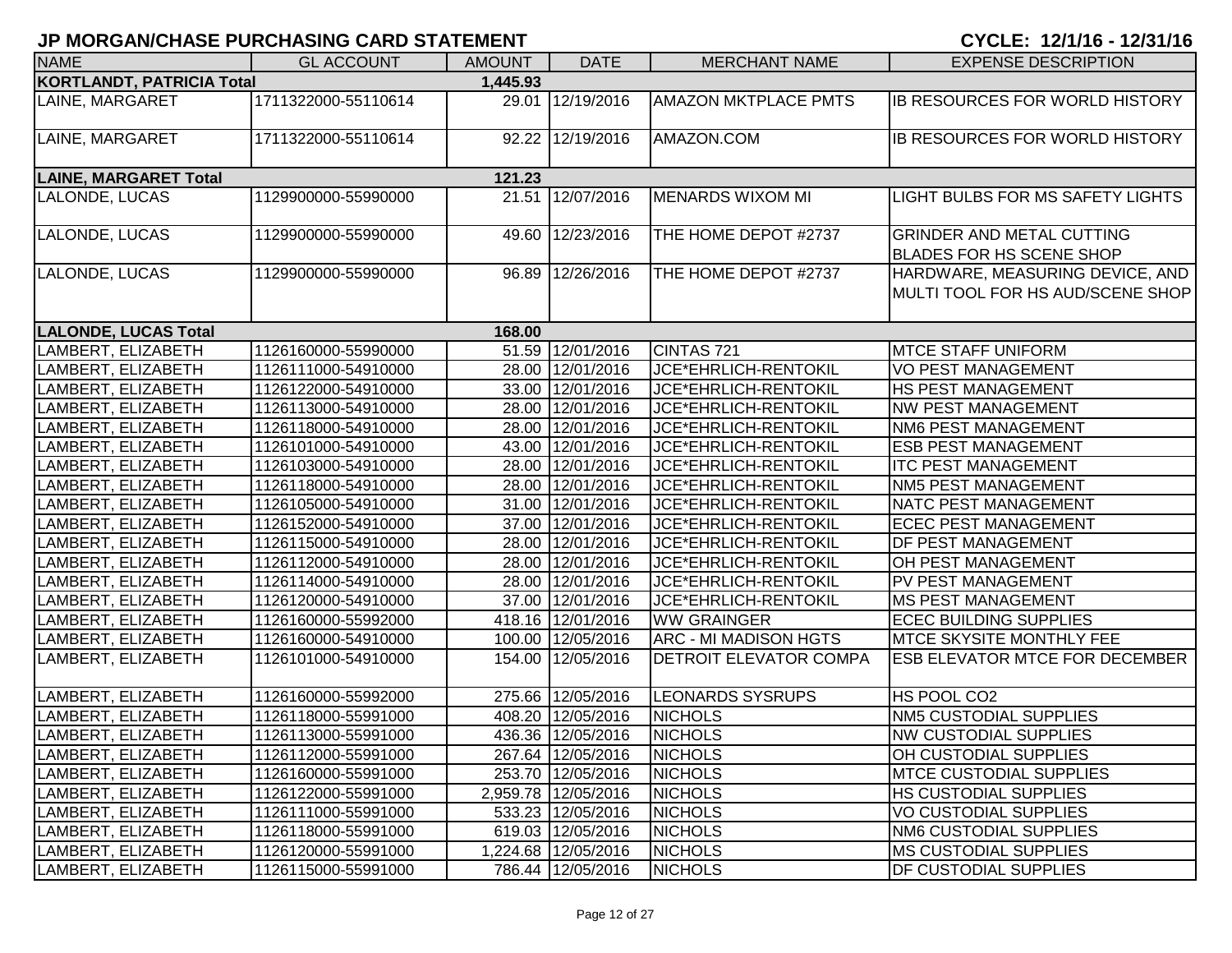| <b>NAME</b>                      | <b>GL ACCOUNT</b>   | <b>AMOUNT</b> | <b>DATE</b>         | <b>MERCHANT NAME</b>          | <b>EXPENSE DESCRIPTION</b>                                          |
|----------------------------------|---------------------|---------------|---------------------|-------------------------------|---------------------------------------------------------------------|
| <b>KORTLANDT, PATRICIA Total</b> |                     | 1,445.93      |                     |                               |                                                                     |
| LAINE, MARGARET                  | 1711322000-55110614 |               | 29.01 12/19/2016    | <b>AMAZON MKTPLACE PMTS</b>   | <b>IB RESOURCES FOR WORLD HISTORY</b>                               |
| LAINE, MARGARET                  | 1711322000-55110614 |               | 92.22 12/19/2016    | AMAZON.COM                    | <b>IB RESOURCES FOR WORLD HISTORY</b>                               |
| <b>LAINE, MARGARET Total</b>     |                     | 121.23        |                     |                               |                                                                     |
| LALONDE, LUCAS                   | 1129900000-55990000 |               | 21.51 12/07/2016    | <b>MENARDS WIXOM MI</b>       | LIGHT BULBS FOR MS SAFETY LIGHTS                                    |
| LALONDE, LUCAS                   | 1129900000-55990000 |               | 49.60 12/23/2016    | THE HOME DEPOT #2737          | <b>GRINDER AND METAL CUTTING</b><br><b>BLADES FOR HS SCENE SHOP</b> |
| LALONDE, LUCAS                   | 1129900000-55990000 |               | 96.89 12/26/2016    | THE HOME DEPOT #2737          | HARDWARE, MEASURING DEVICE, AND<br>MULTI TOOL FOR HS AUD/SCENE SHOP |
| <b>LALONDE, LUCAS Total</b>      |                     | 168.00        |                     |                               |                                                                     |
| LAMBERT, ELIZABETH               | 1126160000-55990000 |               | 51.59 12/01/2016    | CINTAS 721                    | <b>MTCE STAFF UNIFORM</b>                                           |
| LAMBERT, ELIZABETH               | 1126111000-54910000 |               | 28.00 12/01/2016    | JCE*EHRLICH-RENTOKIL          | <b>VO PEST MANAGEMENT</b>                                           |
| LAMBERT, ELIZABETH               | 1126122000-54910000 |               | 33.00 12/01/2016    | JCE*EHRLICH-RENTOKIL          | <b>HS PEST MANAGEMENT</b>                                           |
| LAMBERT, ELIZABETH               | 1126113000-54910000 |               | 28.00 12/01/2016    | JCE*EHRLICH-RENTOKIL          | <b>NW PEST MANAGEMENT</b>                                           |
| LAMBERT, ELIZABETH               | 1126118000-54910000 |               | 28.00 12/01/2016    | JCE*EHRLICH-RENTOKIL          | <b>NM6 PEST MANAGEMENT</b>                                          |
| LAMBERT, ELIZABETH               | 1126101000-54910000 |               | 43.00 12/01/2016    | JCE*EHRLICH-RENTOKIL          | <b>ESB PEST MANAGEMENT</b>                                          |
| LAMBERT, ELIZABETH               | 1126103000-54910000 |               | 28.00 12/01/2016    | JCE*EHRLICH-RENTOKIL          | <b>ITC PEST MANAGEMENT</b>                                          |
| LAMBERT, ELIZABETH               | 1126118000-54910000 |               | 28.00 12/01/2016    | JCE*EHRLICH-RENTOKIL          | <b>NM5 PEST MANAGEMENT</b>                                          |
| LAMBERT, ELIZABETH               | 1126105000-54910000 |               | 31.00 12/01/2016    | JCE*EHRLICH-RENTOKIL          | <b>NATC PEST MANAGEMENT</b>                                         |
| LAMBERT, ELIZABETH               | 1126152000-54910000 |               | 37.00 12/01/2016    | JCE*EHRLICH-RENTOKIL          | <b>ECEC PEST MANAGEMENT</b>                                         |
| LAMBERT, ELIZABETH               | 1126115000-54910000 |               | 28.00 12/01/2016    | JCE*EHRLICH-RENTOKIL          | <b>DF PEST MANAGEMENT</b>                                           |
| LAMBERT, ELIZABETH               | 1126112000-54910000 |               | 28.00 12/01/2016    | JCE*EHRLICH-RENTOKIL          | OH PEST MANAGEMENT                                                  |
| LAMBERT, ELIZABETH               | 1126114000-54910000 |               | 28.00 12/01/2016    | JCE*EHRLICH-RENTOKIL          | PV PEST MANAGEMENT                                                  |
| LAMBERT, ELIZABETH               | 1126120000-54910000 |               | 37.00 12/01/2016    | JCE*EHRLICH-RENTOKIL          | <b>MS PEST MANAGEMENT</b>                                           |
| LAMBERT, ELIZABETH               | 1126160000-55992000 |               | 418.16 12/01/2016   | <b>WW GRAINGER</b>            | <b>ECEC BUILDING SUPPLIES</b>                                       |
| LAMBERT, ELIZABETH               | 1126160000-54910000 |               | 100.00 12/05/2016   | <b>ARC - MI MADISON HGTS</b>  | <b>MTCE SKYSITE MONTHLY FEE</b>                                     |
| LAMBERT, ELIZABETH               | 1126101000-54910000 |               | 154.00 12/05/2016   | <b>DETROIT ELEVATOR COMPA</b> | <b>ESB ELEVATOR MTCE FOR DECEMBER</b>                               |
| LAMBERT, ELIZABETH               | 1126160000-55992000 |               | 275.66 12/05/2016   | <b>LEONARDS SYSRUPS</b>       | HS POOL CO2                                                         |
| LAMBERT, ELIZABETH               | 1126118000-55991000 |               | 408.20 12/05/2016   | <b>NICHOLS</b>                | <b>NM5 CUSTODIAL SUPPLIES</b>                                       |
| LAMBERT, ELIZABETH               | 1126113000-55991000 |               | 436.36 12/05/2016   | <b>NICHOLS</b>                | <b>NW CUSTODIAL SUPPLIES</b>                                        |
| LAMBERT, ELIZABETH               | 1126112000-55991000 |               | 267.64 12/05/2016   | <b>NICHOLS</b>                | <b>OH CUSTODIAL SUPPLIES</b>                                        |
| LAMBERT, ELIZABETH               | 1126160000-55991000 |               | 253.70 12/05/2016   | <b>NICHOLS</b>                | <b>IMTCE CUSTODIAL SUPPLIES</b>                                     |
| LAMBERT, ELIZABETH               | 1126122000-55991000 |               | 2,959.78 12/05/2016 | <b>NICHOLS</b>                | <b>HS CUSTODIAL SUPPLIES</b>                                        |
| LAMBERT, ELIZABETH               | 1126111000-55991000 |               | 533.23 12/05/2016   | <b>NICHOLS</b>                | VO CUSTODIAL SUPPLIES                                               |
| LAMBERT, ELIZABETH               | 1126118000-55991000 |               | 619.03 12/05/2016   | <b>NICHOLS</b>                | NM6 CUSTODIAL SUPPLIES                                              |
| LAMBERT, ELIZABETH               | 1126120000-55991000 |               | 1,224.68 12/05/2016 | <b>NICHOLS</b>                | <b>MS CUSTODIAL SUPPLIES</b>                                        |
| LAMBERT, ELIZABETH               | 1126115000-55991000 |               | 786.44 12/05/2016   | <b>NICHOLS</b>                | <b>DF CUSTODIAL SUPPLIES</b>                                        |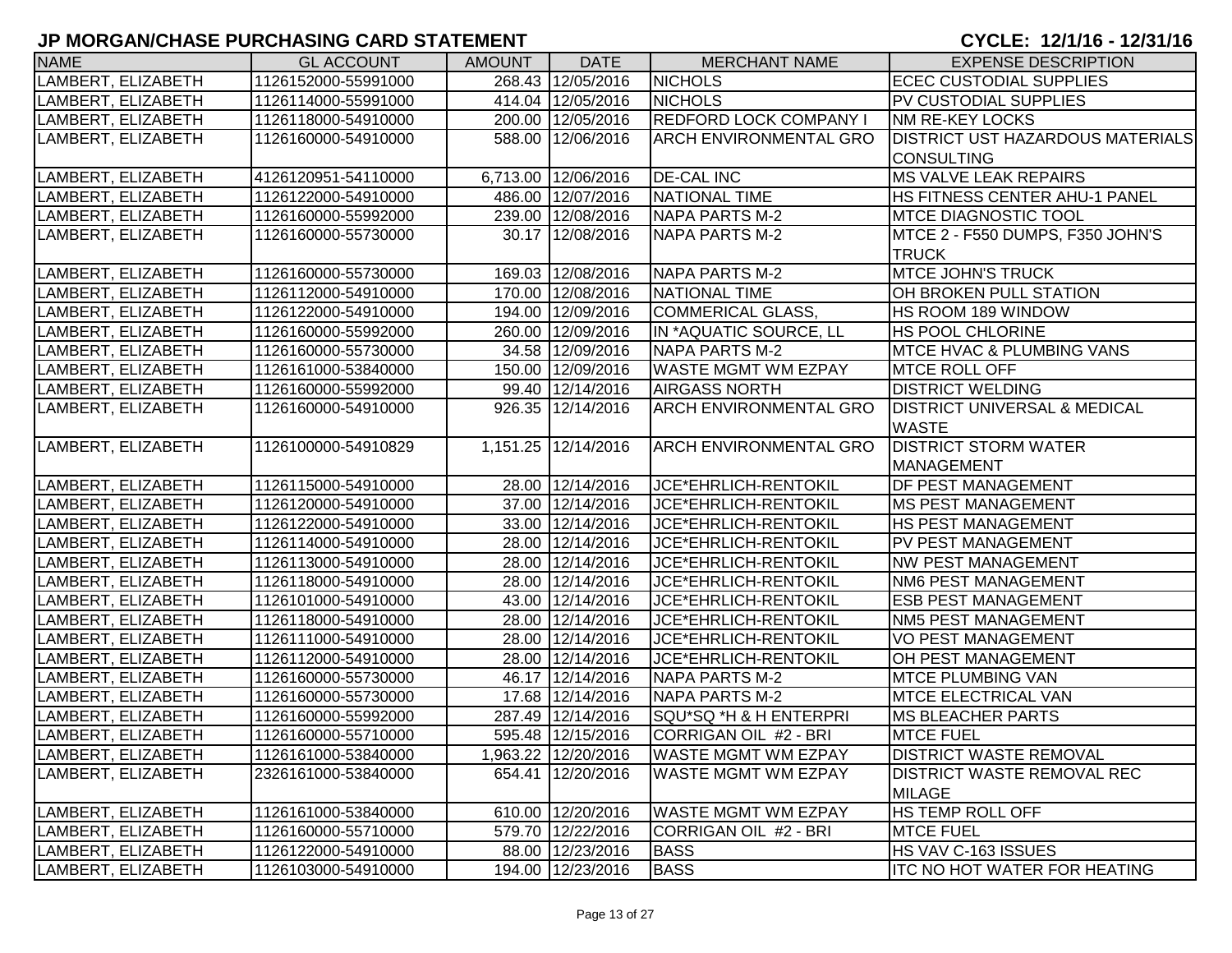| <b>NAME</b>        | <b>GL ACCOUNT</b>   | <b>AMOUNT</b> | <b>DATE</b>         | <b>MERCHANT NAME</b>          | <b>EXPENSE DESCRIPTION</b>              |
|--------------------|---------------------|---------------|---------------------|-------------------------------|-----------------------------------------|
| LAMBERT, ELIZABETH | 1126152000-55991000 |               | 268.43 12/05/2016   | <b>NICHOLS</b>                | <b>ECEC CUSTODIAL SUPPLIES</b>          |
| LAMBERT, ELIZABETH | 1126114000-55991000 |               | 414.04 12/05/2016   | <b>NICHOLS</b>                | PV CUSTODIAL SUPPLIES                   |
| LAMBERT, ELIZABETH | 1126118000-54910000 |               | 200.00 12/05/2016   | REDFORD LOCK COMPANY I        | <b>NM RE-KEY LOCKS</b>                  |
| LAMBERT, ELIZABETH | 1126160000-54910000 |               | 588.00 12/06/2016   | <b>ARCH ENVIRONMENTAL GRO</b> | <b>DISTRICT UST HAZARDOUS MATERIALS</b> |
|                    |                     |               |                     |                               | <b>CONSULTING</b>                       |
| LAMBERT, ELIZABETH | 4126120951-54110000 |               | 6,713.00 12/06/2016 | <b>DE-CAL INC</b>             | <b>MS VALVE LEAK REPAIRS</b>            |
| LAMBERT, ELIZABETH | 1126122000-54910000 |               | 486.00 12/07/2016   | NATIONAL TIME                 | HS FITNESS CENTER AHU-1 PANEL           |
| LAMBERT, ELIZABETH | 1126160000-55992000 |               | 239.00 12/08/2016   | <b>NAPA PARTS M-2</b>         | <b>MTCE DIAGNOSTIC TOOL</b>             |
| LAMBERT, ELIZABETH | 1126160000-55730000 |               | 30.17 12/08/2016    | <b>NAPA PARTS M-2</b>         | MTCE 2 - F550 DUMPS, F350 JOHN'S        |
|                    |                     |               |                     |                               | <b>TRUCK</b>                            |
| LAMBERT, ELIZABETH | 1126160000-55730000 |               | 169.03 12/08/2016   | NAPA PARTS M-2                | <b>MTCE JOHN'S TRUCK</b>                |
| LAMBERT, ELIZABETH | 1126112000-54910000 |               | 170.00 12/08/2016   | <b>NATIONAL TIME</b>          | OH BROKEN PULL STATION                  |
| LAMBERT, ELIZABETH | 1126122000-54910000 |               | 194.00 12/09/2016   | <b>COMMERICAL GLASS,</b>      | HS ROOM 189 WINDOW                      |
| LAMBERT, ELIZABETH | 1126160000-55992000 |               | 260.00 12/09/2016   | IN *AQUATIC SOURCE, LL        | <b>HS POOL CHLORINE</b>                 |
| LAMBERT, ELIZABETH | 1126160000-55730000 |               | 34.58 12/09/2016    | <b>NAPA PARTS M-2</b>         | <b>MTCE HVAC &amp; PLUMBING VANS</b>    |
| LAMBERT, ELIZABETH | 1126161000-53840000 |               | 150.00 12/09/2016   | WASTE MGMT WM EZPAY           | <b>MTCE ROLL OFF</b>                    |
| LAMBERT, ELIZABETH | 1126160000-55992000 |               | 99.40 12/14/2016    | <b>AIRGASS NORTH</b>          | <b>DISTRICT WELDING</b>                 |
| LAMBERT, ELIZABETH | 1126160000-54910000 |               | 926.35 12/14/2016   | ARCH ENVIRONMENTAL GRO        | <b>DISTRICT UNIVERSAL &amp; MEDICAL</b> |
|                    |                     |               |                     |                               | <b>WASTE</b>                            |
| LAMBERT, ELIZABETH | 1126100000-54910829 |               | 1,151.25 12/14/2016 | ARCH ENVIRONMENTAL GRO        | <b>DISTRICT STORM WATER</b>             |
|                    |                     |               |                     |                               | <b>MANAGEMENT</b>                       |
| LAMBERT, ELIZABETH | 1126115000-54910000 |               | 28.00 12/14/2016    | JCE*EHRLICH-RENTOKIL          | <b>DF PEST MANAGEMENT</b>               |
| LAMBERT, ELIZABETH | 1126120000-54910000 |               | 37.00 12/14/2016    | JCE*EHRLICH-RENTOKIL          | <b>IMS PEST MANAGEMENT</b>              |
| LAMBERT, ELIZABETH | 1126122000-54910000 |               | 33.00 12/14/2016    | JCE*EHRLICH-RENTOKIL          | <b>HS PEST MANAGEMENT</b>               |
| LAMBERT, ELIZABETH | 1126114000-54910000 |               | 28.00 12/14/2016    | JCE*EHRLICH-RENTOKIL          | <b>PV PEST MANAGEMENT</b>               |
| LAMBERT, ELIZABETH | 1126113000-54910000 |               | 28.00 12/14/2016    | JCE*EHRLICH-RENTOKIL          | <b>NW PEST MANAGEMENT</b>               |
| LAMBERT, ELIZABETH | 1126118000-54910000 |               | 28.00 12/14/2016    | JCE*EHRLICH-RENTOKIL          | <b>NM6 PEST MANAGEMENT</b>              |
| LAMBERT, ELIZABETH | 1126101000-54910000 |               | 43.00 12/14/2016    | JCE*EHRLICH-RENTOKIL          | <b>ESB PEST MANAGEMENT</b>              |
| LAMBERT, ELIZABETH | 1126118000-54910000 |               | 28.00 12/14/2016    | JCE*EHRLICH-RENTOKIL          | <b>NM5 PEST MANAGEMENT</b>              |
| LAMBERT, ELIZABETH | 1126111000-54910000 |               | 28.00 12/14/2016    | JCE*EHRLICH-RENTOKIL          | <b>VO PEST MANAGEMENT</b>               |
| LAMBERT, ELIZABETH | 1126112000-54910000 |               | 28.00 12/14/2016    | JCE*EHRLICH-RENTOKIL          | OH PEST MANAGEMENT                      |
| LAMBERT, ELIZABETH | 1126160000-55730000 |               | 46.17 12/14/2016    | <b>NAPA PARTS M-2</b>         | <b>MTCE PLUMBING VAN</b>                |
| LAMBERT, ELIZABETH | 1126160000-55730000 |               | 17.68 12/14/2016    | <b>NAPA PARTS M-2</b>         | <b>MTCE ELECTRICAL VAN</b>              |
| LAMBERT, ELIZABETH | 1126160000-55992000 |               | 287.49 12/14/2016   | SQU*SQ *H & H ENTERPRI        | <b>MS BLEACHER PARTS</b>                |
| LAMBERT, ELIZABETH | 1126160000-55710000 |               | 595.48 12/15/2016   | CORRIGAN OIL #2 - BRI         | <b>MTCE FUEL</b>                        |
| LAMBERT, ELIZABETH | 1126161000-53840000 |               | 1,963.22 12/20/2016 | <b>WASTE MGMT WM EZPAY</b>    | <b>DISTRICT WASTE REMOVAL</b>           |
| LAMBERT, ELIZABETH | 2326161000-53840000 |               | 654.41 12/20/2016   | WASTE MGMT WM EZPAY           | <b>DISTRICT WASTE REMOVAL REC</b>       |
|                    |                     |               |                     |                               | <b>MILAGE</b>                           |
| LAMBERT, ELIZABETH | 1126161000-53840000 |               | 610.00 12/20/2016   | WASTE MGMT WM EZPAY           | <b>HS TEMP ROLL OFF</b>                 |
| LAMBERT, ELIZABETH | 1126160000-55710000 |               | 579.70 12/22/2016   | CORRIGAN OIL #2 - BRI         | <b>MTCE FUEL</b>                        |
| LAMBERT, ELIZABETH | 1126122000-54910000 |               | 88.00 12/23/2016    | <b>BASS</b>                   | HS VAV C-163 ISSUES                     |
| LAMBERT, ELIZABETH | 1126103000-54910000 |               | 194.00 12/23/2016   | <b>BASS</b>                   | <b>ITC NO HOT WATER FOR HEATING</b>     |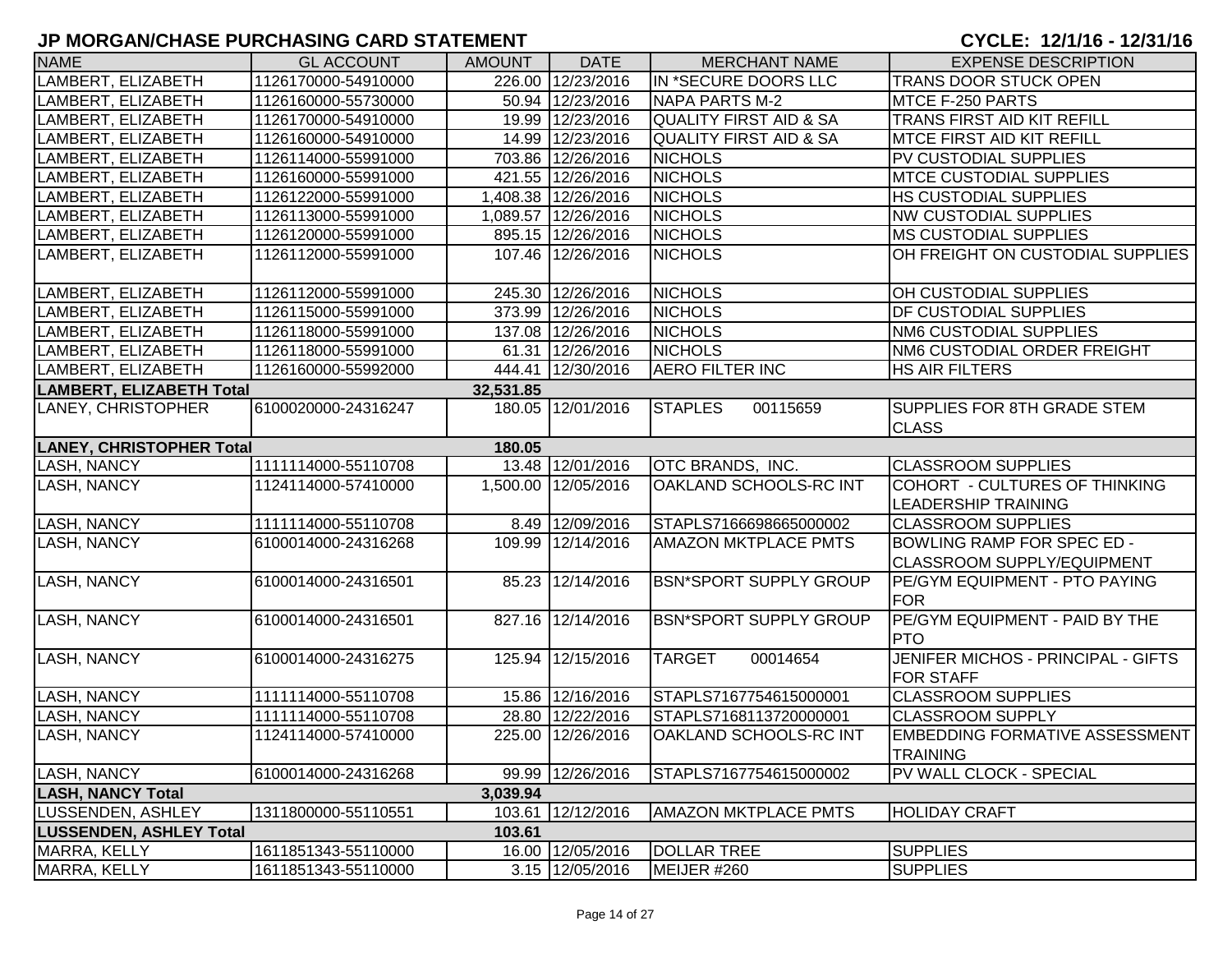| <b>NAME</b>                     | <b>GL ACCOUNT</b>   | <b>AMOUNT</b> | <b>DATE</b>         | <b>MERCHANT NAME</b>              | <b>EXPENSE DESCRIPTION</b>                                             |
|---------------------------------|---------------------|---------------|---------------------|-----------------------------------|------------------------------------------------------------------------|
| LAMBERT, ELIZABETH              | 1126170000-54910000 |               | 226.00 12/23/2016   | IN *SECURE DOORS LLC              | TRANS DOOR STUCK OPEN                                                  |
| LAMBERT, ELIZABETH              | 1126160000-55730000 |               | 50.94 12/23/2016    | <b>NAPA PARTS M-2</b>             | MTCE F-250 PARTS                                                       |
| LAMBERT, ELIZABETH              | 1126170000-54910000 |               | 19.99 12/23/2016    | <b>QUALITY FIRST AID &amp; SA</b> | TRANS FIRST AID KIT REFILL                                             |
| LAMBERT, ELIZABETH              | 1126160000-54910000 |               | 14.99 12/23/2016    | <b>QUALITY FIRST AID &amp; SA</b> | MTCE FIRST AID KIT REFILL                                              |
| LAMBERT, ELIZABETH              | 1126114000-55991000 |               | 703.86 12/26/2016   | <b>NICHOLS</b>                    | PV CUSTODIAL SUPPLIES                                                  |
| LAMBERT, ELIZABETH              | 1126160000-55991000 |               | 421.55 12/26/2016   | <b>NICHOLS</b>                    | <b>MTCE CUSTODIAL SUPPLIES</b>                                         |
| LAMBERT, ELIZABETH              | 1126122000-55991000 |               | 1,408.38 12/26/2016 | <b>NICHOLS</b>                    | HS CUSTODIAL SUPPLIES                                                  |
| LAMBERT, ELIZABETH              | 1126113000-55991000 |               | 1,089.57 12/26/2016 | <b>NICHOLS</b>                    | <b>NW CUSTODIAL SUPPLIES</b>                                           |
| LAMBERT, ELIZABETH              | 1126120000-55991000 |               | 895.15 12/26/2016   | <b>NICHOLS</b>                    | <b>MS CUSTODIAL SUPPLIES</b>                                           |
| LAMBERT, ELIZABETH              | 1126112000-55991000 |               | 107.46 12/26/2016   | <b>NICHOLS</b>                    | OH FREIGHT ON CUSTODIAL SUPPLIES                                       |
| LAMBERT, ELIZABETH              | 1126112000-55991000 |               | 245.30 12/26/2016   | <b>NICHOLS</b>                    | OH CUSTODIAL SUPPLIES                                                  |
| LAMBERT, ELIZABETH              | 1126115000-55991000 |               | 373.99 12/26/2016   | <b>NICHOLS</b>                    | DF CUSTODIAL SUPPLIES                                                  |
| LAMBERT, ELIZABETH              | 1126118000-55991000 |               | 137.08 12/26/2016   | <b>NICHOLS</b>                    | <b>NM6 CUSTODIAL SUPPLIES</b>                                          |
| LAMBERT, ELIZABETH              | 1126118000-55991000 |               | 61.31 12/26/2016    | <b>NICHOLS</b>                    | NM6 CUSTODIAL ORDER FREIGHT                                            |
| LAMBERT, ELIZABETH              | 1126160000-55992000 | 444.41        | 12/30/2016          | <b>AERO FILTER INC</b>            | <b>HS AIR FILTERS</b>                                                  |
| <b>LAMBERT, ELIZABETH Total</b> |                     | 32,531.85     |                     |                                   |                                                                        |
| LANEY, CHRISTOPHER              | 6100020000-24316247 |               | 180.05 12/01/2016   | <b>STAPLES</b><br>00115659        | <b>SUPPLIES FOR 8TH GRADE STEM</b><br><b>CLASS</b>                     |
| <b>LANEY, CHRISTOPHER Total</b> |                     | 180.05        |                     |                                   |                                                                        |
| <b>LASH, NANCY</b>              | 1111114000-55110708 |               | 13.48 12/01/2016    | OTC BRANDS, INC.                  | <b>CLASSROOM SUPPLIES</b>                                              |
| LASH, NANCY                     | 1124114000-57410000 |               | 1,500.00 12/05/2016 | OAKLAND SCHOOLS-RC INT            | COHORT - CULTURES OF THINKING<br><b>LEADERSHIP TRAINING</b>            |
| <b>LASH, NANCY</b>              | 1111114000-55110708 |               | 8.49 12/09/2016     | STAPLS7166698665000002            | <b>CLASSROOM SUPPLIES</b>                                              |
| <b>LASH, NANCY</b>              | 6100014000-24316268 | 109.99        | 12/14/2016          | AMAZON MKTPLACE PMTS              | <b>BOWLING RAMP FOR SPEC ED -</b><br><b>CLASSROOM SUPPLY/EQUIPMENT</b> |
| <b>LASH, NANCY</b>              | 6100014000-24316501 |               | 85.23 12/14/2016    | <b>BSN*SPORT SUPPLY GROUP</b>     | <b>PE/GYM EQUIPMENT - PTO PAYING</b><br>FOR                            |
| <b>LASH, NANCY</b>              | 6100014000-24316501 |               | 827.16 12/14/2016   | <b>BSN*SPORT SUPPLY GROUP</b>     | PE/GYM EQUIPMENT - PAID BY THE<br><b>PTO</b>                           |
| <b>LASH, NANCY</b>              | 6100014000-24316275 | 125.94        | 12/15/2016          | 00014654<br><b>TARGET</b>         | JENIFER MICHOS - PRINCIPAL - GIFTS<br><b>FOR STAFF</b>                 |
| <b>LASH, NANCY</b>              | 1111114000-55110708 |               | 15.86 12/16/2016    | STAPLS7167754615000001            | <b>CLASSROOM SUPPLIES</b>                                              |
| <b>LASH, NANCY</b>              | 1111114000-55110708 |               | 28.80 12/22/2016    | STAPLS7168113720000001            | <b>CLASSROOM SUPPLY</b>                                                |
| <b>LASH, NANCY</b>              | 1124114000-57410000 |               | 225.00 12/26/2016   | OAKLAND SCHOOLS-RC INT            | <b>EMBEDDING FORMATIVE ASSESSMENT</b><br><b>TRAINING</b>               |
| <b>LASH, NANCY</b>              | 6100014000-24316268 |               | 99.99 12/26/2016    | STAPLS7167754615000002            | PV WALL CLOCK - SPECIAL                                                |
| <b>LASH, NANCY Total</b>        |                     | 3,039.94      |                     |                                   |                                                                        |
| LUSSENDEN, ASHLEY               | 1311800000-55110551 |               | 103.61 12/12/2016   | <b>AMAZON MKTPLACE PMTS</b>       | <b>HOLIDAY CRAFT</b>                                                   |
| <b>LUSSENDEN, ASHLEY Total</b>  |                     | 103.61        |                     |                                   |                                                                        |
| MARRA, KELLY                    | 1611851343-55110000 |               | 16.00 12/05/2016    | <b>DOLLAR TREE</b>                | <b>SUPPLIES</b>                                                        |
| MARRA, KELLY                    | 1611851343-55110000 |               | 3.15 12/05/2016     | MEIJER #260                       | <b>SUPPLIES</b>                                                        |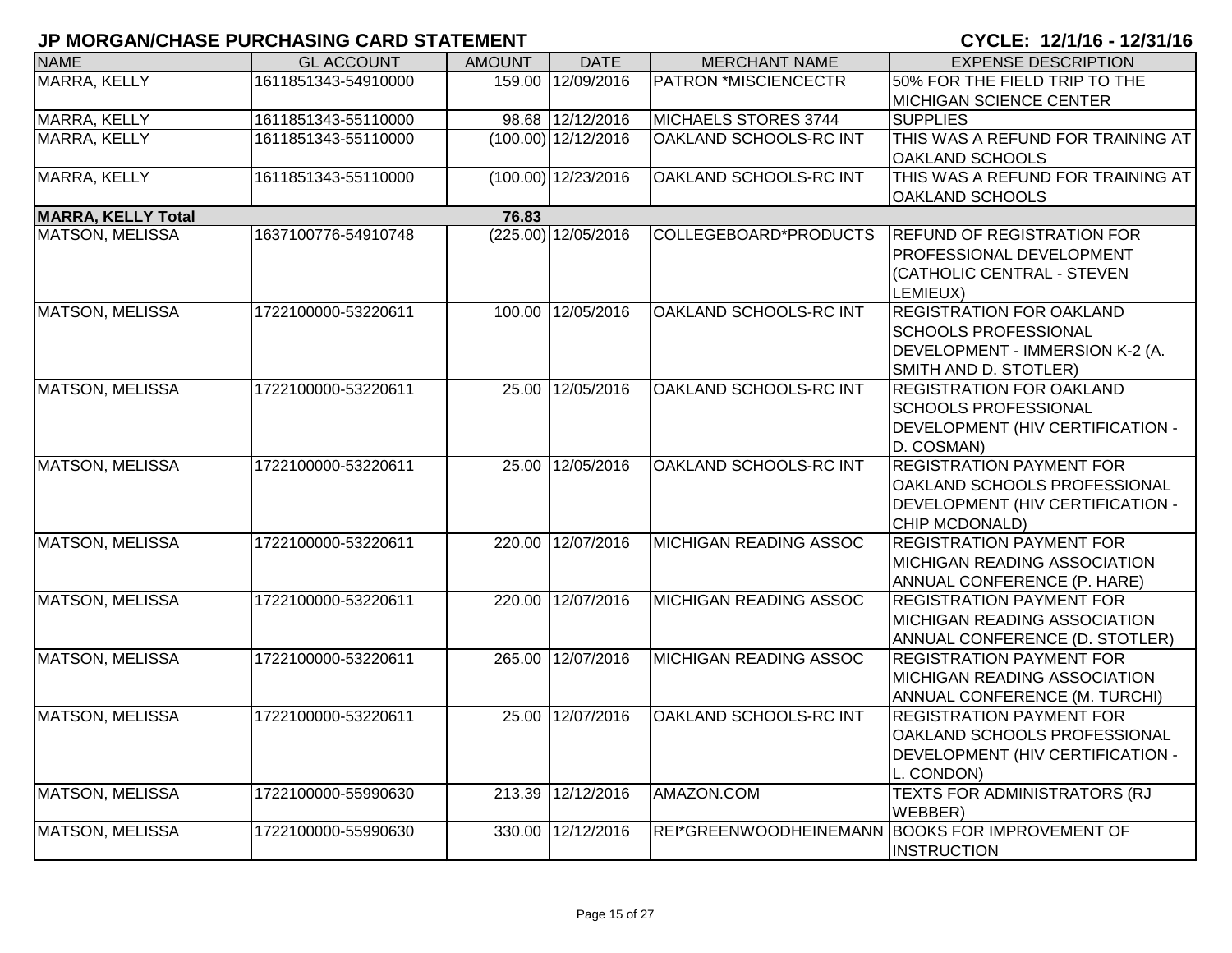| <b>NAME</b>               | <b>GL ACCOUNT</b>   | <b>AMOUNT</b> | <b>DATE</b>           | <b>MERCHANT NAME</b>           | <b>EXPENSE DESCRIPTION</b>                      |
|---------------------------|---------------------|---------------|-----------------------|--------------------------------|-------------------------------------------------|
| MARRA, KELLY              | 1611851343-54910000 | 159.00        | 12/09/2016            | <b>PATRON *MISCIENCECTR</b>    | 50% FOR THE FIELD TRIP TO THE                   |
|                           |                     |               |                       |                                | <b>MICHIGAN SCIENCE CENTER</b>                  |
| MARRA, KELLY              | 1611851343-55110000 |               | 98.68 12/12/2016      | MICHAELS STORES 3744           | <b>SUPPLIES</b>                                 |
| <b>MARRA, KELLY</b>       | 1611851343-55110000 |               | $(100.00)$ 12/12/2016 | OAKLAND SCHOOLS-RC INT         | THIS WAS A REFUND FOR TRAINING AT               |
|                           |                     |               |                       |                                | <b>OAKLAND SCHOOLS</b>                          |
| MARRA, KELLY              | 1611851343-55110000 |               | $(100.00)$ 12/23/2016 | OAKLAND SCHOOLS-RC INT         | THIS WAS A REFUND FOR TRAINING AT               |
|                           |                     |               |                       |                                | <b>OAKLAND SCHOOLS</b>                          |
| <b>MARRA, KELLY Total</b> |                     | 76.83         |                       |                                |                                                 |
| <b>MATSON, MELISSA</b>    | 1637100776-54910748 |               | (225.00) 12/05/2016   | COLLEGEBOARD*PRODUCTS          | <b>REFUND OF REGISTRATION FOR</b>               |
|                           |                     |               |                       |                                | PROFESSIONAL DEVELOPMENT                        |
|                           |                     |               |                       |                                | (CATHOLIC CENTRAL - STEVEN                      |
|                           |                     |               |                       |                                | LEMIEUX)                                        |
| <b>MATSON, MELISSA</b>    | 1722100000-53220611 | 100.00        | 12/05/2016            | OAKLAND SCHOOLS-RC INT         | <b>REGISTRATION FOR OAKLAND</b>                 |
|                           |                     |               |                       |                                | <b>SCHOOLS PROFESSIONAL</b>                     |
|                           |                     |               |                       |                                | DEVELOPMENT - IMMERSION K-2 (A.                 |
|                           |                     |               |                       |                                | SMITH AND D. STOTLER)                           |
| <b>MATSON, MELISSA</b>    | 1722100000-53220611 | 25.00         | 12/05/2016            | <b>OAKLAND SCHOOLS-RC INT</b>  | <b>REGISTRATION FOR OAKLAND</b>                 |
|                           |                     |               |                       |                                | <b>SCHOOLS PROFESSIONAL</b>                     |
|                           |                     |               |                       |                                | <b>DEVELOPMENT (HIV CERTIFICATION -</b>         |
|                           |                     |               |                       |                                | D. COSMAN)                                      |
| <b>MATSON, MELISSA</b>    | 1722100000-53220611 |               | 25.00 12/05/2016      | OAKLAND SCHOOLS-RC INT         | <b>REGISTRATION PAYMENT FOR</b>                 |
|                           |                     |               |                       |                                | OAKLAND SCHOOLS PROFESSIONAL                    |
|                           |                     |               |                       |                                | DEVELOPMENT (HIV CERTIFICATION -                |
|                           |                     |               |                       |                                | CHIP MCDONALD)                                  |
| <b>MATSON, MELISSA</b>    | 1722100000-53220611 |               | 220.00 12/07/2016     | MICHIGAN READING ASSOC         | <b>REGISTRATION PAYMENT FOR</b>                 |
|                           |                     |               |                       |                                | <b>IMICHIGAN READING ASSOCIATION</b>            |
|                           |                     |               |                       |                                | ANNUAL CONFERENCE (P. HARE)                     |
| <b>MATSON, MELISSA</b>    | 1722100000-53220611 | 220.00        | 12/07/2016            | <b>MICHIGAN READING ASSOC</b>  | <b>REGISTRATION PAYMENT FOR</b>                 |
|                           |                     |               |                       |                                | <b>MICHIGAN READING ASSOCIATION</b>             |
|                           |                     |               |                       |                                | ANNUAL CONFERENCE (D. STOTLER)                  |
| <b>MATSON, MELISSA</b>    | 1722100000-53220611 | 265.00        | 12/07/2016            | <b>IMICHIGAN READING ASSOC</b> | <b>REGISTRATION PAYMENT FOR</b>                 |
|                           |                     |               |                       |                                | <b>MICHIGAN READING ASSOCIATION</b>             |
|                           |                     |               |                       |                                | <b>ANNUAL CONFERENCE (M. TURCHI)</b>            |
| <b>MATSON, MELISSA</b>    | 1722100000-53220611 | 25.00         | 12/07/2016            | OAKLAND SCHOOLS-RC INT         | <b>REGISTRATION PAYMENT FOR</b>                 |
|                           |                     |               |                       |                                | <b>OAKLAND SCHOOLS PROFESSIONAL</b>             |
|                           |                     |               |                       |                                | DEVELOPMENT (HIV CERTIFICATION -                |
|                           |                     |               |                       |                                | L. CONDON)                                      |
| <b>MATSON, MELISSA</b>    | 1722100000-55990630 | 213.39        | 12/12/2016            | AMAZON.COM                     | TEXTS FOR ADMINISTRATORS (RJ                    |
|                           |                     |               |                       |                                | WEBBER)                                         |
| <b>MATSON, MELISSA</b>    | 1722100000-55990630 | 330.00        | 12/12/2016            |                                | REI*GREENWOODHEINEMANN BOOKS FOR IMPROVEMENT OF |
|                           |                     |               |                       |                                | <b>INSTRUCTION</b>                              |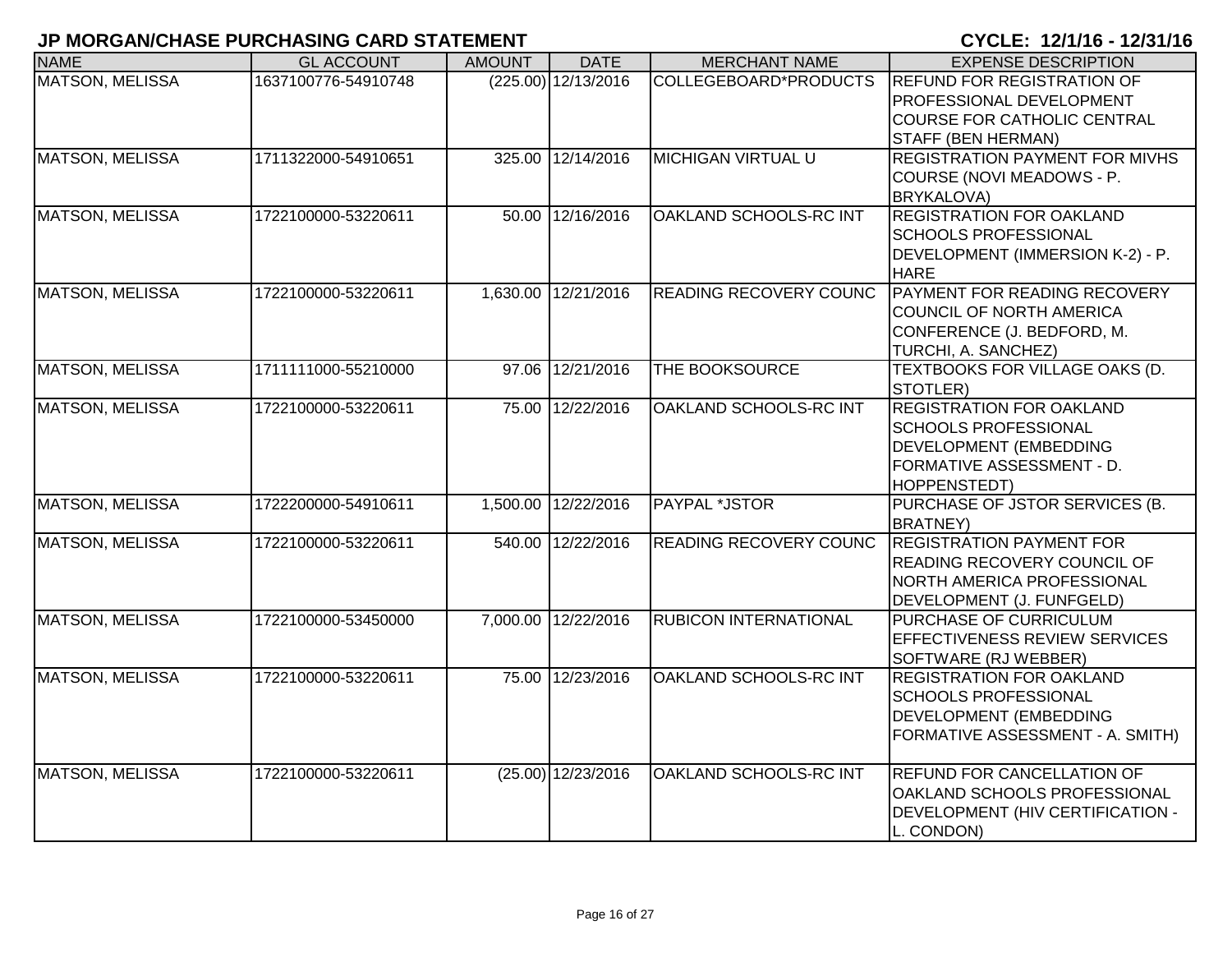| <b>NAME</b>            | <b>GL ACCOUNT</b>   | <b>AMOUNT</b> | <b>DATE</b>           | <b>MERCHANT NAME</b>          | <b>EXPENSE DESCRIPTION</b>                                                                                                                   |
|------------------------|---------------------|---------------|-----------------------|-------------------------------|----------------------------------------------------------------------------------------------------------------------------------------------|
| <b>MATSON, MELISSA</b> | 1637100776-54910748 |               | $(225.00)$ 12/13/2016 | COLLEGEBOARD*PRODUCTS         | <b>REFUND FOR REGISTRATION OF</b><br>PROFESSIONAL DEVELOPMENT<br><b>COURSE FOR CATHOLIC CENTRAL</b><br><b>STAFF (BEN HERMAN)</b>             |
| <b>MATSON, MELISSA</b> | 1711322000-54910651 | 325.00        | 12/14/2016            | <b>MICHIGAN VIRTUAL U</b>     | <b>REGISTRATION PAYMENT FOR MIVHS</b><br>COURSE (NOVI MEADOWS - P.<br><b>BRYKALOVA)</b>                                                      |
| <b>MATSON, MELISSA</b> | 1722100000-53220611 |               | 50.00 12/16/2016      | OAKLAND SCHOOLS-RC INT        | <b>REGISTRATION FOR OAKLAND</b><br><b>SCHOOLS PROFESSIONAL</b><br>DEVELOPMENT (IMMERSION K-2) - P.<br><b>HARE</b>                            |
| <b>MATSON, MELISSA</b> | 1722100000-53220611 |               | 1,630.00 12/21/2016   | <b>READING RECOVERY COUNC</b> | PAYMENT FOR READING RECOVERY<br>COUNCIL OF NORTH AMERICA<br>CONFERENCE (J. BEDFORD, M.<br>TURCHI, A. SANCHEZ)                                |
| <b>MATSON, MELISSA</b> | 1711111000-55210000 | 97.06         | 12/21/2016            | THE BOOKSOURCE                | TEXTBOOKS FOR VILLAGE OAKS (D.<br>STOTLER)                                                                                                   |
| <b>MATSON, MELISSA</b> | 1722100000-53220611 |               | 75.00 12/22/2016      | OAKLAND SCHOOLS-RC INT        | <b>REGISTRATION FOR OAKLAND</b><br><b>SCHOOLS PROFESSIONAL</b><br>DEVELOPMENT (EMBEDDING<br><b>FORMATIVE ASSESSMENT - D.</b><br>HOPPENSTEDT) |
| <b>MATSON, MELISSA</b> | 1722200000-54910611 |               | 1,500.00 12/22/2016   | PAYPAL *JSTOR                 | PURCHASE OF JSTOR SERVICES (B.<br><b>BRATNEY)</b>                                                                                            |
| <b>MATSON, MELISSA</b> | 1722100000-53220611 |               | 540.00 12/22/2016     | <b>READING RECOVERY COUNC</b> | <b>REGISTRATION PAYMENT FOR</b><br><b>READING RECOVERY COUNCIL OF</b><br>NORTH AMERICA PROFESSIONAL<br>DEVELOPMENT (J. FUNFGELD)             |
| <b>MATSON, MELISSA</b> | 1722100000-53450000 |               | 7,000.00 12/22/2016   | <b>RUBICON INTERNATIONAL</b>  | PURCHASE OF CURRICULUM<br><b>EFFECTIVENESS REVIEW SERVICES</b><br>SOFTWARE (RJ WEBBER)                                                       |
| <b>MATSON, MELISSA</b> | 1722100000-53220611 |               | 75.00 12/23/2016      | OAKLAND SCHOOLS-RC INT        | <b>REGISTRATION FOR OAKLAND</b><br><b>SCHOOLS PROFESSIONAL</b><br>DEVELOPMENT (EMBEDDING<br>FORMATIVE ASSESSMENT - A. SMITH)                 |
| <b>MATSON, MELISSA</b> | 1722100000-53220611 |               | $(25.00)$ 12/23/2016  | OAKLAND SCHOOLS-RC INT        | <b>REFUND FOR CANCELLATION OF</b><br>OAKLAND SCHOOLS PROFESSIONAL<br>DEVELOPMENT (HIV CERTIFICATION -<br>L. CONDON)                          |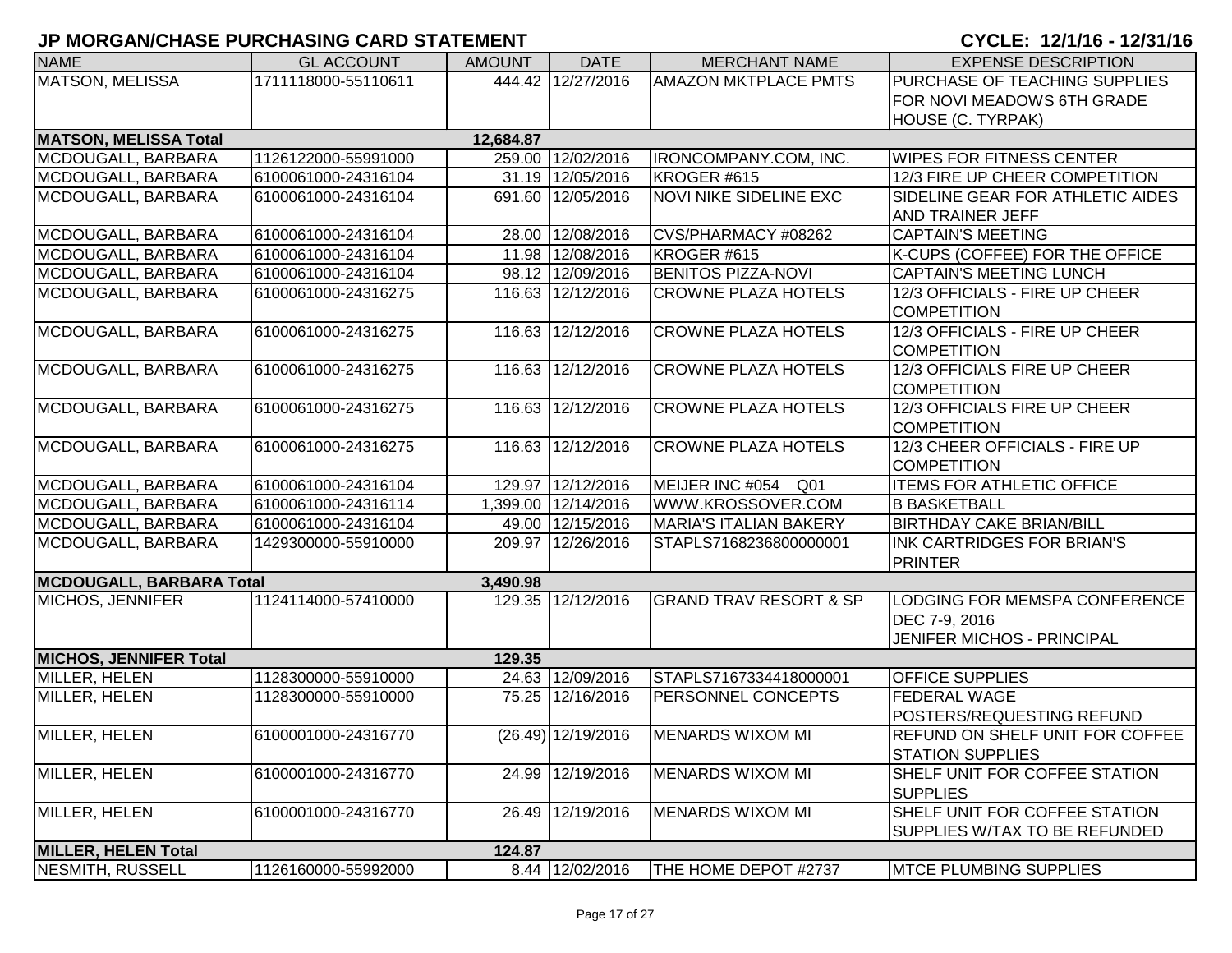| <b>NAME</b>                   | <b>GL ACCOUNT</b>   | <b>AMOUNT</b> | <b>DATE</b>          | <b>MERCHANT NAME</b>              | <b>EXPENSE DESCRIPTION</b>                                                   |
|-------------------------------|---------------------|---------------|----------------------|-----------------------------------|------------------------------------------------------------------------------|
| <b>MATSON, MELISSA</b>        | 1711118000-55110611 |               | 444.42 12/27/2016    | <b>AMAZON MKTPLACE PMTS</b>       | PURCHASE OF TEACHING SUPPLIES                                                |
|                               |                     |               |                      |                                   | FOR NOVI MEADOWS 6TH GRADE                                                   |
|                               |                     |               |                      |                                   | HOUSE (C. TYRPAK)                                                            |
| <b>MATSON, MELISSA Total</b>  |                     | 12,684.87     |                      |                                   |                                                                              |
| MCDOUGALL, BARBARA            | 1126122000-55991000 |               | 259.00 12/02/2016    | IRONCOMPANY.COM, INC.             | <b>WIPES FOR FITNESS CENTER</b>                                              |
| MCDOUGALL, BARBARA            | 6100061000-24316104 |               | 31.19 12/05/2016     | KROGER #615                       | 12/3 FIRE UP CHEER COMPETITION                                               |
| MCDOUGALL, BARBARA            | 6100061000-24316104 |               | 691.60 12/05/2016    | <b>NOVI NIKE SIDELINE EXC</b>     | SIDELINE GEAR FOR ATHLETIC AIDES<br><b>AND TRAINER JEFF</b>                  |
| MCDOUGALL, BARBARA            | 6100061000-24316104 |               | 28.00 12/08/2016     | CVS/PHARMACY #08262               | <b>CAPTAIN'S MEETING</b>                                                     |
| MCDOUGALL, BARBARA            | 6100061000-24316104 |               | 11.98 12/08/2016     | KROGER #615                       | K-CUPS (COFFEE) FOR THE OFFICE                                               |
| MCDOUGALL, BARBARA            | 6100061000-24316104 |               | 98.12 12/09/2016     | <b>BENITOS PIZZA-NOVI</b>         | <b>CAPTAIN'S MEETING LUNCH</b>                                               |
| MCDOUGALL, BARBARA            | 6100061000-24316275 |               | 116.63 12/12/2016    | <b>CROWNE PLAZA HOTELS</b>        | 12/3 OFFICIALS - FIRE UP CHEER<br><b>COMPETITION</b>                         |
| MCDOUGALL, BARBARA            | 6100061000-24316275 |               | 116.63 12/12/2016    | <b>CROWNE PLAZA HOTELS</b>        | 12/3 OFFICIALS - FIRE UP CHEER<br><b>COMPETITION</b>                         |
| MCDOUGALL, BARBARA            | 6100061000-24316275 |               | 116.63 12/12/2016    | <b>CROWNE PLAZA HOTELS</b>        | 12/3 OFFICIALS FIRE UP CHEER<br><b>COMPETITION</b>                           |
| MCDOUGALL, BARBARA            | 6100061000-24316275 |               | 116.63 12/12/2016    | <b>CROWNE PLAZA HOTELS</b>        | 12/3 OFFICIALS FIRE UP CHEER<br><b>COMPETITION</b>                           |
| MCDOUGALL, BARBARA            | 6100061000-24316275 |               | 116.63 12/12/2016    | <b>CROWNE PLAZA HOTELS</b>        | 12/3 CHEER OFFICIALS - FIRE UP<br><b>COMPETITION</b>                         |
| MCDOUGALL, BARBARA            | 6100061000-24316104 |               | 129.97 12/12/2016    | MEIJER INC #054<br>Q01            | <b>ITEMS FOR ATHLETIC OFFICE</b>                                             |
| MCDOUGALL, BARBARA            | 6100061000-24316114 |               | 1,399.00 12/14/2016  | WWW.KROSSOVER.COM                 | <b>B BASKETBALL</b>                                                          |
| MCDOUGALL, BARBARA            | 6100061000-24316104 |               | 49.00 12/15/2016     | <b>MARIA'S ITALIAN BAKERY</b>     | <b>BIRTHDAY CAKE BRIAN/BILL</b>                                              |
| MCDOUGALL, BARBARA            | 1429300000-55910000 |               | 209.97 12/26/2016    | STAPLS7168236800000001            | INK CARTRIDGES FOR BRIAN'S<br><b>PRINTER</b>                                 |
| MCDOUGALL, BARBARA Total      |                     | 3,490.98      |                      |                                   |                                                                              |
| MICHOS, JENNIFER              | 1124114000-57410000 |               | 129.35 12/12/2016    | <b>GRAND TRAV RESORT &amp; SP</b> | LODGING FOR MEMSPA CONFERENCE<br>DEC 7-9, 2016<br>JENIFER MICHOS - PRINCIPAL |
| <b>MICHOS, JENNIFER Total</b> |                     | 129.35        |                      |                                   |                                                                              |
| MILLER, HELEN                 | 1128300000-55910000 |               | 24.63 12/09/2016     | STAPLS7167334418000001            | <b>OFFICE SUPPLIES</b>                                                       |
| MILLER, HELEN                 | 1128300000-55910000 |               | 75.25 12/16/2016     | PERSONNEL CONCEPTS                | FEDERAL WAGE<br>POSTERS/REQUESTING REFUND                                    |
| MILLER, HELEN                 | 6100001000-24316770 |               | $(26.49)$ 12/19/2016 | <b>MENARDS WIXOM MI</b>           | <b>REFUND ON SHELF UNIT FOR COFFEE</b><br><b>STATION SUPPLIES</b>            |
| MILLER, HELEN                 | 6100001000-24316770 | 24.99         | 12/19/2016           | <b>MENARDS WIXOM MI</b>           | SHELF UNIT FOR COFFEE STATION<br><b>SUPPLIES</b>                             |
| MILLER, HELEN                 | 6100001000-24316770 | 26.49         | 12/19/2016           | <b>MENARDS WIXOM MI</b>           | SHELF UNIT FOR COFFEE STATION<br>SUPPLIES W/TAX TO BE REFUNDED               |
| <b>MILLER, HELEN Total</b>    |                     | 124.87        |                      |                                   |                                                                              |
| <b>NESMITH, RUSSELL</b>       | 1126160000-55992000 |               | 8.44 12/02/2016      | THE HOME DEPOT #2737              | <b>MTCE PLUMBING SUPPLIES</b>                                                |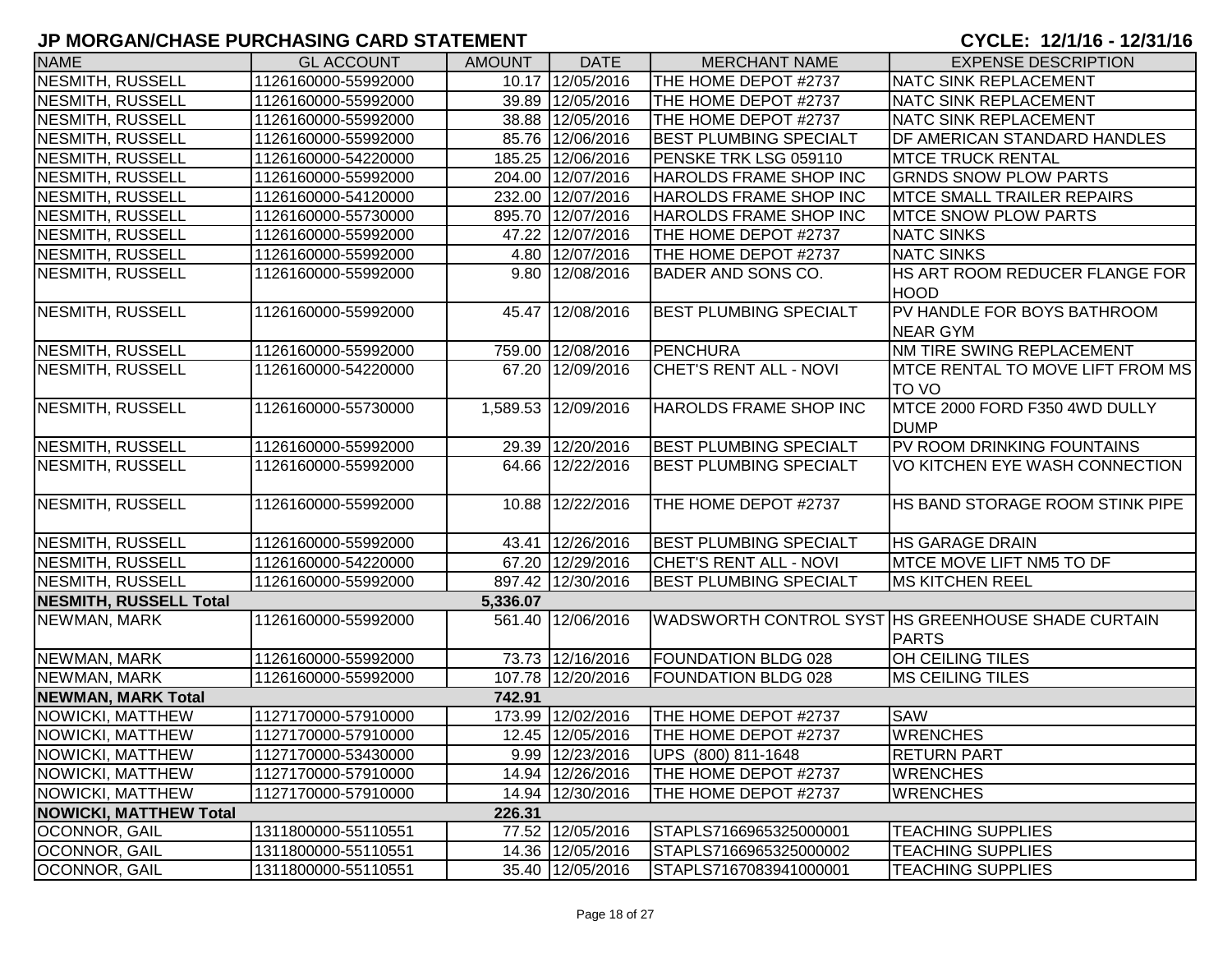| <b>NAME</b>                   | <b>GL ACCOUNT</b>   | <b>AMOUNT</b> | <b>DATE</b>         | <b>MERCHANT NAME</b>          | <b>EXPENSE DESCRIPTION</b>                                         |
|-------------------------------|---------------------|---------------|---------------------|-------------------------------|--------------------------------------------------------------------|
| <b>NESMITH, RUSSELL</b>       | 1126160000-55992000 |               | 10.17 12/05/2016    | THE HOME DEPOT #2737          | <b>NATC SINK REPLACEMENT</b>                                       |
| <b>NESMITH, RUSSELL</b>       | 1126160000-55992000 |               | 39.89 12/05/2016    | THE HOME DEPOT #2737          | <b>NATC SINK REPLACEMENT</b>                                       |
| <b>NESMITH, RUSSELL</b>       | 1126160000-55992000 |               | 38.88 12/05/2016    | THE HOME DEPOT #2737          | <b>NATC SINK REPLACEMENT</b>                                       |
| <b>NESMITH, RUSSELL</b>       | 1126160000-55992000 |               | 85.76 12/06/2016    | <b>BEST PLUMBING SPECIALT</b> | DF AMERICAN STANDARD HANDLES                                       |
| <b>NESMITH, RUSSELL</b>       | 1126160000-54220000 |               | 185.25 12/06/2016   | PENSKE TRK LSG 059110         | <b>MTCE TRUCK RENTAL</b>                                           |
| <b>NESMITH, RUSSELL</b>       | 1126160000-55992000 |               | 204.00 12/07/2016   | HAROLDS FRAME SHOP INC        | <b>GRNDS SNOW PLOW PARTS</b>                                       |
| <b>NESMITH, RUSSELL</b>       | 1126160000-54120000 |               | 232.00 12/07/2016   | HAROLDS FRAME SHOP INC        | <b>MTCE SMALL TRAILER REPAIRS</b>                                  |
| <b>NESMITH, RUSSELL</b>       | 1126160000-55730000 |               | 895.70 12/07/2016   | HAROLDS FRAME SHOP INC        | <b>MTCE SNOW PLOW PARTS</b>                                        |
| <b>NESMITH, RUSSELL</b>       | 1126160000-55992000 |               | 47.22 12/07/2016    | THE HOME DEPOT #2737          | <b>NATC SINKS</b>                                                  |
| <b>NESMITH, RUSSELL</b>       | 1126160000-55992000 |               | 4.80 12/07/2016     | THE HOME DEPOT #2737          | <b>NATC SINKS</b>                                                  |
| <b>NESMITH, RUSSELL</b>       | 1126160000-55992000 |               | 9.80 12/08/2016     | <b>BADER AND SONS CO.</b>     | HS ART ROOM REDUCER FLANGE FOR<br><b>HOOD</b>                      |
| <b>NESMITH, RUSSELL</b>       | 1126160000-55992000 |               | 45.47 12/08/2016    | <b>BEST PLUMBING SPECIALT</b> | PV HANDLE FOR BOYS BATHROOM                                        |
|                               |                     |               |                     |                               | <b>NEAR GYM</b>                                                    |
| <b>NESMITH, RUSSELL</b>       | 1126160000-55992000 |               | 759.00 12/08/2016   | <b>PENCHURA</b>               | NM TIRE SWING REPLACEMENT                                          |
| <b>NESMITH, RUSSELL</b>       | 1126160000-54220000 |               | 67.20 12/09/2016    | <b>CHET'S RENT ALL - NOVI</b> | MTCE RENTAL TO MOVE LIFT FROM MS                                   |
|                               |                     |               |                     |                               | TO VO                                                              |
| <b>NESMITH, RUSSELL</b>       | 1126160000-55730000 |               | 1,589.53 12/09/2016 | HAROLDS FRAME SHOP INC        | MTCE 2000 FORD F350 4WD DULLY<br><b>DUMP</b>                       |
| <b>NESMITH, RUSSELL</b>       | 1126160000-55992000 |               | 29.39 12/20/2016    | <b>BEST PLUMBING SPECIALT</b> | PV ROOM DRINKING FOUNTAINS                                         |
| <b>NESMITH, RUSSELL</b>       | 1126160000-55992000 |               | 64.66 12/22/2016    | <b>BEST PLUMBING SPECIALT</b> | VO KITCHEN EYE WASH CONNECTION                                     |
| <b>NESMITH, RUSSELL</b>       | 1126160000-55992000 |               | 10.88 12/22/2016    | THE HOME DEPOT #2737          | HS BAND STORAGE ROOM STINK PIPE                                    |
| <b>NESMITH, RUSSELL</b>       | 1126160000-55992000 |               | 43.41 12/26/2016    | <b>BEST PLUMBING SPECIALT</b> | <b>HS GARAGE DRAIN</b>                                             |
| <b>NESMITH, RUSSELL</b>       | 1126160000-54220000 |               | 67.20 12/29/2016    | CHET'S RENT ALL - NOVI        | MTCE MOVE LIFT NM5 TO DF                                           |
| <b>NESMITH, RUSSELL</b>       | 1126160000-55992000 |               | 897.42 12/30/2016   | <b>BEST PLUMBING SPECIALT</b> | <b>MS KITCHEN REEL</b>                                             |
| <b>NESMITH, RUSSELL Total</b> |                     | 5,336.07      |                     |                               |                                                                    |
| NEWMAN, MARK                  | 1126160000-55992000 | 561.40        | 12/06/2016          |                               | WADSWORTH CONTROL SYST HS GREENHOUSE SHADE CURTAIN<br><b>PARTS</b> |
| NEWMAN, MARK                  | 1126160000-55992000 |               | 73.73 12/16/2016    | <b>FOUNDATION BLDG 028</b>    | OH CEILING TILES                                                   |
| NEWMAN, MARK                  | 1126160000-55992000 |               | 107.78 12/20/2016   | <b>FOUNDATION BLDG 028</b>    | <b>MS CEILING TILES</b>                                            |
| <b>NEWMAN, MARK Total</b>     |                     | 742.91        |                     |                               |                                                                    |
| <b>NOWICKI, MATTHEW</b>       | 1127170000-57910000 |               | 173.99 12/02/2016   | THE HOME DEPOT #2737          | <b>SAW</b>                                                         |
| NOWICKI, MATTHEW              | 1127170000-57910000 |               | 12.45 12/05/2016    | THE HOME DEPOT #2737          | <b>WRENCHES</b>                                                    |
| NOWICKI, MATTHEW              | 1127170000-53430000 |               | 9.99 12/23/2016     | UPS (800) 811-1648            | <b>RETURN PART</b>                                                 |
| NOWICKI, MATTHEW              | 1127170000-57910000 |               | 14.94 12/26/2016    | THE HOME DEPOT #2737          | <b>WRENCHES</b>                                                    |
| NOWICKI, MATTHEW              | 1127170000-57910000 |               | 14.94 12/30/2016    | THE HOME DEPOT #2737          | <b>WRENCHES</b>                                                    |
| <b>NOWICKI, MATTHEW Total</b> |                     | 226.31        |                     |                               |                                                                    |
| OCONNOR, GAIL                 | 1311800000-55110551 |               | 77.52 12/05/2016    | STAPLS7166965325000001        | <b>TEACHING SUPPLIES</b>                                           |
| OCONNOR, GAIL                 | 1311800000-55110551 |               | 14.36 12/05/2016    | STAPLS7166965325000002        | <b>TEACHING SUPPLIES</b>                                           |
| OCONNOR, GAIL                 | 1311800000-55110551 |               | 35.40 12/05/2016    | STAPLS7167083941000001        | <b>TEACHING SUPPLIES</b>                                           |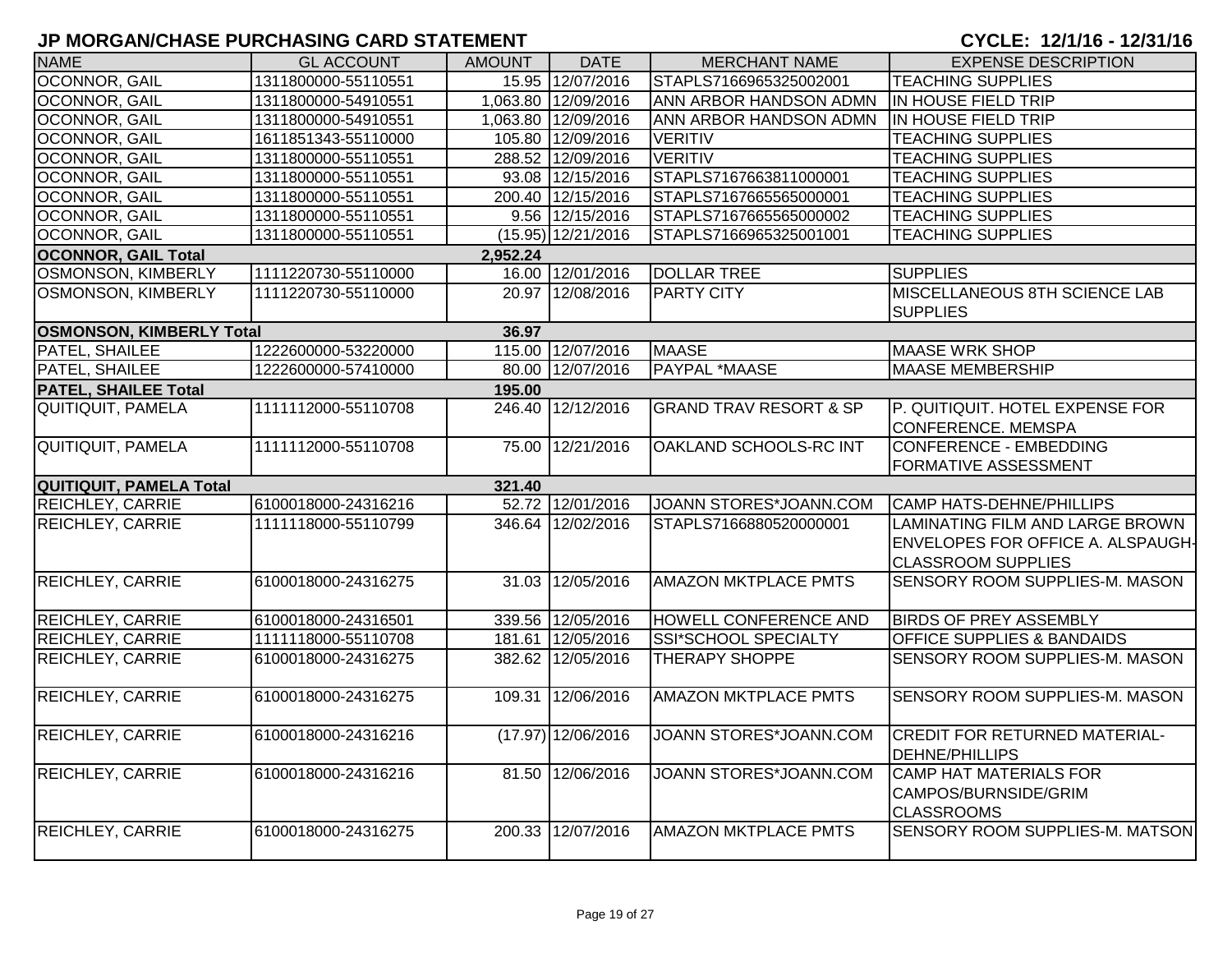| <b>NAME</b>                     | <b>GL ACCOUNT</b>   | <b>AMOUNT</b> | <b>DATE</b>          | <b>MERCHANT NAME</b>              | <b>EXPENSE DESCRIPTION</b>                                                 |
|---------------------------------|---------------------|---------------|----------------------|-----------------------------------|----------------------------------------------------------------------------|
| OCONNOR, GAIL                   | 1311800000-55110551 |               | 15.95 12/07/2016     | STAPLS7166965325002001            | <b>TEACHING SUPPLIES</b>                                                   |
| OCONNOR, GAIL                   | 1311800000-54910551 |               | 1,063.80 12/09/2016  | ANN ARBOR HANDSON ADMN            | IN HOUSE FIELD TRIP                                                        |
| OCONNOR, GAIL                   | 1311800000-54910551 |               | 1,063.80 12/09/2016  | ANN ARBOR HANDSON ADMN            | IN HOUSE FIELD TRIP                                                        |
| OCONNOR, GAIL                   | 1611851343-55110000 |               | 105.80 12/09/2016    | <b>VERITIV</b>                    | <b>TEACHING SUPPLIES</b>                                                   |
| OCONNOR, GAIL                   | 1311800000-55110551 |               | 288.52 12/09/2016    | <b>VERITIV</b>                    | <b>TEACHING SUPPLIES</b>                                                   |
| OCONNOR, GAIL                   | 1311800000-55110551 |               | 93.08 12/15/2016     | STAPLS7167663811000001            | <b>TEACHING SUPPLIES</b>                                                   |
| OCONNOR, GAIL                   | 1311800000-55110551 |               | 200.40 12/15/2016    | STAPLS7167665565000001            | <b>TEACHING SUPPLIES</b>                                                   |
| OCONNOR, GAIL                   | 1311800000-55110551 |               | 9.56 12/15/2016      | STAPLS7167665565000002            | <b>TEACHING SUPPLIES</b>                                                   |
| OCONNOR, GAIL                   | 1311800000-55110551 |               | $(15.95)$ 12/21/2016 | STAPLS7166965325001001            | <b>TEACHING SUPPLIES</b>                                                   |
| <b>OCONNOR, GAIL Total</b>      |                     | 2,952.24      |                      |                                   |                                                                            |
| OSMONSON, KIMBERLY              | 1111220730-55110000 |               | 16.00 12/01/2016     | <b>DOLLAR TREE</b>                | <b>SUPPLIES</b>                                                            |
| OSMONSON, KIMBERLY              | 1111220730-55110000 |               | 20.97 12/08/2016     | <b>PARTY CITY</b>                 | <b>MISCELLANEOUS 8TH SCIENCE LAB</b><br><b>SUPPLIES</b>                    |
| <b>OSMONSON, KIMBERLY Total</b> |                     | 36.97         |                      |                                   |                                                                            |
| PATEL, SHAILEE                  | 1222600000-53220000 |               | 115.00 12/07/2016    | <b>MAASE</b>                      | <b>MAASE WRK SHOP</b>                                                      |
| PATEL, SHAILEE                  | 1222600000-57410000 |               | 80.00 12/07/2016     | <b>PAYPAL *MAASE</b>              | <b>MAASE MEMBERSHIP</b>                                                    |
| <b>PATEL, SHAILEE Total</b>     |                     | 195.00        |                      |                                   |                                                                            |
| QUITIQUIT, PAMELA               | 1111112000-55110708 |               | 246.40 12/12/2016    | <b>GRAND TRAV RESORT &amp; SP</b> | P. QUITIQUIT. HOTEL EXPENSE FOR                                            |
|                                 |                     |               |                      |                                   | <b>CONFERENCE. MEMSPA</b>                                                  |
| <b>QUITIQUIT, PAMELA</b>        | 1111112000-55110708 |               | 75.00 12/21/2016     | OAKLAND SCHOOLS-RC INT            | <b>CONFERENCE - EMBEDDING</b>                                              |
|                                 |                     |               |                      |                                   | <b>FORMATIVE ASSESSMENT</b>                                                |
| <b>QUITIQUIT, PAMELA Total</b>  |                     | 321.40        |                      |                                   |                                                                            |
| <b>REICHLEY, CARRIE</b>         | 6100018000-24316216 |               | 52.72 12/01/2016     | JOANN STORES*JOANN.COM            | <b>CAMP HATS-DEHNE/PHILLIPS</b>                                            |
| <b>REICHLEY, CARRIE</b>         | 1111118000-55110799 |               | 346.64 12/02/2016    | STAPLS7166880520000001            | LAMINATING FILM AND LARGE BROWN                                            |
|                                 |                     |               |                      |                                   | <b>ENVELOPES FOR OFFICE A. ALSPAUGH-</b>                                   |
|                                 |                     |               |                      |                                   | <b>CLASSROOM SUPPLIES</b>                                                  |
| <b>REICHLEY, CARRIE</b>         | 6100018000-24316275 |               | 31.03 12/05/2016     | <b>AMAZON MKTPLACE PMTS</b>       | SENSORY ROOM SUPPLIES-M. MASON                                             |
| REICHLEY, CARRIE                | 6100018000-24316501 |               | 339.56 12/05/2016    | HOWELL CONFERENCE AND             | <b>BIRDS OF PREY ASSEMBLY</b>                                              |
| REICHLEY, CARRIE                | 1111118000-55110708 |               | 181.61 12/05/2016    | <b>SSI*SCHOOL SPECIALTY</b>       | <b>OFFICE SUPPLIES &amp; BANDAIDS</b>                                      |
| REICHLEY, CARRIE                | 6100018000-24316275 |               | 382.62 12/05/2016    | <b>THERAPY SHOPPE</b>             | SENSORY ROOM SUPPLIES-M. MASON                                             |
|                                 |                     |               |                      |                                   |                                                                            |
| <b>REICHLEY, CARRIE</b>         | 6100018000-24316275 |               | 109.31 12/06/2016    | <b>AMAZON MKTPLACE PMTS</b>       | SENSORY ROOM SUPPLIES-M. MASON                                             |
| <b>REICHLEY, CARRIE</b>         | 6100018000-24316216 |               | $(17.97)$ 12/06/2016 | JOANN STORES*JOANN.COM            | <b>CREDIT FOR RETURNED MATERIAL-</b><br><b>DEHNE/PHILLIPS</b>              |
| <b>REICHLEY, CARRIE</b>         | 6100018000-24316216 |               | 81.50 12/06/2016     | JOANN STORES*JOANN.COM            | <b>CAMP HAT MATERIALS FOR</b><br>CAMPOS/BURNSIDE/GRIM<br><b>CLASSROOMS</b> |
| <b>REICHLEY, CARRIE</b>         | 6100018000-24316275 |               | 200.33 12/07/2016    | <b>AMAZON MKTPLACE PMTS</b>       | SENSORY ROOM SUPPLIES-M. MATSON                                            |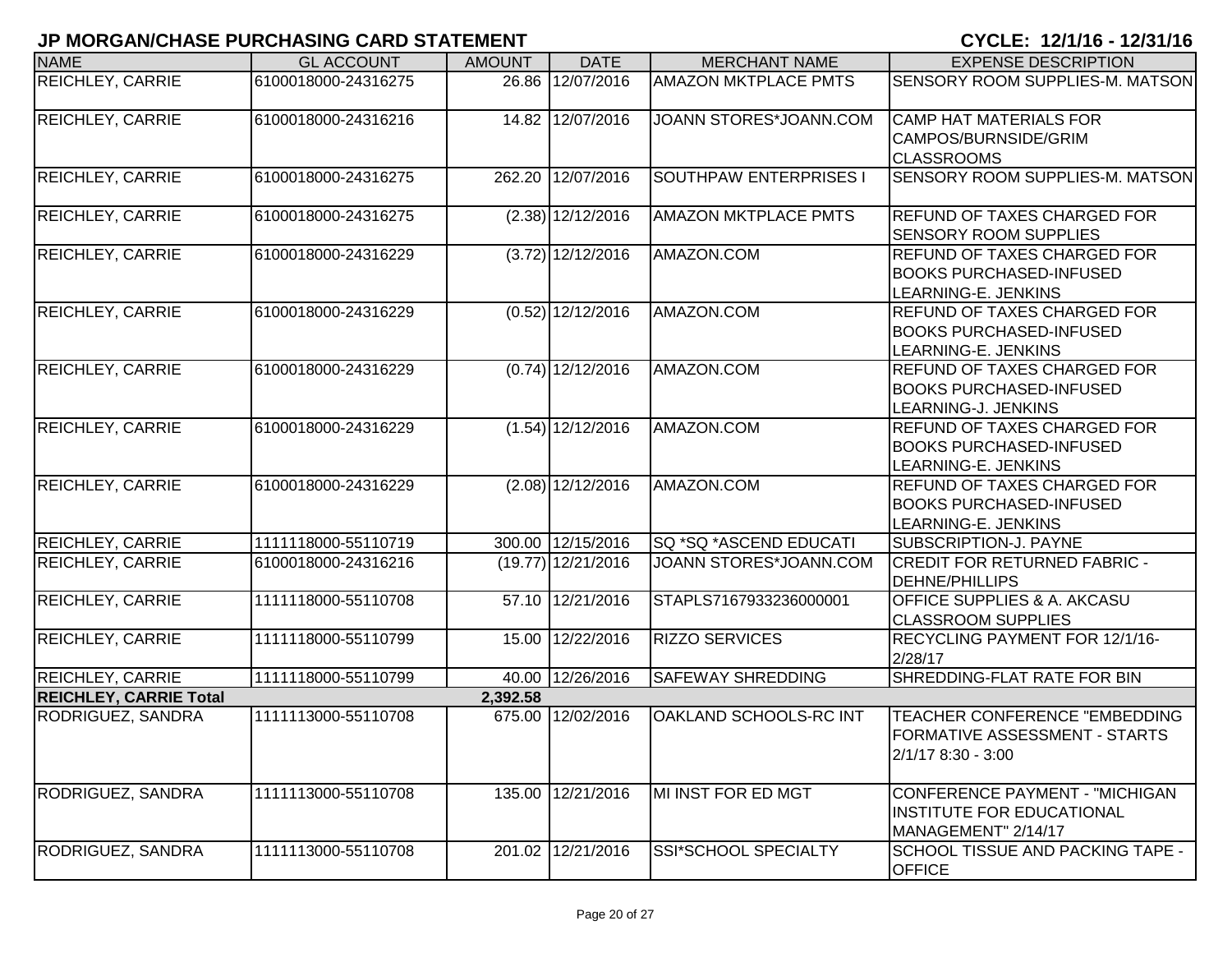| <b>NAME</b>                   | <b>GL ACCOUNT</b>   | <b>AMOUNT</b> | <b>DATE</b>          | <b>MERCHANT NAME</b>          | <b>EXPENSE DESCRIPTION</b>                                                                  |
|-------------------------------|---------------------|---------------|----------------------|-------------------------------|---------------------------------------------------------------------------------------------|
| <b>REICHLEY, CARRIE</b>       | 6100018000-24316275 |               | 26.86 12/07/2016     | <b>AMAZON MKTPLACE PMTS</b>   | SENSORY ROOM SUPPLIES-M. MATSON                                                             |
| <b>REICHLEY, CARRIE</b>       | 6100018000-24316216 |               | 14.82 12/07/2016     | JOANN STORES*JOANN.COM        | <b>CAMP HAT MATERIALS FOR</b><br>CAMPOS/BURNSIDE/GRIM<br><b>CLASSROOMS</b>                  |
| <b>REICHLEY, CARRIE</b>       | 6100018000-24316275 | 262.20        | 12/07/2016           | <b>SOUTHPAW ENTERPRISES I</b> | SENSORY ROOM SUPPLIES-M. MATSON                                                             |
| <b>REICHLEY, CARRIE</b>       | 6100018000-24316275 |               | (2.38) 12/12/2016    | <b>AMAZON MKTPLACE PMTS</b>   | <b>REFUND OF TAXES CHARGED FOR</b><br><b>SENSORY ROOM SUPPLIES</b>                          |
| <b>REICHLEY, CARRIE</b>       | 6100018000-24316229 |               | $(3.72)$ 12/12/2016  | AMAZON.COM                    | <b>REFUND OF TAXES CHARGED FOR</b><br><b>BOOKS PURCHASED-INFUSED</b><br>LEARNING-E. JENKINS |
| <b>REICHLEY, CARRIE</b>       | 6100018000-24316229 |               | $(0.52)$ 12/12/2016  | AMAZON.COM                    | <b>REFUND OF TAXES CHARGED FOR</b><br><b>BOOKS PURCHASED-INFUSED</b><br>LEARNING-E. JENKINS |
| <b>REICHLEY, CARRIE</b>       | 6100018000-24316229 |               | $(0.74)$ 12/12/2016  | AMAZON.COM                    | <b>REFUND OF TAXES CHARGED FOR</b><br><b>BOOKS PURCHASED-INFUSED</b><br>LEARNING-J. JENKINS |
| <b>REICHLEY, CARRIE</b>       | 6100018000-24316229 |               | $(1.54)$ 12/12/2016  | AMAZON.COM                    | <b>REFUND OF TAXES CHARGED FOR</b><br><b>BOOKS PURCHASED-INFUSED</b><br>LEARNING-E. JENKINS |
| <b>REICHLEY, CARRIE</b>       | 6100018000-24316229 |               | $(2.08)$ 12/12/2016  | AMAZON.COM                    | <b>REFUND OF TAXES CHARGED FOR</b><br><b>BOOKS PURCHASED-INFUSED</b><br>LEARNING-E. JENKINS |
| <b>REICHLEY, CARRIE</b>       | 1111118000-55110719 |               | 300.00 12/15/2016    | SQ *SQ *ASCEND EDUCATI        | <b>SUBSCRIPTION-J. PAYNE</b>                                                                |
| <b>REICHLEY, CARRIE</b>       | 6100018000-24316216 |               | $(19.77)$ 12/21/2016 | JOANN STORES*JOANN.COM        | <b>CREDIT FOR RETURNED FABRIC -</b><br><b>DEHNE/PHILLIPS</b>                                |
| <b>REICHLEY, CARRIE</b>       | 1111118000-55110708 |               | 57.10 12/21/2016     | STAPLS7167933236000001        | <b>OFFICE SUPPLIES &amp; A. AKCASU</b><br><b>CLASSROOM SUPPLIES</b>                         |
| <b>REICHLEY, CARRIE</b>       | 1111118000-55110799 |               | 15.00 12/22/2016     | <b>RIZZO SERVICES</b>         | RECYCLING PAYMENT FOR 12/1/16-<br>2/28/17                                                   |
| <b>REICHLEY, CARRIE</b>       | 1111118000-55110799 |               | 40.00 12/26/2016     | <b>SAFEWAY SHREDDING</b>      | SHREDDING-FLAT RATE FOR BIN                                                                 |
| <b>REICHLEY, CARRIE Total</b> |                     | 2,392.58      |                      |                               |                                                                                             |
| RODRIGUEZ, SANDRA             | 1111113000-55110708 |               | 675.00 12/02/2016    | OAKLAND SCHOOLS-RC INT        | TEACHER CONFERENCE "EMBEDDING<br><b>FORMATIVE ASSESSMENT - STARTS</b><br>2/1/17 8:30 - 3:00 |
| RODRIGUEZ, SANDRA             | 1111113000-55110708 |               | 135.00 12/21/2016    | MI INST FOR ED MGT            | CONFERENCE PAYMENT - "MICHIGAN<br><b>INSTITUTE FOR EDUCATIONAL</b><br>MANAGEMENT" 2/14/17   |
| RODRIGUEZ, SANDRA             | 1111113000-55110708 |               | 201.02 12/21/2016    | SSI*SCHOOL SPECIALTY          | SCHOOL TISSUE AND PACKING TAPE -<br><b>OFFICE</b>                                           |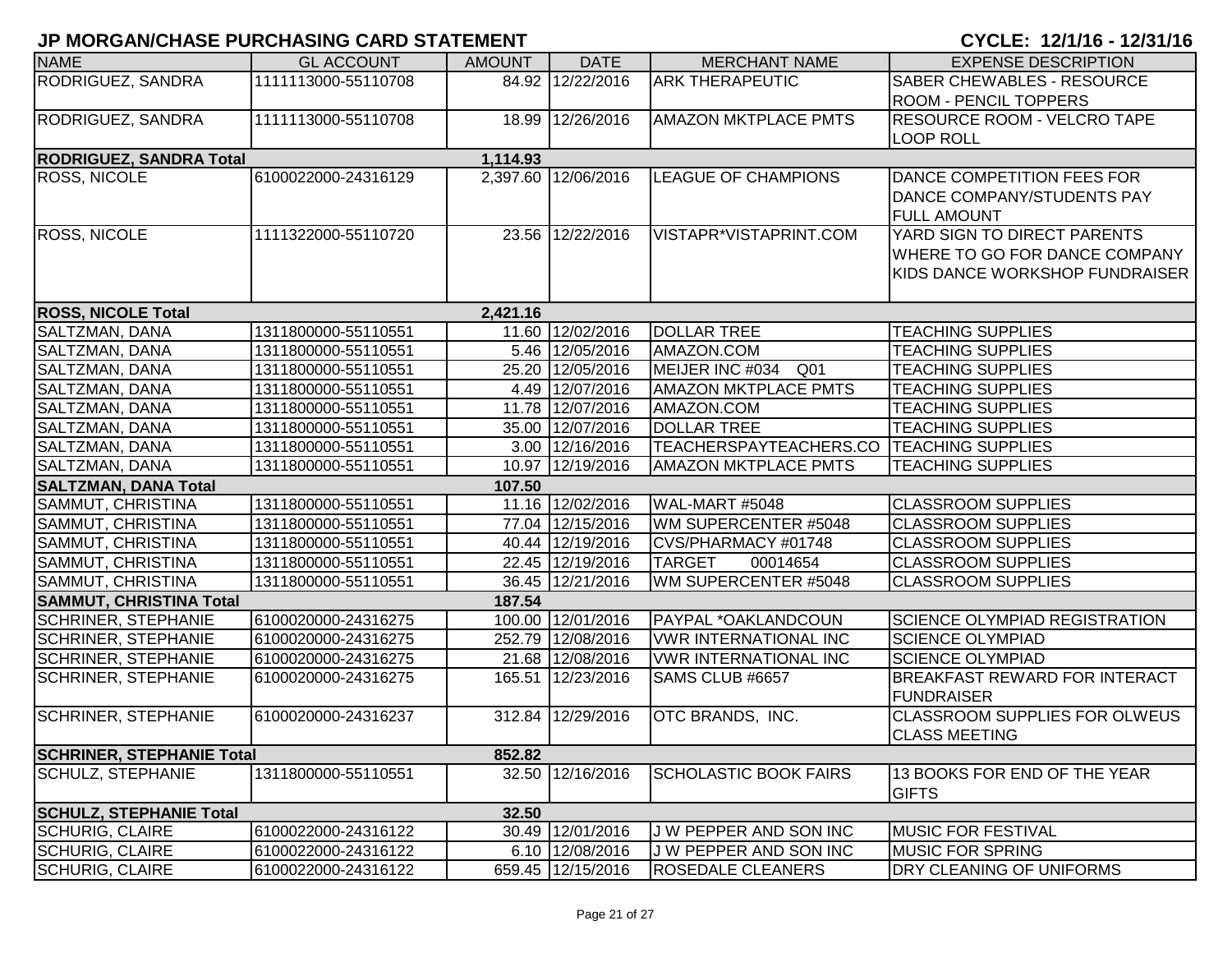| <b>NAME</b>                            | <b>GL ACCOUNT</b>                          | <b>AMOUNT</b> | <b>DATE</b>                          | <b>MERCHANT NAME</b>                     | <b>EXPENSE DESCRIPTION</b>                             |
|----------------------------------------|--------------------------------------------|---------------|--------------------------------------|------------------------------------------|--------------------------------------------------------|
| RODRIGUEZ, SANDRA                      | 1111113000-55110708                        |               | 84.92 12/22/2016                     | <b>ARK THERAPEUTIC</b>                   | <b>SABER CHEWABLES - RESOURCE</b>                      |
|                                        |                                            |               |                                      |                                          | <b>ROOM - PENCIL TOPPERS</b>                           |
| RODRIGUEZ, SANDRA                      | 1111113000-55110708                        |               | 18.99 12/26/2016                     | <b>AMAZON MKTPLACE PMTS</b>              | RESOURCE ROOM - VELCRO TAPE                            |
|                                        |                                            |               |                                      |                                          | <b>LOOP ROLL</b>                                       |
| <b>RODRIGUEZ, SANDRA Total</b>         |                                            | 1,114.93      |                                      |                                          |                                                        |
| <b>ROSS, NICOLE</b>                    | 6100022000-24316129                        |               | 2,397.60 12/06/2016                  | <b>LEAGUE OF CHAMPIONS</b>               | DANCE COMPETITION FEES FOR                             |
|                                        |                                            |               |                                      |                                          | DANCE COMPANY/STUDENTS PAY                             |
|                                        |                                            |               |                                      |                                          | <b>FULL AMOUNT</b>                                     |
| <b>ROSS, NICOLE</b>                    | 1111322000-55110720                        |               | 23.56 12/22/2016                     | VISTAPR*VISTAPRINT.COM                   | YARD SIGN TO DIRECT PARENTS                            |
|                                        |                                            |               |                                      |                                          | WHERE TO GO FOR DANCE COMPANY                          |
|                                        |                                            |               |                                      |                                          | KIDS DANCE WORKSHOP FUNDRAISER                         |
|                                        |                                            |               |                                      |                                          |                                                        |
| <b>ROSS, NICOLE Total</b>              |                                            | 2,421.16      |                                      |                                          |                                                        |
| SALTZMAN, DANA                         | 1311800000-55110551                        |               | 11.60 12/02/2016                     | <b>DOLLAR TREE</b>                       | <b>TEACHING SUPPLIES</b>                               |
| SALTZMAN, DANA                         | 1311800000-55110551                        |               | 5.46 12/05/2016                      | AMAZON.COM                               | <b>TEACHING SUPPLIES</b>                               |
| <b>SALTZMAN, DANA</b>                  | 1311800000-55110551                        |               | 25.20 12/05/2016                     | MEIJER INC #034<br>Q01                   | <b>TEACHING SUPPLIES</b>                               |
| SALTZMAN, DANA                         | 1311800000-55110551                        |               | 4.49 12/07/2016                      | <b>AMAZON MKTPLACE PMTS</b>              | <b>TEACHING SUPPLIES</b>                               |
| SALTZMAN, DANA                         | 1311800000-55110551                        |               | 11.78 12/07/2016                     | AMAZON.COM                               | <b>TEACHING SUPPLIES</b>                               |
| SALTZMAN, DANA                         | 1311800000-55110551                        |               | 35.00 12/07/2016                     | <b>DOLLAR TREE</b>                       | <b>TEACHING SUPPLIES</b>                               |
| SALTZMAN, DANA                         | 1311800000-55110551                        |               | 3.00 12/16/2016                      | TEACHERSPAYTEACHERS.CO TEACHING SUPPLIES |                                                        |
| SALTZMAN, DANA                         | 1311800000-55110551                        |               | 10.97 12/19/2016                     | <b>AMAZON MKTPLACE PMTS</b>              | <b>TEACHING SUPPLIES</b>                               |
| <b>SALTZMAN, DANA Total</b>            |                                            | 107.50        |                                      |                                          |                                                        |
| SAMMUT, CHRISTINA<br>SAMMUT, CHRISTINA | 1311800000-55110551<br>1311800000-55110551 |               | 11.16 12/02/2016<br>77.04 12/15/2016 | WAL-MART #5048<br>WM SUPERCENTER #5048   | <b>CLASSROOM SUPPLIES</b><br><b>CLASSROOM SUPPLIES</b> |
| SAMMUT, CHRISTINA                      | 1311800000-55110551                        |               | 40.44 12/19/2016                     | CVS/PHARMACY #01748                      | <b>CLASSROOM SUPPLIES</b>                              |
| <b>SAMMUT, CHRISTINA</b>               | 1311800000-55110551                        |               | 22.45 12/19/2016                     | <b>TARGET</b><br>00014654                | <b>CLASSROOM SUPPLIES</b>                              |
| SAMMUT, CHRISTINA                      | 1311800000-55110551                        |               | 36.45 12/21/2016                     | WM SUPERCENTER #5048                     | <b>CLASSROOM SUPPLIES</b>                              |
| <b>SAMMUT, CHRISTINA Total</b>         |                                            | 187.54        |                                      |                                          |                                                        |
| <b>SCHRINER, STEPHANIE</b>             | 6100020000-24316275                        |               | 100.00 12/01/2016                    | PAYPAL *OAKLANDCOUN                      | <b>SCIENCE OLYMPIAD REGISTRATION</b>                   |
| <b>SCHRINER, STEPHANIE</b>             | 6100020000-24316275                        |               | 252.79 12/08/2016                    | <b>VWR INTERNATIONAL INC</b>             | <b>SCIENCE OLYMPIAD</b>                                |
| <b>SCHRINER, STEPHANIE</b>             | 6100020000-24316275                        |               | 21.68 12/08/2016                     | <b>VWR INTERNATIONAL INC</b>             | <b>SCIENCE OLYMPIAD</b>                                |
| <b>SCHRINER, STEPHANIE</b>             | 6100020000-24316275                        |               | 165.51 12/23/2016                    | SAMS CLUB #6657                          | <b>BREAKFAST REWARD FOR INTERACT</b>                   |
|                                        |                                            |               |                                      |                                          | <b>FUNDRAISER</b>                                      |
| <b>SCHRINER, STEPHANIE</b>             | 6100020000-24316237                        |               | 312.84 12/29/2016                    | OTC BRANDS, INC.                         | <b>CLASSROOM SUPPLIES FOR OLWEUS</b>                   |
|                                        |                                            |               |                                      |                                          | <b>CLASS MEETING</b>                                   |
| <b>SCHRINER, STEPHANIE Total</b>       |                                            | 852.82        |                                      |                                          |                                                        |
| <b>SCHULZ, STEPHANIE</b>               | 1311800000-55110551                        | 32.50         | 12/16/2016                           | <b>SCHOLASTIC BOOK FAIRS</b>             | 13 BOOKS FOR END OF THE YEAR                           |
|                                        |                                            |               |                                      |                                          | <b>GIFTS</b>                                           |
| <b>SCHULZ, STEPHANIE Total</b>         |                                            | 32.50         |                                      |                                          |                                                        |
| <b>SCHURIG, CLAIRE</b>                 | 6100022000-24316122                        |               | 30.49 12/01/2016                     | J W PEPPER AND SON INC                   | <b>MUSIC FOR FESTIVAL</b>                              |
| <b>SCHURIG, CLAIRE</b>                 | 6100022000-24316122                        |               | 6.10 12/08/2016                      | J W PEPPER AND SON INC                   | <b>MUSIC FOR SPRING</b>                                |
| <b>SCHURIG, CLAIRE</b>                 | 6100022000-24316122                        |               | 659.45 12/15/2016                    | <b>ROSEDALE CLEANERS</b>                 | DRY CLEANING OF UNIFORMS                               |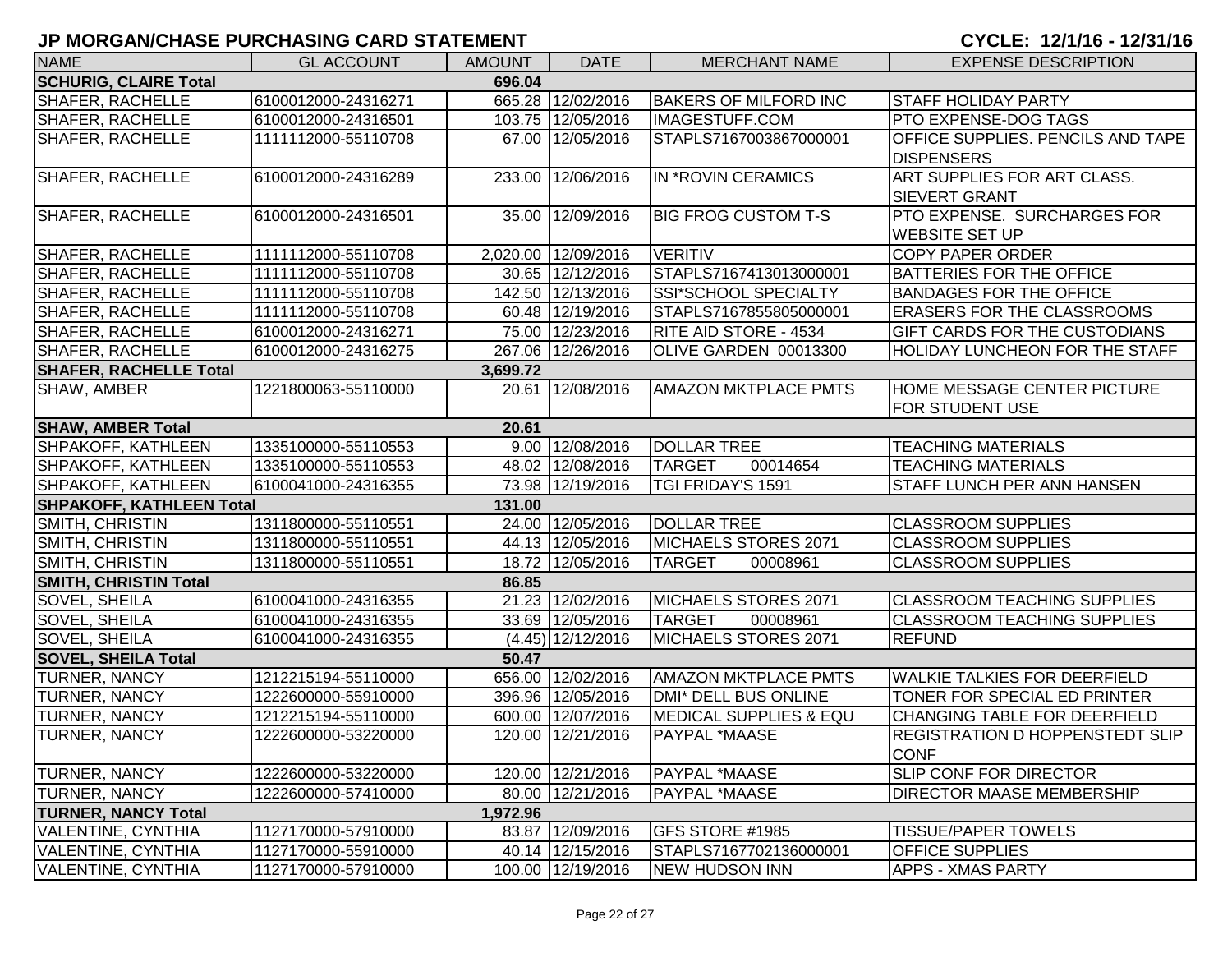| <b>NAME</b>                            | <b>GL ACCOUNT</b>   | <b>AMOUNT</b> | <b>DATE</b>         | <b>MERCHANT NAME</b>              | <b>EXPENSE DESCRIPTION</b>             |  |  |  |
|----------------------------------------|---------------------|---------------|---------------------|-----------------------------------|----------------------------------------|--|--|--|
| <b>SCHURIG, CLAIRE Total</b><br>696.04 |                     |               |                     |                                   |                                        |  |  |  |
| <b>SHAFER, RACHELLE</b>                | 6100012000-24316271 |               | 665.28 12/02/2016   | <b>BAKERS OF MILFORD INC</b>      | <b>STAFF HOLIDAY PARTY</b>             |  |  |  |
| <b>SHAFER, RACHELLE</b>                | 6100012000-24316501 |               | 103.75 12/05/2016   | <b>IMAGESTUFF.COM</b>             | <b>PTO EXPENSE-DOG TAGS</b>            |  |  |  |
| <b>SHAFER, RACHELLE</b>                | 1111112000-55110708 |               | 67.00 12/05/2016    | STAPLS7167003867000001            | OFFICE SUPPLIES. PENCILS AND TAPE      |  |  |  |
|                                        |                     |               |                     |                                   | <b>DISPENSERS</b>                      |  |  |  |
| <b>SHAFER, RACHELLE</b>                | 6100012000-24316289 | 233.00        | 12/06/2016          | IN *ROVIN CERAMICS                | ART SUPPLIES FOR ART CLASS.            |  |  |  |
|                                        |                     |               |                     |                                   | <b>SIEVERT GRANT</b>                   |  |  |  |
| <b>SHAFER, RACHELLE</b>                | 6100012000-24316501 |               | 35.00 12/09/2016    | <b>BIG FROG CUSTOM T-S</b>        | PTO EXPENSE. SURCHARGES FOR            |  |  |  |
|                                        |                     |               |                     |                                   | <b>WEBSITE SET UP</b>                  |  |  |  |
| <b>SHAFER, RACHELLE</b>                | 1111112000-55110708 |               | 2,020.00 12/09/2016 | <b>VERITIV</b>                    | <b>COPY PAPER ORDER</b>                |  |  |  |
| <b>SHAFER, RACHELLE</b>                | 1111112000-55110708 |               | 30.65 12/12/2016    | STAPLS7167413013000001            | <b>BATTERIES FOR THE OFFICE</b>        |  |  |  |
| <b>SHAFER, RACHELLE</b>                | 1111112000-55110708 |               | 142.50 12/13/2016   | SSI*SCHOOL SPECIALTY              | <b>BANDAGES FOR THE OFFICE</b>         |  |  |  |
| <b>SHAFER, RACHELLE</b>                | 1111112000-55110708 |               | 60.48 12/19/2016    | STAPLS7167855805000001            | <b>ERASERS FOR THE CLASSROOMS</b>      |  |  |  |
| <b>SHAFER, RACHELLE</b>                | 6100012000-24316271 |               | 75.00 12/23/2016    | RITE AID STORE - 4534             | GIFT CARDS FOR THE CUSTODIANS          |  |  |  |
| SHAFER, RACHELLE                       | 6100012000-24316275 |               | 267.06 12/26/2016   | OLIVE GARDEN 00013300             | HOLIDAY LUNCHEON FOR THE STAFF         |  |  |  |
| <b>SHAFER, RACHELLE Total</b>          |                     | 3,699.72      |                     |                                   |                                        |  |  |  |
| SHAW, AMBER                            | 1221800063-55110000 |               | 20.61 12/08/2016    | <b>AMAZON MKTPLACE PMTS</b>       | <b>HOME MESSAGE CENTER PICTURE</b>     |  |  |  |
|                                        |                     |               |                     |                                   | <b>FOR STUDENT USE</b>                 |  |  |  |
| <b>SHAW, AMBER Total</b>               |                     | 20.61         |                     |                                   |                                        |  |  |  |
| SHPAKOFF, KATHLEEN                     | 1335100000-55110553 |               | 9.00 12/08/2016     | <b>DOLLAR TREE</b>                | <b>TEACHING MATERIALS</b>              |  |  |  |
| SHPAKOFF, KATHLEEN                     | 1335100000-55110553 |               | 48.02 12/08/2016    | <b>TARGET</b><br>00014654         | <b>TEACHING MATERIALS</b>              |  |  |  |
| <b>SHPAKOFF, KATHLEEN</b>              | 6100041000-24316355 |               | 73.98 12/19/2016    | TGI FRIDAY'S 1591                 | <b>STAFF LUNCH PER ANN HANSEN</b>      |  |  |  |
| <b>SHPAKOFF, KATHLEEN Total</b>        |                     | 131.00        |                     |                                   |                                        |  |  |  |
| <b>SMITH, CHRISTIN</b>                 | 1311800000-55110551 |               | 24.00 12/05/2016    | <b>DOLLAR TREE</b>                | <b>CLASSROOM SUPPLIES</b>              |  |  |  |
| SMITH, CHRISTIN                        | 1311800000-55110551 |               | 44.13 12/05/2016    | MICHAELS STORES 2071              | <b>CLASSROOM SUPPLIES</b>              |  |  |  |
| SMITH, CHRISTIN                        | 1311800000-55110551 |               | 18.72 12/05/2016    | <b>TARGET</b><br>00008961         | <b>CLASSROOM SUPPLIES</b>              |  |  |  |
| <b>SMITH, CHRISTIN Total</b>           |                     | 86.85         |                     |                                   |                                        |  |  |  |
| SOVEL, SHEILA                          | 6100041000-24316355 |               | 21.23 12/02/2016    | MICHAELS STORES 2071              | <b>CLASSROOM TEACHING SUPPLIES</b>     |  |  |  |
| SOVEL, SHEILA                          | 6100041000-24316355 |               | 33.69 12/05/2016    | <b>TARGET</b><br>00008961         | <b>CLASSROOM TEACHING SUPPLIES</b>     |  |  |  |
| SOVEL, SHEILA                          | 6100041000-24316355 |               | $(4.45)$ 12/12/2016 | MICHAELS STORES 2071              | <b>REFUND</b>                          |  |  |  |
| <b>SOVEL, SHEILA Total</b>             |                     | 50.47         |                     |                                   |                                        |  |  |  |
| <b>TURNER, NANCY</b>                   | 1212215194-55110000 |               | 656.00 12/02/2016   | <b>AMAZON MKTPLACE PMTS</b>       | <b>WALKIE TALKIES FOR DEERFIELD</b>    |  |  |  |
| <b>TURNER, NANCY</b>                   | 1222600000-55910000 |               | 396.96 12/05/2016   | DMI* DELL BUS ONLINE              | TONER FOR SPECIAL ED PRINTER           |  |  |  |
| <b>TURNER, NANCY</b>                   | 1212215194-55110000 |               | 600.00 12/07/2016   | <b>MEDICAL SUPPLIES &amp; EQU</b> | CHANGING TABLE FOR DEERFIELD           |  |  |  |
| <b>TURNER, NANCY</b>                   | 1222600000-53220000 |               | 120.00 12/21/2016   | PAYPAL *MAASE                     | <b>REGISTRATION D HOPPENSTEDT SLIP</b> |  |  |  |
|                                        |                     |               |                     |                                   | <b>CONF</b>                            |  |  |  |
| <b>TURNER, NANCY</b>                   | 1222600000-53220000 |               | 120.00 12/21/2016   | PAYPAL *MAASE                     | SLIP CONF FOR DIRECTOR                 |  |  |  |
| <b>TURNER, NANCY</b>                   | 1222600000-57410000 |               | 80.00 12/21/2016    | PAYPAL *MAASE                     | <b>DIRECTOR MAASE MEMBERSHIP</b>       |  |  |  |
| <b>TURNER, NANCY Total</b>             |                     | 1,972.96      |                     |                                   |                                        |  |  |  |
| <b>VALENTINE, CYNTHIA</b>              | 1127170000-57910000 |               | 83.87 12/09/2016    | GFS STORE #1985                   | <b>TISSUE/PAPER TOWELS</b>             |  |  |  |
| <b>VALENTINE, CYNTHIA</b>              | 1127170000-55910000 |               | 40.14 12/15/2016    | STAPLS7167702136000001            | <b>OFFICE SUPPLIES</b>                 |  |  |  |
| <b>VALENTINE, CYNTHIA</b>              | 1127170000-57910000 |               | 100.00 12/19/2016   | NEW HUDSON INN                    | <b>APPS - XMAS PARTY</b>               |  |  |  |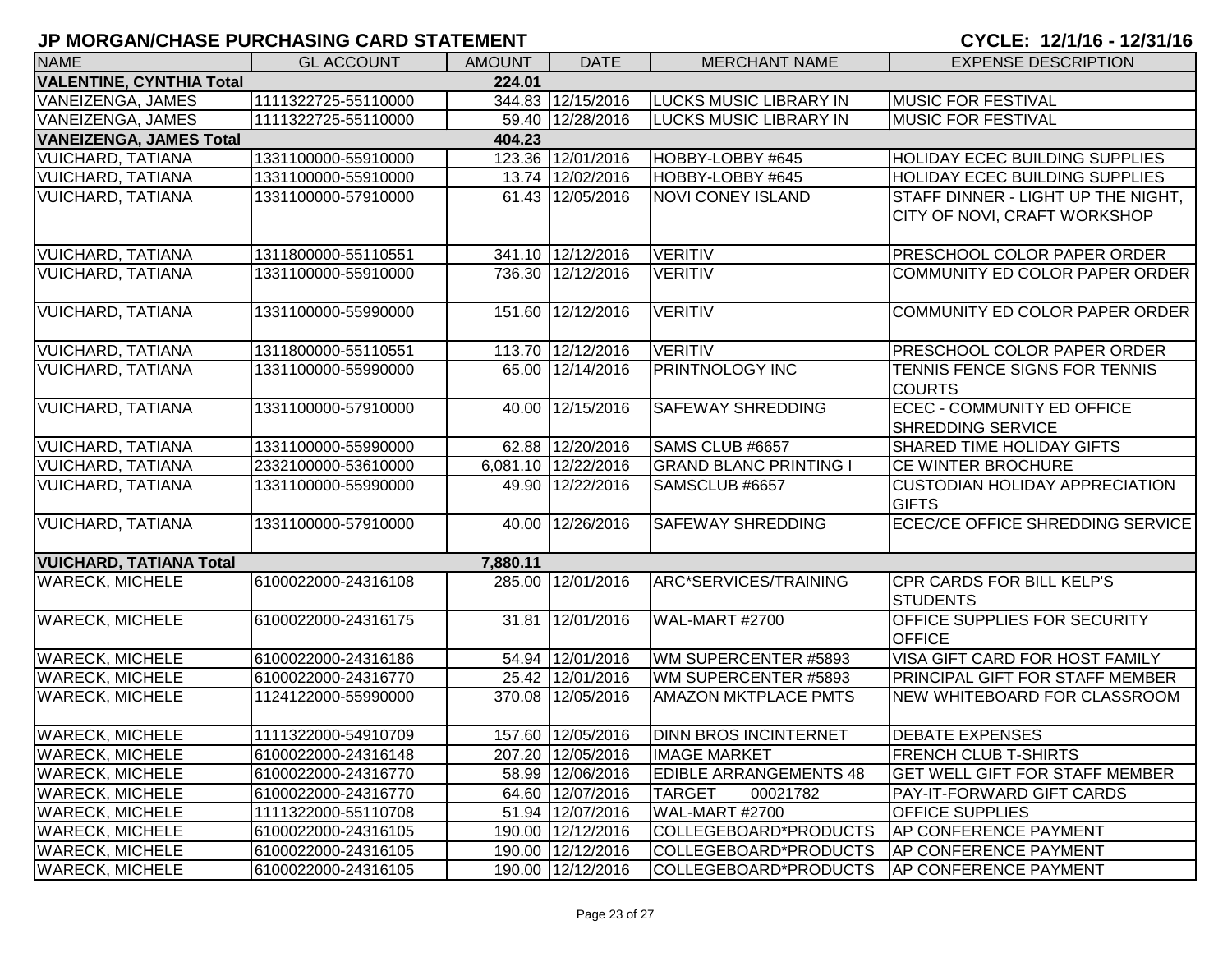| <b>NAME</b>                     | <b>GL ACCOUNT</b>   | <b>AMOUNT</b> | <b>DATE</b>         | <b>MERCHANT NAME</b>          | <b>EXPENSE DESCRIPTION</b>                                         |
|---------------------------------|---------------------|---------------|---------------------|-------------------------------|--------------------------------------------------------------------|
| <b>VALENTINE, CYNTHIA Total</b> |                     | 224.01        |                     |                               |                                                                    |
| <b>VANEIZENGA, JAMES</b>        | 1111322725-55110000 |               | 344.83 12/15/2016   | <b>LUCKS MUSIC LIBRARY IN</b> | <b>MUSIC FOR FESTIVAL</b>                                          |
| VANEIZENGA, JAMES               | 1111322725-55110000 |               | 59.40 12/28/2016    | <b>LUCKS MUSIC LIBRARY IN</b> | <b>MUSIC FOR FESTIVAL</b>                                          |
| <b>VANEIZENGA, JAMES Total</b>  |                     | 404.23        |                     |                               |                                                                    |
| <b>VUICHARD, TATIANA</b>        | 1331100000-55910000 |               | 123.36 12/01/2016   | HOBBY-LOBBY #645              | <b>HOLIDAY ECEC BUILDING SUPPLIES</b>                              |
| <b>VUICHARD, TATIANA</b>        | 1331100000-55910000 |               | 13.74 12/02/2016    | HOBBY-LOBBY #645              | HOLIDAY ECEC BUILDING SUPPLIES                                     |
| <b>VUICHARD, TATIANA</b>        | 1331100000-57910000 |               | 61.43 12/05/2016    | <b>NOVI CONEY ISLAND</b>      | STAFF DINNER - LIGHT UP THE NIGHT,<br>CITY OF NOVI, CRAFT WORKSHOP |
|                                 |                     |               |                     |                               |                                                                    |
| <b>VUICHARD, TATIANA</b>        | 1311800000-55110551 |               | 341.10 12/12/2016   | <b>VERITIV</b>                | PRESCHOOL COLOR PAPER ORDER                                        |
| <b>VUICHARD, TATIANA</b>        | 1331100000-55910000 |               | 736.30 12/12/2016   | <b>VERITIV</b>                | COMMUNITY ED COLOR PAPER ORDER                                     |
| <b>VUICHARD, TATIANA</b>        | 1331100000-55990000 |               | 151.60 12/12/2016   | <b>VERITIV</b>                | COMMUNITY ED COLOR PAPER ORDER                                     |
| <b>VUICHARD, TATIANA</b>        | 1311800000-55110551 |               | 113.70 12/12/2016   | <b>VERITIV</b>                | <b>PRESCHOOL COLOR PAPER ORDER</b>                                 |
| <b>VUICHARD, TATIANA</b>        | 1331100000-55990000 |               | 65.00 12/14/2016    | <b>PRINTNOLOGY INC</b>        | TENNIS FENCE SIGNS FOR TENNIS<br><b>COURTS</b>                     |
| <b>VUICHARD, TATIANA</b>        | 1331100000-57910000 | 40.00         | 12/15/2016          | <b>SAFEWAY SHREDDING</b>      | <b>ECEC - COMMUNITY ED OFFICE</b><br><b>SHREDDING SERVICE</b>      |
| <b>VUICHARD, TATIANA</b>        | 1331100000-55990000 |               | 62.88 12/20/2016    | SAMS CLUB #6657               | <b>SHARED TIME HOLIDAY GIFTS</b>                                   |
| <b>VUICHARD, TATIANA</b>        | 2332100000-53610000 |               | 6,081.10 12/22/2016 | <b>GRAND BLANC PRINTING I</b> | <b>CE WINTER BROCHURE</b>                                          |
| <b>VUICHARD, TATIANA</b>        | 1331100000-55990000 |               | 49.90 12/22/2016    | SAMSCLUB #6657                | <b>CUSTODIAN HOLIDAY APPRECIATION</b><br><b>GIFTS</b>              |
| <b>VUICHARD, TATIANA</b>        | 1331100000-57910000 |               | 40.00 12/26/2016    | <b>SAFEWAY SHREDDING</b>      | <b>ECEC/CE OFFICE SHREDDING SERVICE</b>                            |
| <b>VUICHARD, TATIANA Total</b>  |                     | 7,880.11      |                     |                               |                                                                    |
| <b>WARECK, MICHELE</b>          | 6100022000-24316108 |               | 285.00 12/01/2016   | ARC*SERVICES/TRAINING         | CPR CARDS FOR BILL KELP'S<br><b>STUDENTS</b>                       |
| <b>WARECK, MICHELE</b>          | 6100022000-24316175 |               | 31.81 12/01/2016    | WAL-MART #2700                | OFFICE SUPPLIES FOR SECURITY<br><b>OFFICE</b>                      |
| <b>WARECK, MICHELE</b>          | 6100022000-24316186 |               | 54.94 12/01/2016    | WM SUPERCENTER #5893          | VISA GIFT CARD FOR HOST FAMILY                                     |
| <b>WARECK, MICHELE</b>          | 6100022000-24316770 |               | 25.42 12/01/2016    | WM SUPERCENTER #5893          | PRINCIPAL GIFT FOR STAFF MEMBER                                    |
| <b>WARECK, MICHELE</b>          | 1124122000-55990000 |               | 370.08 12/05/2016   | <b>AMAZON MKTPLACE PMTS</b>   | <b>NEW WHITEBOARD FOR CLASSROOM</b>                                |
| <b>WARECK, MICHELE</b>          | 1111322000-54910709 |               | 157.60 12/05/2016   | <b>DINN BROS INCINTERNET</b>  | <b>DEBATE EXPENSES</b>                                             |
| <b>WARECK, MICHELE</b>          | 6100022000-24316148 |               | 207.20 12/05/2016   | <b>IMAGE MARKET</b>           | <b>FRENCH CLUB T-SHIRTS</b>                                        |
| <b>WARECK, MICHELE</b>          | 6100022000-24316770 |               | 58.99 12/06/2016    | <b>EDIBLE ARRANGEMENTS 48</b> | <b>GET WELL GIFT FOR STAFF MEMBER</b>                              |
| <b>WARECK, MICHELE</b>          | 6100022000-24316770 |               | 64.60 12/07/2016    | <b>TARGET</b><br>00021782     | <b>PAY-IT-FORWARD GIFT CARDS</b>                                   |
| <b>WARECK, MICHELE</b>          | 1111322000-55110708 |               | 51.94 12/07/2016    | WAL-MART #2700                | <b>OFFICE SUPPLIES</b>                                             |
| <b>WARECK, MICHELE</b>          | 6100022000-24316105 |               | 190.00 12/12/2016   | COLLEGEBOARD*PRODUCTS         | <b>AP CONFERENCE PAYMENT</b>                                       |
| <b>WARECK, MICHELE</b>          | 6100022000-24316105 |               | 190.00 12/12/2016   | COLLEGEBOARD*PRODUCTS         | <b>AP CONFERENCE PAYMENT</b>                                       |
| <b>WARECK, MICHELE</b>          | 6100022000-24316105 |               | 190.00 12/12/2016   | COLLEGEBOARD*PRODUCTS         | <b>AP CONFERENCE PAYMENT</b>                                       |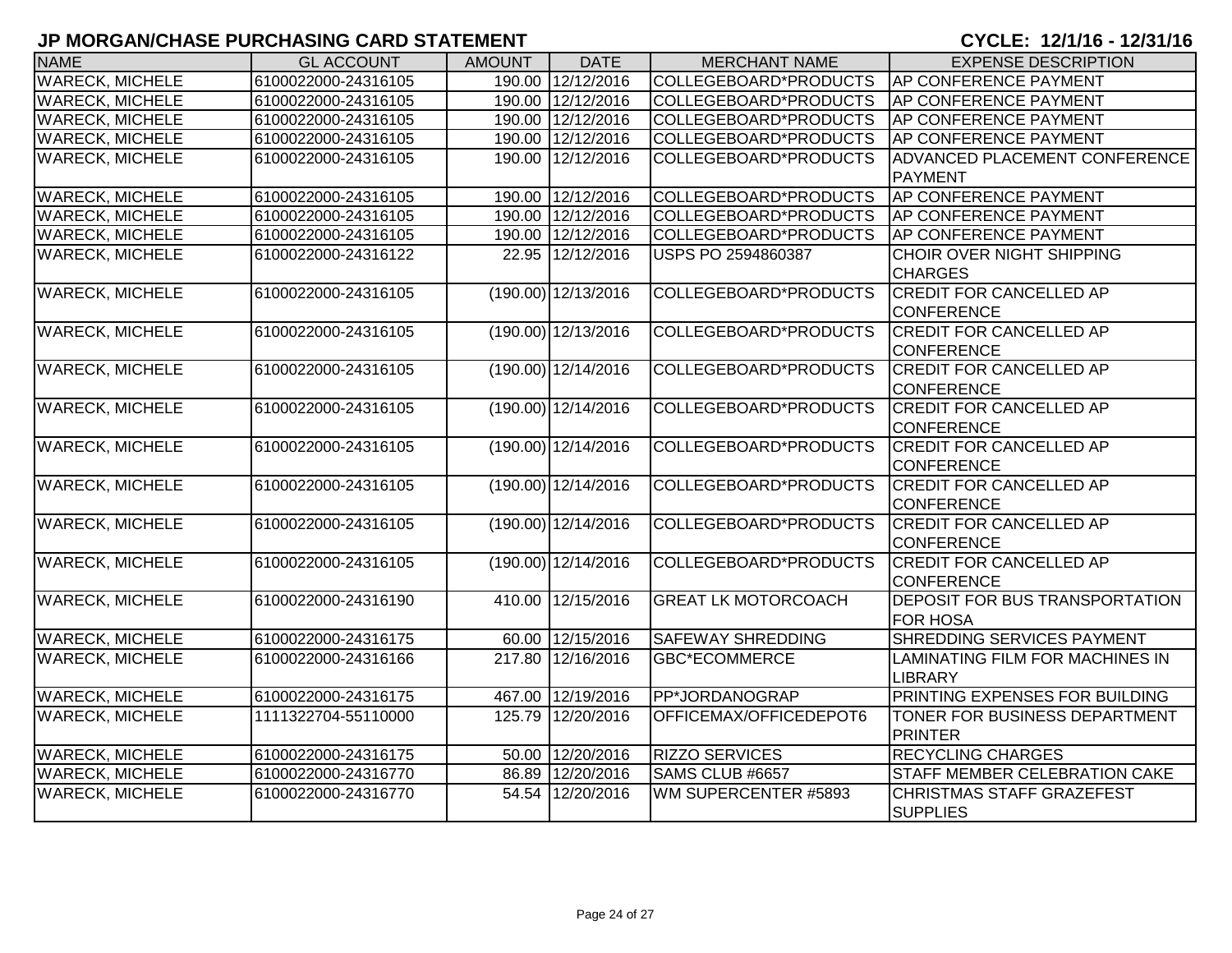| <b>NAME</b>            | <b>GL ACCOUNT</b>   | <b>AMOUNT</b> | <b>DATE</b>             | <b>MERCHANT NAME</b>       | <b>EXPENSE DESCRIPTION</b>           |
|------------------------|---------------------|---------------|-------------------------|----------------------------|--------------------------------------|
| <b>WARECK, MICHELE</b> | 6100022000-24316105 |               | 190.00 12/12/2016       | COLLEGEBOARD*PRODUCTS      | AP CONFERENCE PAYMENT                |
| <b>WARECK, MICHELE</b> | 6100022000-24316105 |               | 190.00 12/12/2016       | COLLEGEBOARD*PRODUCTS      | AP CONFERENCE PAYMENT                |
| <b>WARECK, MICHELE</b> | 6100022000-24316105 |               | 190.00 12/12/2016       | COLLEGEBOARD*PRODUCTS      | <b>AP CONFERENCE PAYMENT</b>         |
| <b>WARECK, MICHELE</b> | 6100022000-24316105 |               | 190.00 12/12/2016       | COLLEGEBOARD*PRODUCTS      | <b>AP CONFERENCE PAYMENT</b>         |
| <b>WARECK, MICHELE</b> | 6100022000-24316105 | 190.00        | 12/12/2016              | COLLEGEBOARD*PRODUCTS      | <b>ADVANCED PLACEMENT CONFERENCE</b> |
|                        |                     |               |                         |                            | <b>PAYMENT</b>                       |
| <b>WARECK, MICHELE</b> | 6100022000-24316105 |               | 190.00 12/12/2016       | COLLEGEBOARD*PRODUCTS      | AP CONFERENCE PAYMENT                |
| <b>WARECK, MICHELE</b> | 6100022000-24316105 |               | 190.00 12/12/2016       | COLLEGEBOARD*PRODUCTS      | <b>AP CONFERENCE PAYMENT</b>         |
| <b>WARECK, MICHELE</b> | 6100022000-24316105 |               | 190.00 12/12/2016       | COLLEGEBOARD*PRODUCTS      | AP CONFERENCE PAYMENT                |
| <b>WARECK, MICHELE</b> | 6100022000-24316122 |               | 22.95 12/12/2016        | USPS PO 2594860387         | <b>CHOIR OVER NIGHT SHIPPING</b>     |
|                        |                     |               |                         |                            | <b>CHARGES</b>                       |
| <b>WARECK, MICHELE</b> | 6100022000-24316105 |               | (190.00) 12/13/2016     | COLLEGEBOARD*PRODUCTS      | <b>CREDIT FOR CANCELLED AP</b>       |
|                        |                     |               |                         |                            | <b>CONFERENCE</b>                    |
| <b>WARECK, MICHELE</b> | 6100022000-24316105 |               | $(190.00)$ 12/13/2016   | COLLEGEBOARD*PRODUCTS      | <b>CREDIT FOR CANCELLED AP</b>       |
|                        |                     |               |                         |                            | <b>CONFERENCE</b>                    |
| <b>WARECK, MICHELE</b> | 6100022000-24316105 |               | $(190.00)$ 12/14/2016   | COLLEGEBOARD*PRODUCTS      | <b>CREDIT FOR CANCELLED AP</b>       |
|                        |                     |               |                         |                            | <b>CONFERENCE</b>                    |
| <b>WARECK, MICHELE</b> | 6100022000-24316105 |               | $(190.00)$ 12/14/2016   | COLLEGEBOARD*PRODUCTS      | <b>CREDIT FOR CANCELLED AP</b>       |
|                        |                     |               |                         |                            | <b>CONFERENCE</b>                    |
| <b>WARECK, MICHELE</b> | 6100022000-24316105 |               | $(190.00)$ 12/14/2016   | COLLEGEBOARD*PRODUCTS      | <b>CREDIT FOR CANCELLED AP</b>       |
|                        |                     |               |                         |                            | <b>CONFERENCE</b>                    |
| <b>WARECK, MICHELE</b> | 6100022000-24316105 |               | $(190.00)$ $12/14/2016$ | COLLEGEBOARD*PRODUCTS      | <b>CREDIT FOR CANCELLED AP</b>       |
|                        |                     |               |                         |                            | <b>CONFERENCE</b>                    |
| <b>WARECK, MICHELE</b> | 6100022000-24316105 |               | $(190.00)$ $12/14/2016$ | COLLEGEBOARD*PRODUCTS      | <b>CREDIT FOR CANCELLED AP</b>       |
|                        |                     |               |                         |                            | <b>CONFERENCE</b>                    |
| <b>WARECK, MICHELE</b> | 6100022000-24316105 |               | $(190.00)$ 12/14/2016   | COLLEGEBOARD*PRODUCTS      | <b>CREDIT FOR CANCELLED AP</b>       |
|                        |                     |               |                         |                            | CONFERENCE                           |
| <b>WARECK, MICHELE</b> | 6100022000-24316190 | 410.00        | 12/15/2016              | <b>GREAT LK MOTORCOACH</b> | DEPOSIT FOR BUS TRANSPORTATION       |
|                        |                     |               |                         |                            | <b>FOR HOSA</b>                      |
| <b>WARECK, MICHELE</b> | 6100022000-24316175 |               | 60.00 12/15/2016        | <b>SAFEWAY SHREDDING</b>   | SHREDDING SERVICES PAYMENT           |
| <b>WARECK, MICHELE</b> | 6100022000-24316166 |               | 217.80 12/16/2016       | <b>GBC*ECOMMERCE</b>       | LAMINATING FILM FOR MACHINES IN      |
|                        |                     |               |                         |                            | <b>LIBRARY</b>                       |
| <b>WARECK, MICHELE</b> | 6100022000-24316175 |               | 467.00 12/19/2016       | PP*JORDANOGRAP             | PRINTING EXPENSES FOR BUILDING       |
| <b>WARECK, MICHELE</b> | 1111322704-55110000 |               | 125.79 12/20/2016       | OFFICEMAX/OFFICEDEPOT6     | TONER FOR BUSINESS DEPARTMENT        |
|                        |                     |               |                         |                            | <b>PRINTER</b>                       |
| <b>WARECK, MICHELE</b> | 6100022000-24316175 | 50.00         | 12/20/2016              | <b>RIZZO SERVICES</b>      | <b>RECYCLING CHARGES</b>             |
| <b>WARECK, MICHELE</b> | 6100022000-24316770 |               | 86.89 12/20/2016        | SAMS CLUB #6657            | STAFF MEMBER CELEBRATION CAKE        |
| <b>WARECK, MICHELE</b> | 6100022000-24316770 | 54.54         | 12/20/2016              | WM SUPERCENTER #5893       | <b>CHRISTMAS STAFF GRAZEFEST</b>     |
|                        |                     |               |                         |                            | <b>SUPPLIES</b>                      |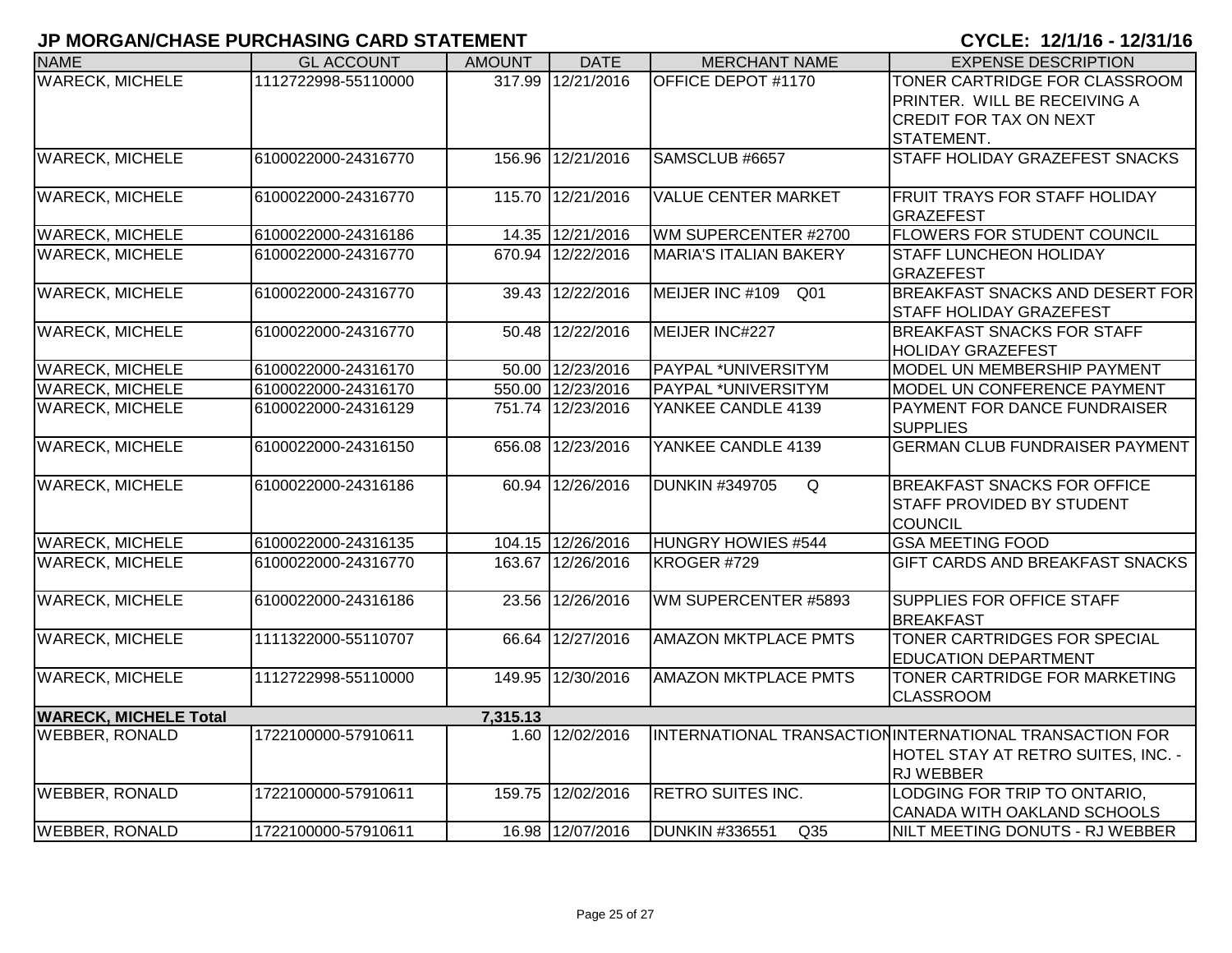| <b>NAME</b>                  | <b>GL ACCOUNT</b>   | <b>AMOUNT</b> | <b>DATE</b>       | <b>MERCHANT NAME</b>                     | <b>EXPENSE DESCRIPTION</b>                                                                                        |
|------------------------------|---------------------|---------------|-------------------|------------------------------------------|-------------------------------------------------------------------------------------------------------------------|
| <b>WARECK, MICHELE</b>       | 1112722998-55110000 |               | 317.99 12/21/2016 | OFFICE DEPOT #1170                       | TONER CARTRIDGE FOR CLASSROOM<br>PRINTER. WILL BE RECEIVING A                                                     |
|                              |                     |               |                   |                                          | <b>CREDIT FOR TAX ON NEXT</b>                                                                                     |
|                              |                     |               |                   |                                          | STATEMENT.                                                                                                        |
| <b>WARECK, MICHELE</b>       | 6100022000-24316770 | 156.96        | 12/21/2016        | SAMSCLUB #6657                           | STAFF HOLIDAY GRAZEFEST SNACKS                                                                                    |
| <b>WARECK, MICHELE</b>       | 6100022000-24316770 | 115.70        | 12/21/2016        | <b>VALUE CENTER MARKET</b>               | <b>FRUIT TRAYS FOR STAFF HOLIDAY</b><br><b>GRAZEFEST</b>                                                          |
| <b>WARECK, MICHELE</b>       | 6100022000-24316186 |               | 14.35 12/21/2016  | WM SUPERCENTER #2700                     | <b>FLOWERS FOR STUDENT COUNCIL</b>                                                                                |
| <b>WARECK, MICHELE</b>       | 6100022000-24316770 | 670.94        | 12/22/2016        | <b>MARIA'S ITALIAN BAKERY</b>            | <b>STAFF LUNCHEON HOLIDAY</b><br><b>GRAZEFEST</b>                                                                 |
| <b>WARECK, MICHELE</b>       | 6100022000-24316770 |               | 39.43 12/22/2016  | MEIJER INC #109<br>Q <sub>01</sub>       | <b>BREAKFAST SNACKS AND DESERT FOR</b><br><b>STAFF HOLIDAY GRAZEFEST</b>                                          |
| <b>WARECK, MICHELE</b>       | 6100022000-24316770 | 50.48         | 12/22/2016        | MEIJER INC#227                           | <b>BREAKFAST SNACKS FOR STAFF</b><br><b>HOLIDAY GRAZEFEST</b>                                                     |
| <b>WARECK, MICHELE</b>       | 6100022000-24316170 |               | 50.00 12/23/2016  | PAYPAL *UNIVERSITYM                      | MODEL UN MEMBERSHIP PAYMENT                                                                                       |
| <b>WARECK, MICHELE</b>       | 6100022000-24316170 |               | 550.00 12/23/2016 | PAYPAL *UNIVERSITYM                      | MODEL UN CONFERENCE PAYMENT                                                                                       |
| <b>WARECK, MICHELE</b>       | 6100022000-24316129 |               | 751.74 12/23/2016 | YANKEE CANDLE 4139                       | PAYMENT FOR DANCE FUNDRAISER<br><b>SUPPLIES</b>                                                                   |
| <b>WARECK, MICHELE</b>       | 6100022000-24316150 |               | 656.08 12/23/2016 | YANKEE CANDLE 4139                       | <b>GERMAN CLUB FUNDRAISER PAYMENT</b>                                                                             |
| <b>WARECK, MICHELE</b>       | 6100022000-24316186 |               | 60.94 12/26/2016  | <b>DUNKIN #349705</b><br>Q               | <b>BREAKFAST SNACKS FOR OFFICE</b><br><b>STAFF PROVIDED BY STUDENT</b><br>COUNCIL                                 |
| <b>WARECK, MICHELE</b>       | 6100022000-24316135 |               | 104.15 12/26/2016 | <b>HUNGRY HOWIES #544</b>                | <b>GSA MEETING FOOD</b>                                                                                           |
| <b>WARECK, MICHELE</b>       | 6100022000-24316770 | 163.67        | 12/26/2016        | KROGER #729                              | <b>GIFT CARDS AND BREAKFAST SNACKS</b>                                                                            |
| <b>WARECK, MICHELE</b>       | 6100022000-24316186 | 23.56         | 12/26/2016        | WM SUPERCENTER #5893                     | <b>SUPPLIES FOR OFFICE STAFF</b><br><b>BREAKFAST</b>                                                              |
| <b>WARECK, MICHELE</b>       | 1111322000-55110707 | 66.64         | 12/27/2016        | <b>AMAZON MKTPLACE PMTS</b>              | TONER CARTRIDGES FOR SPECIAL<br><b>EDUCATION DEPARTMENT</b>                                                       |
| <b>WARECK, MICHELE</b>       | 1112722998-55110000 | 149.95        | 12/30/2016        | <b>AMAZON MKTPLACE PMTS</b>              | TONER CARTRIDGE FOR MARKETING<br><b>CLASSROOM</b>                                                                 |
| <b>WARECK, MICHELE Total</b> |                     | 7,315.13      |                   |                                          |                                                                                                                   |
| <b>WEBBER, RONALD</b>        | 1722100000-57910611 |               | 1.60 12/02/2016   |                                          | INTERNATIONAL TRANSACTION INTERNATIONAL TRANSACTION FOR<br>HOTEL STAY AT RETRO SUITES, INC. -<br><b>RJ WEBBER</b> |
| <b>WEBBER, RONALD</b>        | 1722100000-57910611 | 159.75        | 12/02/2016        | <b>RETRO SUITES INC.</b>                 | LODGING FOR TRIP TO ONTARIO.<br>CANADA WITH OAKLAND SCHOOLS                                                       |
| <b>WEBBER, RONALD</b>        | 1722100000-57910611 |               | 16.98 12/07/2016  | <b>DUNKIN #336551</b><br>Q <sub>35</sub> | NILT MEETING DONUTS - RJ WEBBER                                                                                   |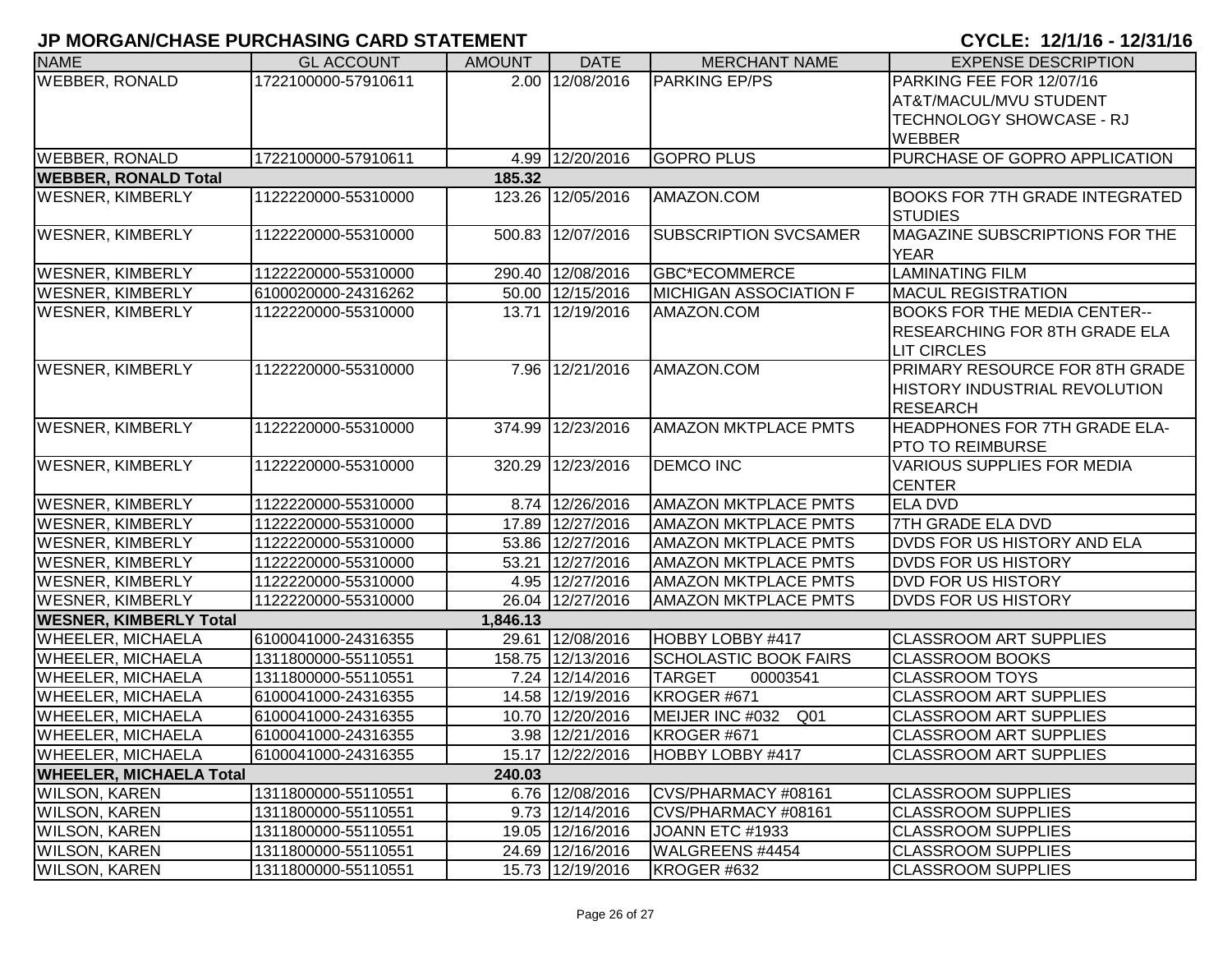| <b>NAME</b>                               | <b>GL ACCOUNT</b>   | <b>AMOUNT</b> | <b>DATE</b>       | <b>MERCHANT NAME</b>         | <b>EXPENSE DESCRIPTION</b>                              |  |  |  |
|-------------------------------------------|---------------------|---------------|-------------------|------------------------------|---------------------------------------------------------|--|--|--|
| <b>WEBBER, RONALD</b>                     | 1722100000-57910611 |               | 2.00 12/08/2016   | <b>PARKING EP/PS</b>         | PARKING FEE FOR 12/07/16                                |  |  |  |
|                                           |                     |               |                   |                              | <b>AT&amp;T/MACUL/MVU STUDENT</b>                       |  |  |  |
|                                           |                     |               |                   |                              | TECHNOLOGY SHOWCASE - RJ                                |  |  |  |
|                                           |                     |               |                   |                              | <b>WEBBER</b>                                           |  |  |  |
| <b>WEBBER, RONALD</b>                     | 1722100000-57910611 |               | 4.99 12/20/2016   | <b>GOPRO PLUS</b>            | PURCHASE OF GOPRO APPLICATION                           |  |  |  |
| <b>WEBBER, RONALD Total</b><br>185.32     |                     |               |                   |                              |                                                         |  |  |  |
| <b>WESNER, KIMBERLY</b>                   | 1122220000-55310000 |               | 123.26 12/05/2016 | AMAZON.COM                   | <b>BOOKS FOR 7TH GRADE INTEGRATED</b><br><b>STUDIES</b> |  |  |  |
| <b>WESNER, KIMBERLY</b>                   | 1122220000-55310000 | 500.83        | 12/07/2016        | <b>SUBSCRIPTION SVCSAMER</b> | MAGAZINE SUBSCRIPTIONS FOR THE<br><b>YEAR</b>           |  |  |  |
| <b>WESNER, KIMBERLY</b>                   | 1122220000-55310000 |               | 290.40 12/08/2016 | GBC*ECOMMERCE                | <b>LAMINATING FILM</b>                                  |  |  |  |
| <b>WESNER, KIMBERLY</b>                   | 6100020000-24316262 |               | 50.00 12/15/2016  | MICHIGAN ASSOCIATION F       | <b>MACUL REGISTRATION</b>                               |  |  |  |
| <b>WESNER, KIMBERLY</b>                   | 1122220000-55310000 |               | 13.71 12/19/2016  | AMAZON.COM                   | <b>BOOKS FOR THE MEDIA CENTER--</b>                     |  |  |  |
|                                           |                     |               |                   |                              | RESEARCHING FOR 8TH GRADE ELA                           |  |  |  |
|                                           |                     |               |                   |                              | <b>LIT CIRCLES</b>                                      |  |  |  |
| <b>WESNER, KIMBERLY</b>                   | 1122220000-55310000 |               | 7.96 12/21/2016   | AMAZON.COM                   | PRIMARY RESOURCE FOR 8TH GRADE                          |  |  |  |
|                                           |                     |               |                   |                              | <b>HISTORY INDUSTRIAL REVOLUTION</b>                    |  |  |  |
|                                           |                     |               |                   |                              | <b>RESEARCH</b>                                         |  |  |  |
| <b>WESNER, KIMBERLY</b>                   | 1122220000-55310000 |               | 374.99 12/23/2016 | <b>AMAZON MKTPLACE PMTS</b>  | <b>HEADPHONES FOR 7TH GRADE ELA-</b>                    |  |  |  |
|                                           |                     |               |                   |                              | <b>PTO TO REIMBURSE</b>                                 |  |  |  |
| <b>WESNER, KIMBERLY</b>                   | 1122220000-55310000 | 320.29        | 12/23/2016        | <b>DEMCO INC</b>             | <b>VARIOUS SUPPLIES FOR MEDIA</b>                       |  |  |  |
|                                           |                     |               |                   |                              | <b>CENTER</b>                                           |  |  |  |
| <b>WESNER, KIMBERLY</b>                   | 1122220000-55310000 |               | 8.74 12/26/2016   | <b>AMAZON MKTPLACE PMTS</b>  | <b>ELA DVD</b>                                          |  |  |  |
| <b>WESNER, KIMBERLY</b>                   | 1122220000-55310000 |               | 17.89 12/27/2016  | <b>AMAZON MKTPLACE PMTS</b>  | 7TH GRADE ELA DVD                                       |  |  |  |
| <b>WESNER, KIMBERLY</b>                   | 1122220000-55310000 |               | 53.86 12/27/2016  | <b>AMAZON MKTPLACE PMTS</b>  | DVDS FOR US HISTORY AND ELA                             |  |  |  |
| <b>WESNER, KIMBERLY</b>                   | 1122220000-55310000 |               | 53.21 12/27/2016  | <b>AMAZON MKTPLACE PMTS</b>  | <b>DVDS FOR US HISTORY</b>                              |  |  |  |
| <b>WESNER, KIMBERLY</b>                   | 1122220000-55310000 |               | 4.95 12/27/2016   | <b>AMAZON MKTPLACE PMTS</b>  | <b>DVD FOR US HISTORY</b>                               |  |  |  |
| <b>WESNER, KIMBERLY</b>                   | 1122220000-55310000 |               | 26.04 12/27/2016  | <b>AMAZON MKTPLACE PMTS</b>  | <b>DVDS FOR US HISTORY</b>                              |  |  |  |
| <b>WESNER, KIMBERLY Total</b><br>1,846.13 |                     |               |                   |                              |                                                         |  |  |  |
| <b>WHEELER, MICHAELA</b>                  | 6100041000-24316355 |               | 29.61 12/08/2016  | HOBBY LOBBY #417             | <b>CLASSROOM ART SUPPLIES</b>                           |  |  |  |
| <b>WHEELER, MICHAELA</b>                  | 1311800000-55110551 |               | 158.75 12/13/2016 | <b>SCHOLASTIC BOOK FAIRS</b> | <b>CLASSROOM BOOKS</b>                                  |  |  |  |
| <b>WHEELER, MICHAELA</b>                  | 1311800000-55110551 |               | 7.24 12/14/2016   | <b>TARGET</b><br>00003541    | <b>CLASSROOM TOYS</b>                                   |  |  |  |
| <b>WHEELER, MICHAELA</b>                  | 6100041000-24316355 |               | 14.58 12/19/2016  | KROGER #671                  | <b>CLASSROOM ART SUPPLIES</b>                           |  |  |  |
| <b>WHEELER, MICHAELA</b>                  | 6100041000-24316355 |               | 10.70 12/20/2016  | MEIJER INC #032<br>Q01       | <b>CLASSROOM ART SUPPLIES</b>                           |  |  |  |
| <b>WHEELER, MICHAELA</b>                  | 6100041000-24316355 |               | 3.98 12/21/2016   | KROGER #671                  | <b>CLASSROOM ART SUPPLIES</b>                           |  |  |  |
| <b>WHEELER, MICHAELA</b>                  | 6100041000-24316355 |               | 15.17 12/22/2016  | HOBBY LOBBY #417             | <b>CLASSROOM ART SUPPLIES</b>                           |  |  |  |
| <b>WHEELER, MICHAELA Total</b><br>240.03  |                     |               |                   |                              |                                                         |  |  |  |
| <b>WILSON, KAREN</b>                      | 1311800000-55110551 |               | 6.76 12/08/2016   | CVS/PHARMACY #08161          | <b>CLASSROOM SUPPLIES</b>                               |  |  |  |
| <b>WILSON, KAREN</b>                      | 1311800000-55110551 |               | 9.73 12/14/2016   | CVS/PHARMACY #08161          | <b>CLASSROOM SUPPLIES</b>                               |  |  |  |
| <b>WILSON, KAREN</b>                      | 1311800000-55110551 |               | 19.05 12/16/2016  | JOANN ETC #1933              | <b>CLASSROOM SUPPLIES</b>                               |  |  |  |
| <b>WILSON, KAREN</b>                      | 1311800000-55110551 |               | 24.69 12/16/2016  | WALGREENS #4454              | <b>CLASSROOM SUPPLIES</b>                               |  |  |  |
| <b>WILSON, KAREN</b>                      | 1311800000-55110551 |               | 15.73 12/19/2016  | KROGER #632                  | <b>CLASSROOM SUPPLIES</b>                               |  |  |  |